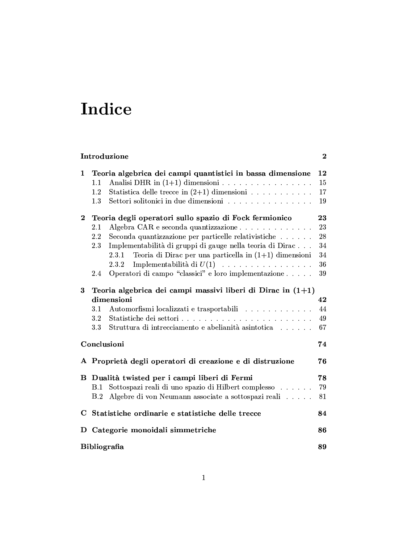# Indice

| Introduzione<br>$\overline{2}$ |                                                                                                                                                                                                                                                                                                                                                                                                                     |                                        |
|--------------------------------|---------------------------------------------------------------------------------------------------------------------------------------------------------------------------------------------------------------------------------------------------------------------------------------------------------------------------------------------------------------------------------------------------------------------|----------------------------------------|
| 1                              | Teoria algebrica dei campi quantistici in bassa dimensione<br>Analisi DHR in $(1+1)$ dimensioni<br>1.1<br>Statistica delle trecce in $(2+1)$ dimensioni<br>1.2<br>Settori solitonici in due dimensioni<br>1.3                                                                                                                                                                                                       | 12<br>15<br>17<br>19                   |
| $\bf{2}$                       | Teoria degli operatori sullo spazio di Fock fermionico<br>Algebra CAR e seconda quantizzazione<br>2.1<br>Seconda quantizzazione per particelle relativistiche<br>2.2<br>Implementabilità di gruppi di gauge nella teoria di Dirac<br>2.3<br>Teoria di Dirac per una particella in $(1+1)$ dimensioni<br>2.3.1<br>Implementabilità di $U(1)$<br>2.3.2<br>Operatori di campo "classici" e loro implementazione<br>2.4 | 23<br>23<br>28<br>34<br>34<br>36<br>39 |
| $\bf{3}$                       | Teoria algebrica dei campi massivi liberi di Dirac in $(1+1)$<br>dimensioni<br>Automorfismi localizzati e trasportabili<br>3.1<br>$3.2\,$<br>Struttura di intrecciamento e abelianità asintotica<br>3.3                                                                                                                                                                                                             | 42<br>44<br>49<br>67                   |
| Conclusioni                    |                                                                                                                                                                                                                                                                                                                                                                                                                     |                                        |
|                                | A Proprietà degli operatori di creazione e di distruzione                                                                                                                                                                                                                                                                                                                                                           | 76                                     |
| в                              | Dualità twisted per i campi liberi di Fermi<br>Sottospazi reali di uno spazio di Hilbert complesso<br>B.1<br>Algebre di von Neumann associate a sottospazi reali<br>B.2                                                                                                                                                                                                                                             | 78<br>79<br>81                         |
| C                              | Statistiche ordinarie e statistiche delle trecce                                                                                                                                                                                                                                                                                                                                                                    | 84                                     |
| D                              | Categorie monoidali simmetriche                                                                                                                                                                                                                                                                                                                                                                                     | 86                                     |
| Bibliografia                   |                                                                                                                                                                                                                                                                                                                                                                                                                     | 89                                     |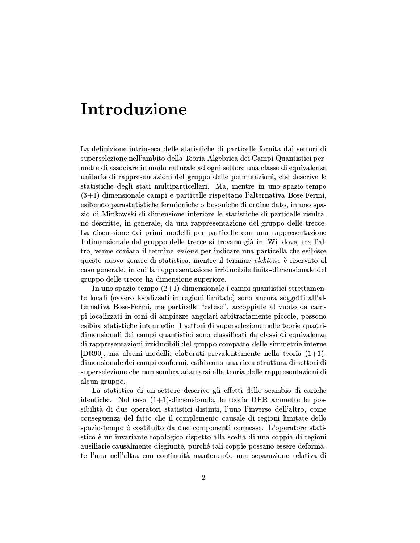## Introduzione

La definizione intrinseca delle statistiche di particelle fornita dai settori di superselezione nell'ambito della Teoria Algebrica dei Campi Quantistici permette di associare in modo naturale ad ogni settore una classe di equivalenza unitaria di rappresentazioni del gruppo delle permutazioni, che descrive le statistiche degli stati multiparticellari. Ma, mentre in uno spazio-tempo  $(3+1)$ -dimensionale campi e particelle rispettano l'alternativa Bose-Fermi, esibendo parastatistiche fermioniche o bosoniche di ordine dato, in uno spazio di Minkowski di dimensione inferiore le statistiche di particelle risultano descritte, in generale, da una rappresentazione del gruppo delle trecce. La discussione dei primi modelli per particelle con una rappresentazione 1-dimensionale del gruppo delle trecce si trovano già in [Wi] dove, tra l'altro, venne coniato il termine *anione* per indicare una particella che esibisce questo nuovo genere di statistica, mentre il termine *plektone* è riservato al caso generale, in cui la rappresentazione irriducibile finito-dimensionale del gruppo delle trecce ha dimensione superiore.

In uno spazio-tempo  $(2+1)$ -dimensionale i campi quantistici strettamente locali (ovvero localizzati in regioni limitate) sono ancora soggetti all'alternativa Bose-Fermi, ma particelle "estese", accoppiate al vuoto da campi localizzati in coni di ampiezze angolari arbitrariamente piccole, possono esibire statistiche intermedie. I settori di superselezione nelle teorie quadridimensionali dei campi quantistici sono classificati da classi di equivalenza di rappresentazioni irriducibili del gruppo compatto delle simmetrie interne [DR90], ma alcuni modelli, elaborati prevalentemente nella teoria  $(1+1)$ dimensionale dei campi conformi, esibiscono una ricca struttura di settori di superselezione che non sembra adattarsi alla teoria delle rappresentazioni di alcun gruppo.

La statistica di un settore descrive gli effetti dello scambio di cariche identiche. Nel caso  $(1+1)$ -dimensionale, la teoria DHR ammette la possibilità di due operatori statistici distinti, l'uno l'inverso dell'altro, come conseguenza del fatto che il complemento causale di regioni limitate dello spazio-tempo è costituito da due componenti connesse. L'operatore statistico è un invariante topologico rispetto alla scelta di una coppia di regioni ausiliarie causalmente disgiunte, purché tali coppie possano essere deformate l'una nell'altra con continuità mantenendo una separazione relativa di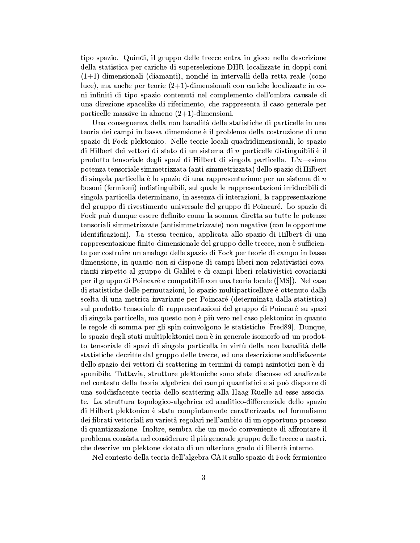tipo spazio. Quindi, il gruppo delle trecce entra in gioco nella descrizione della statistica per cariche di superselezione DHR localizzate in doppi coni  $(1+1)$ -dimensionali (diamanti), nonché in intervalli della retta reale (cono luce), ma anche per teorie  $(2+1)$ -dimensionali con cariche localizzate in coni infiniti di tipo spazio contenuti nel complemento dell'ombra causale di una direzione spacelike di riferimento, che rappresenta il caso generale per particelle massive in almeno  $(2+1)$ -dimensioni.

Una conseguenza della non banalità delle statistiche di particelle in una teoria dei campi in bassa dimensione è il problema della costruzione di uno spazio di Fock plektonico. Nelle teorie locali quadridimensionali, lo spazio di Hilbert dei vettori di stato di un sistema di  $n$  particelle distinguibili è il prodotto tensoriale degli spazi di Hilbert di singola particella. L' $n$ -esima potenza tensoriale simmetrizzata (anti-simmetrizzata) dello spazio di Hilbert di singola particella è lo spazio di una rappresentazione per un sistema di  $n$ bosoni (fermioni) indistinguibili, sul quale le rappresentazioni irriducibili di singola particella determinano, in assenza di interazioni, la rappresentazione del gruppo di rivestimento universale del gruppo di Poincaré. Lo spazio di Fock può dunque essere definito coma la somma diretta su tutte le potenze tensoriali simmetrizzate (antisimmetrizzate) non negative (con le opportune identificazioni). La stessa tecnica, applicata allo spazio di Hilbert di una rappresentazione finito-dimensionale del gruppo delle trecce, non è sufficiente per costruire un analogo delle spazio di Fock per teorie di campo in bassa dimensione, in quanto non si dispone di campi liberi non relativistici covarianti rispetto al gruppo di Galilei e di campi liberi relativistici covarianti per il gruppo di Poincaré e compatibili con una teoria locale ([MS]). Nel caso di statistiche delle permutazioni, lo spazio multiparticellare è ottenuto dalla scelta di una metrica invariante per Poincaré (determinata dalla statistica) sul prodotto tensoriale di rappresentazioni del gruppo di Poincaré su spazi di singola particella, ma questo non è più vero nel caso plektonico in quanto le regole di somma per gli spin coinvolgono le statistiche [Fred89]. Dunque, lo spazio degli stati multiplektonici non è in generale isomorfo ad un prodotto tensoriale di spazi di singola particella in virtù della non banalità delle statistiche decritte dal gruppo delle trecce, ed una descrizione soddisfacente dello spazio dei vettori di scattering in termini di campi asintotici non è disponibile. Tuttavia, strutture plektoniche sono state discusse ed analizzate nel contesto della teoria algebrica dei campi quantistici e si può disporre di una soddisfacente teoria dello scattering alla Haag-Ruelle ad esse associate. La struttura topologico-algebrica ed analitico-differenziale dello spazio di Hilbert plektonico è stata compiutamente caratterizzata nel formalismo dei fibrati vettoriali su varietà regolari nell'ambito di un opportuno processo di quantizzazione. Inoltre, sembra che un modo conveniente di affrontare il problema consista nel considerare il più generale gruppo delle trecce a nastri, che descrive un plektone dotato di un ulteriore grado di libertà interno.

Nel contesto della teoria dell'algebra CAR sullo spazio di Fock fermionico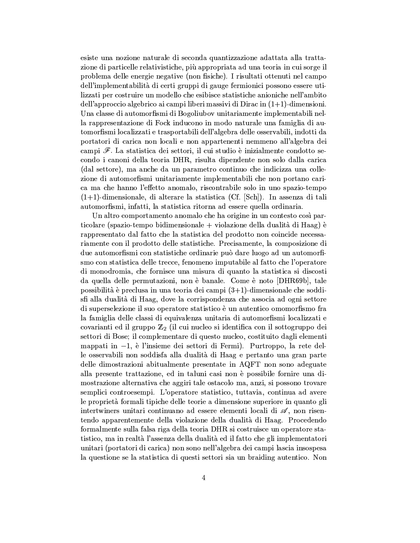esiste una nozione naturale di seconda quantizzazione adattata alla trattazione di particelle relativistiche, più appropriata ad una teoria in cui sorge il problema delle energie negative (non fisiche). I risultati ottenuti nel campo dell'implementabilità di certi gruppi di gauge fermionici possono essere utilizzati per costruire un modello che esibisce statistiche anioniche nell'ambito dell'approccio algebrico ai campi liberi massivi di Dirac in  $(1+1)$ -dimensioni. Una classe di automorfismi di Bogoliubov unitariamente implementabili nella rappresentazione di Fock inducono in modo naturale una famiglia di automorfismi localizzati e trasportabili dell'algebra delle osservabili, indotti da portatori di carica non locali e non appartenenti nemmeno all'algebra dei campi  $\mathscr{F}$ . La statistica dei settori, il cui studio è inizialmente condotto secondo i canoni della teoria DHR, risulta dipendente non solo dalla carica (dal settore), ma anche da un parametro continuo che indicizza una collezione di automorfismi unitariamente implementabili che non portano carica ma che hanno l'effetto anomalo, riscontrabile solo in uno spazio-tempo  $(1+1)$ -dimensionale, di alterare la statistica (Cf. [Sch]). In assenza di tali automorfismi, infatti, la statistica ritorna ad essere quella ordinaria.

Un altro comportamento anomalo che ha origine in un contesto così particolare (spazio-tempo bidimensionale + violazione della dualità di Haag) è rappresentato dal fatto che la statistica del prodotto non coincide necessariamente con il prodotto delle statistiche. Precisamente, la composizione di due automorfismi con statistiche ordinarie può dare luogo ad un automorfismo con statistica delle trecce, fenomeno imputabile al fatto che l'operatore di monodromia, che fornisce una misura di quanto la statistica si discosti da quella delle permutazioni, non è banale. Come è noto [DHR69b], tale possibilità è preclusa in una teoria dei campi  $(3+1)$ -dimensionale che soddisfi alla dualità di Haag, dove la corrispondenza che associa ad ogni settore di superselezione il suo operatore statistico è un autentico omomorfismo fra la famiglia delle classi di equivalenza unitaria di automorfismi localizzati e covarianti ed il gruppo  $\mathbb{Z}_2$  (il cui nucleo si identifica con il sottogruppo dei settori di Bose; il complementare di questo nucleo, costituito dagli elementi mappati in  $-1$ , è l'insieme dei settori di Fermi). Purtroppo, la rete delle osservabili non soddisfa alla dualità di Haag e pertanto una gran parte delle dimostrazioni abitualmente presentate in AQFT non sono adeguate alla presente trattazione, ed in taluni casi non è possibile fornire una dimostrazione alternativa che aggiri tale ostacolo ma, anzi, si possono trovare semplici controesempi. L'operatore statistico, tuttavia, continua ad avere le proprietà formali tipiche delle teorie a dimensione superiore in quanto gli intertwiners unitari continuano ad essere elementi locali di  $\mathscr{A}$ , non risentendo apparentemente della violazione della dualità di Haag. Procedendo formalmente sulla falsa riga della teoria DHR si costruisce un operatore statistico, ma in realtà l'assenza della dualità ed il fatto che gli implementatori unitari (portatori di carica) non sono nell'algebra dei campi lascia insospesa la questione se la statistica di questi settori sia un braiding autentico. Non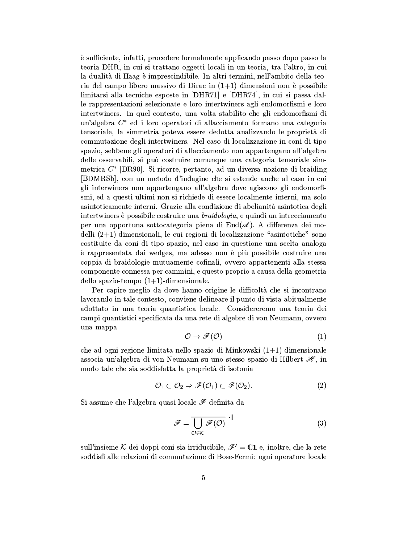è sufficiente, infatti, procedere formalmente applicando passo dopo passo la teoria DHR, in cui si trattano oggetti locali in un teoria, tra l'altro, in cui la dualità di Haag è imprescindibile. In altri termini, nell'ambito della teoria del campo libero massivo di Dirac in  $(1+1)$  dimensioni non è possibile limitarsi alla tecniche esposte in [DHR71] e [DHR74], in cui si passa dalle rappresentazioni selezionate e loro intertwiners agli endomorfismi e loro intertwiners. In quel contesto, una volta stabilito che gli endomorfismi di un'algebra  $C^*$  ed i loro operatori di allacciamento formano una categoria tensoriale, la simmetria poteva essere dedotta analizzando le proprietà di commutazione degli intertwiners. Nel caso di localizzazione in coni di tipo spazio, sebbene gli operatori di allacciamento non appartengano all'algebra delle osservabili, si può costruire comunque una categoria tensoriale simmetrica  $C^*$  [DR90]. Si ricorre, pertanto, ad un diversa nozione di braiding [BDMRSb], con un metodo d'indagine che si estende anche al caso in cui gli interwiners non appartengano all'algebra dove agiscono gli endomorfismi, ed a questi ultimi non si richiede di essere localmente interni, ma solo asintoticamente interni. Grazie alla condizione di abelianità asintotica degli intertwiners è possibile costruire una *braidologia*, e quindi un intrecciamento per una opportuna sottocategoria piena di  $\text{End}(\mathscr{A})$ . A differenza dei modelli  $(2+1)$ -dimensionali, le cui regioni di localizzazione "asintotiche" sono costituite da coni di tipo spazio, nel caso in questione una scelta analoga è rappresentata dai wedges, ma adesso non è più possibile costruire una coppia di braidologie mutuamente cofinali, ovvero appartenenti alla stessa componente connessa per cammini, e questo proprio a causa della geometria dello spazio-tempo  $(1+1)$ -dimensionale.

Per capire meglio da dove hanno origine le difficoltà che si incontrano lavorando in tale contesto, conviene delineare il punto di vista abitualmente adottato in una teoria quantistica locale. Considereremo una teoria dei campi quantistici specificata da una rete di algebre di von Neumann, ovvero una mappa

$$
\mathcal{O} \to \mathscr{F}(\mathcal{O}) \tag{1}
$$

che ad ogni regione limitata nello spazio di Minkowski  $(1+1)$ -dimensionale associa un'algebra di von Neumann su uno stesso spazio di Hilbert  $\mathcal{H}$ , in modo tale che sia soddisfatta la proprietà di isotonia

$$
\mathcal{O}_1 \subset \mathcal{O}_2 \Rightarrow \mathscr{F}(\mathcal{O}_1) \subset \mathscr{F}(\mathcal{O}_2). \tag{2}
$$

Si assume che l'algebra quasi-locale  $\mathscr F$  definita da

$$
\mathscr{F} = \frac{1}{\mathcal{O}\in\mathcal{K}}\mathscr{F}(\mathcal{O})^{\|\cdot\|}
$$
 (3)

sull'insieme K dei doppi coni sia irriducibile,  $\mathscr{F}' = \mathbb{C}1$  e, inoltre, che la rete soddisfi alle relazioni di commutazione di Bose-Fermi: ogni operatore locale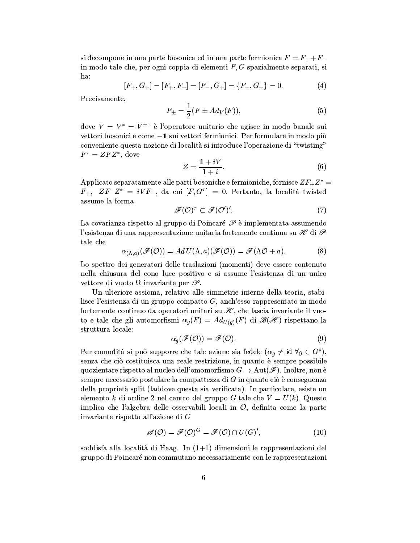si decompone in una parte bosonica ed in una parte fermionica  $F = F_+ + F_$ in modo tale che, per ogni coppia di elementi  $F, G$  spazialmente separati, si ha:

$$
[F_+, G_+] = [F_+, F_-] = [F_-, G_+] = \{F_-, G_-\} = 0.
$$
 (4)

Precisamente,

$$
F_{\pm} = \frac{1}{2}(F \pm Ad_V(F)),
$$
\n(5)

dove  $V = V^* = V^{-1}$  è l'operatore unitario che agisce in modo banale sui vettori bosonici e come -1 sui vettori fermionici. Per formulare in modo più conveniente questa nozione di località si introduce l'operazione di "twisting"  $F^{\tau} = ZFZ^*$ , dove

$$
Z = \frac{1 + iV}{1 + i}.\tag{6}
$$

Applicato separatamente alle parti bosoniche e fermioniche, fornisce  $ZF_+Z^*$  $F_+$ ,  $ZF_-Z^* = iVF_-,$  da cui  $[F,G^{\tau}] = 0$ . Pertanto, la località twisted assume la forma

$$
\mathscr{F}(\mathcal{O})^{\tau} \subset \mathscr{F}(\mathcal{O}')'.\tag{7}
$$

La covarianza rispetto al gruppo di Poincaré  $\mathscr P$  è implementata assumendo l'esistenza di una rappresentazione unitaria fortemente continua su  $\mathscr H$  di  $\mathscr P$ tale che

$$
\alpha_{(\Lambda,a)}(\mathscr{F}(\mathcal{O})) = Ad U(\Lambda,a)(\mathscr{F}(\mathcal{O})) = \mathscr{F}(\Lambda \mathcal{O} + a). \tag{8}
$$

Lo spettro dei generatori delle traslazioni (momenti) deve essere contenuto nella chiusura del cono luce positivo e si assume l'esistenza di un unico vettore di vuoto  $\Omega$  invariante per  $\mathscr{P}$ .

Un ulteriore assioma, relativo alle simmetrie interne della teoria, stabilisce l'esistenza di un gruppo compatto  $G$ , anch'esso rappresentato in modo fortemente continuo da operatori unitari su  $\mathcal{H}$ , che lascia invariante il vuoto e tale che gli automorfismi  $\alpha_q(F) = Ad_{U(q)}(F)$  di  $\mathscr{B}(\mathscr{H})$  rispettano la struttura locale:

$$
\alpha_g(\mathscr{F}(\mathcal{O})) = \mathscr{F}(\mathcal{O}). \tag{9}
$$

Per comodità si può supporre che tale azione sia fedele  $(\alpha_q \neq id \ \forall q \in G^*)$ , senza che ciò costituisca una reale restrizione, in quanto è sempre possibile quozientare rispetto al nucleo dell'omomorfismo  $G \to \text{Aut}(\mathscr{F})$ . Inoltre, non è sempre necessario postulare la compattezza di  $G$  in quanto ciò è conseguenza della proprietà split (laddove questa sia verificata). In particolare, esiste un elemento k di ordine 2 nel centro del gruppo G tale che  $V = U(k)$ . Questo implica che l'algebra delle osservabili locali in  $\mathcal{O}$ , definita come la parte invariante rispetto all'azione di  $G$ 

$$
\mathscr{A}(\mathcal{O}) = \mathscr{F}(\mathcal{O})^G = \mathscr{F}(\mathcal{O}) \cap U(G)',\tag{10}
$$

soddisfa alla località di Haag. In  $(1+1)$  dimensioni le rappresentazioni del gruppo di Poincaré non commutano necessariamente con le rappresentazioni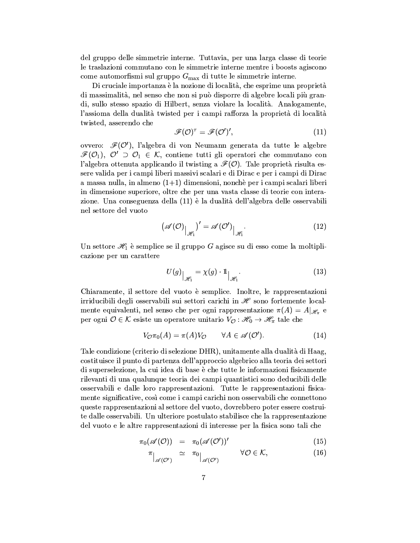del gruppo delle simmetrie interne. Tuttavia, per una larga classe di teorie le traslazioni commutano con le simmetrie interne mentre i boosts agiscono come automorfismi sul gruppo  $G_{\text{max}}$  di tutte le simmetrie interne.

Di cruciale importanza è la nozione di località, che esprime una proprietà di massimalità, nel senso che non si può disporre di algebre locali più grandi, sullo stesso spazio di Hilbert, senza violare la località. Analogamente, l'assioma della dualità twisted per i campi rafforza la proprietà di località twisted, asserendo che

$$
\mathscr{F}(\mathcal{O})^{\tau} = \mathscr{F}(\mathcal{O}')',\tag{11}
$$

ovvero:  $\mathcal{F}(\mathcal{O}')$ , l'algebra di von Neumann generata da tutte le algebre  $\mathcal{F}(\mathcal{O}_1)$ ,  $\mathcal{O}' \supset \mathcal{O}_1 \in \mathcal{K}$ , contiene tutti gli operatori che commutano con l'algebra ottenuta applicando il twisting a  $\mathcal{F}(\mathcal{O})$ . Tale proprietà risulta essere valida per i campi liberi massivi scalari e di Dirac e per i campi di Dirac a massa nulla, in almeno  $(1+1)$  dimensioni, nonchè per i campi scalari liberi in dimensione superiore, oltre che per una vasta classe di teorie con interazione. Una conseguenza della (11) è la dualità dell'algebra delle osservabili nel settore del vuoto

$$
\left(\mathscr{A}(\mathcal{O})\big|_{\mathscr{H}_1}\right)'=\mathscr{A}(\mathcal{O}')\big|_{\mathscr{H}_1}.\tag{12}
$$

Un settore  $\mathcal{H}_1$  è semplice se il gruppo G agisce su di esso come la moltiplicazione per un carattere

$$
U(g)|_{\mathscr{H}_1} = \chi(g) \cdot 1 \, |_{\mathscr{H}_1}.
$$
 (13)

Chiaramente, il settore del vuoto è semplice. Inoltre, le rappresentazioni irriducibili degli osservabili sui settori carichi in  $\mathscr H$  sono fortemente localmente equivalenti, nel senso che per ogni rappresentazione  $\pi(A) = A|_{\mathcal{H}_n}$  e per ogni $\mathcal{O}\in\mathcal{K}$ esiste un operatore unitario $V_{\mathcal{O}}:\mathscr{H}_{0}\to\mathscr{H}_{\pi}$ tale che

$$
V_{\mathcal{O}}\pi_0(A) = \pi(A)V_{\mathcal{O}} \qquad \forall A \in \mathscr{A}(\mathcal{O}'). \tag{14}
$$

Tale condizione (criterio di selezione DHR), unitamente alla dualità di Haag, costituisce il punto di partenza dell'approccio algebrico alla teoria dei settori di superselezione, la cui idea di base è che tutte le informazioni fisicamente rilevanti di una qualunque teoria dei campi quantistici sono deducibili delle osservabili e dalle loro rappresentazioni. Tutte le rappresentazioni fisicamente significative, così come i campi carichi non osservabili che connettono queste rappresentazioni al settore del vuoto, dovrebbero poter essere costruite dalle osservabili. Un ulteriore postulato stabilisce che la rappresentazione del vuoto e le altre rappresentazioni di interesse per la fisica sono tali che

$$
\pi_0(\mathscr{A}(O)) = \pi_0(\mathscr{A}(O'))'
$$
\n(15)

$$
\pi\Big|_{\mathscr{A}(\mathcal{O}')} \quad \simeq \quad \pi_0\Big|_{\mathscr{A}(\mathcal{O}')} \qquad \qquad \forall \mathcal{O} \in \mathcal{K}, \tag{16}
$$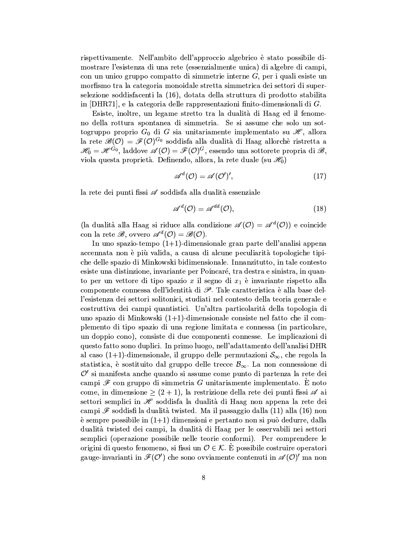rispettivamente. Nell'ambito dell'approccio algebrico è stato possibile dimostrare l'esistenza di una rete (essenzialmente unica) di algebre di campi, con un unico gruppo compatto di simmetrie interne  $G$ , per i quali esiste un morfismo tra la categoria monoidale stretta simmetrica dei settori di superselezione soddisfacenti la (16), dotata della struttura di prodotto stabilita in  $[DHR71]$ , e la categoria delle rappresentazioni finito-dimensionali di G.

Esiste, inoltre, un legame stretto tra la dualità di Haag ed il fenomeno della rottura spontanea di simmetria. Se si assume che solo un sottogruppo proprio  $G_0$  di G sia unitariamente implementato su  $\mathcal{H}$ , allora la rete  $\mathscr{B}(\mathcal{O}) = \mathscr{F}(\mathcal{O})^{G_0}$  soddisfa alla dualità di Haag allorchè ristretta a  $\mathscr{H}_0 = \mathscr{H}^{\dot{G}_0}$ , laddove  $\mathscr{A}(\mathcal{O}) = \mathscr{F}(\mathcal{O})^G$ , essendo una sottorete propria di  $\mathscr{B}$ , viola questa proprietà. Definendo, allora, la rete duale (su  $\mathcal{H}_0$ )

$$
\mathscr{A}^d(\mathcal{O}) = \mathscr{A}(\mathcal{O}')',\tag{17}
$$

la rete dei punti fissi  $\mathscr A$  soddisfa alla dualità essenziale

$$
\mathscr{A}^{d}(\mathcal{O}) = \mathscr{A}^{dd}(\mathcal{O}),\tag{18}
$$

(la dualità alla Haag si riduce alla condizione  $\mathscr{A}(\mathcal{O}) = \mathscr{A}^d(\mathcal{O})$ ) e coincide con la rete  $\mathscr{B}$ , ovvero  $\mathscr{A}^d(\mathcal{O}) = \mathscr{B}(\mathcal{O})$ .

In uno spazio-tempo  $(1+1)$ -dimensionale gran parte dell'analisi appena accennata non è più valida, a causa di alcune peculiarità topologiche tipiche delle spazio di Minkowski bidimensionale. Innanzitutto, in tale contesto esiste una distinzione, invariante per Poincaré, tra destra e sinistra, in quanto per un vettore di tipo spazio x il segno di  $x_1$  è invariante rispetto alla componente connessa dell'identità di  $\mathscr P$ . Tale caratteristica è alla base dell'esistenza dei settori solitonici, studiati nel contesto della teoria generale e costruttiva dei campi quantistici. Un'altra particolarità della topologia di uno spazio di Minkowski  $(1+1)$ -dimensionale consiste nel fatto che il complemento di tipo spazio di una regione limitata e connessa (in particolare, un doppio cono), consiste di due componenti connesse. Le implicazioni di questo fatto sono duplici. In primo luogo, nell'adattamento dell'analisi DHR al caso (1+1)-dimensionale, il gruppo delle permutazioni  $S_{\infty}$ , che regola la statistica, è sostituito dal gruppo delle trecce  $\mathcal{B}_{\infty}$ . La non connessione di  $\mathcal{O}'$  si manifesta anche quando si assume come punto di partenza la rete dei campi  $\mathscr F$  con gruppo di simmetria G unitariamente implementato. È noto come, in dimensione  $\geq (2 + 1)$ , la restrizione della rete dei punti fissi  $\mathscr A$  ai settori semplici in He soddisfa la dualità di Haag non appena la rete dei campi  $\mathscr F$  soddisfi la dualità twisted. Ma il passaggio dalla (11) alla (16) non è sempre possibile in  $(1+1)$  dimensioni e pertanto non si può dedurre, dalla dualità twisted dei campi, la dualità di Haag per le osservabili nei settori semplici (operazione possibile nelle teorie conformi). Per comprendere le origini di questo fenomeno, si fissi un  $\mathcal{O} \in \mathcal{K}$ . È possibile costruire operatori gauge-invarianti in  $\mathscr{F}(\mathcal{O}')$  che sono ovviamente contenuti in  $\mathscr{A}(\mathcal{O})'$  ma non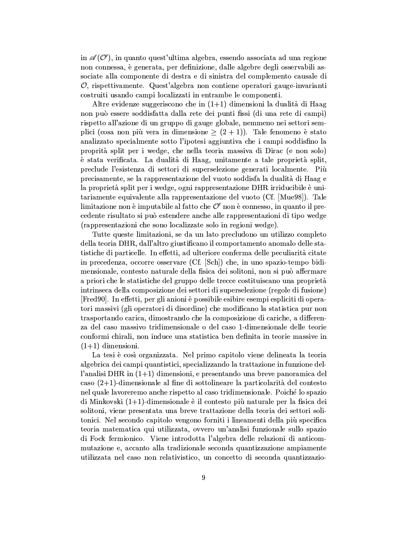in  $\mathscr{A}(\mathcal{O}')$ , in quanto quest'ultima algebra, essendo associata ad una regione non connessa, è generata, per definizione, dalle algebre degli osservabili associate alla componente di destra e di sinistra del complemento causale di  $\mathcal{O}$ , rispettivamente. Quest'algebra non contiene operatori gauge-invarianti costruiti usando campi localizzati in entrambe le componenti.

Altre evidenze suggeriscono che in  $(1+1)$  dimensioni la dualità di Haag non può essere soddisfatta dalla rete dei punti fissi (di una rete di campi) rispetto all'azione di un gruppo di gauge globale, nemmeno nei settori semplici (cosa non più vera in dimensione  $\geq (2 + 1)$ ). Tale fenomeno è stato analizzato specialmente sotto l'ipotesi aggiuntiva che i campi soddisfino la proprità split per i wedge, che nella teoria massiva di Dirac (e non solo) è stata verificata. La dualità di Haag, unitamente a tale proprietà split, preclude l'esistenza di settori di superselezione generati localmente. Più precisamente, se la rappresentazione del vuoto soddisfa la dualità di Haag e la proprietà split per i wedge, ogni rappresentazione DHR irriducibile è unitariamente equivalente alla rappresentazione del vuoto (Cf. [Mue98]). Tale limitazione non è imputabile al fatto che  $\mathcal{O}'$  non è connesso, in quanto il precedente risultato si può estendere anche alle rappresentazioni di tipo wedge (rappresentazioni che sono localizzate solo in regioni wedge).

Tutte queste limitazioni, se da un lato precludono un utilizzo completo della teoria DHR, dall'altro giustificano il comportamento anomalo delle statistiche di particelle. In effetti, ad ulteriore conferma delle peculiarità citate in precedenza, occorre osservare (Cf. [Sch]) che, in uno spazio-tempo bidimensionale, contesto naturale della fisica dei solitoni, non si può affermare a priori che le statistiche del gruppo delle trecce costituiscano una proprietà intrinseca della composizione dei settori di superselezione (regole di fusione) [Fred90]. In effetti, per gli anioni è possibile esibire esempi espliciti di operatori massivi (gli operatori di disordine) che modificano la statistica pur non trasportando carica, dimostrando che la composizione di cariche, a differenza del caso massivo tridimensionale o del caso 1-dimensionale delle teorie conformi chirali, non induce una statistica ben definita in teorie massive in  $(1+1)$  dimensioni.

La tesi è così organizzata. Nel primo capitolo viene delineata la teoria algebrica dei campi quantistici, specializzando la trattazione in funzione dell'analisi DHR in  $(1+1)$  dimensioni, e presentando una breve panoramica del caso  $(2+1)$ -dimensionale al fine di sottolineare la particolarità del contesto nel quale lavoreremo anche rispetto al caso tridimensionale. Poiché lo spazio di Minkovski  $(1+1)$ -dimensionale è il contesto più naturale per la fisica dei solitoni, viene presentata una breve trattazione della teoria dei settori solitonici. Nel secondo capitolo vengono forniti i lineamenti della più specifica teoria matematica qui utilizzata, ovvero un'analisi funzionale sullo spazio di Fock fermionico. Viene introdotta l'algebra delle relazioni di anticommutazione e, accanto alla tradizionale seconda quantizzazione ampiamente utilizzata nel caso non relativistico, un concetto di seconda quantizzazio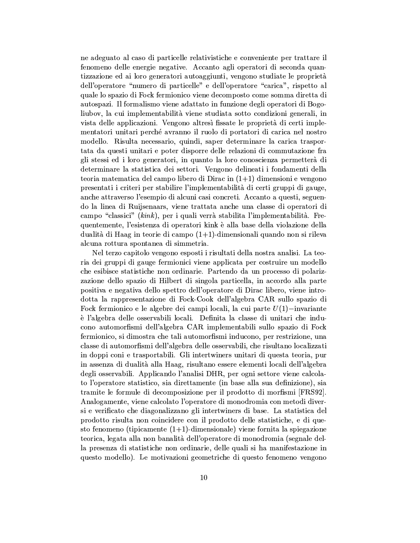ne adeguato al caso di particelle relativistiche e conveniente per trattare il fenomeno delle energie negative. Accanto agli operatori di seconda quantizzazione ed ai loro generatori autoaggiunti, vengono studiate le proprietà dell'operatore "numero di particelle" e dell'operatore "carica", rispetto al quale lo spazio di Fock fermionico viene decomposto come somma diretta di autospazi. Il formalismo viene adattato in funzione degli operatori di Bogoliubov, la cui implementabilità viene studiata sotto condizioni generali, in vista delle applicazioni. Vengono altresì fissate le proprietà di certi implementatori unitari perché avranno il ruolo di portatori di carica nel nostro modello. Risulta necessario, quindi, saper determinare la carica trasportata da questi unitari e poter disporre delle relazioni di commutazione fra gli stessi ed i loro generatori, in quanto la loro conoscienza permetterà di determinare la statistica dei settori. Vengono delineati i fondamenti della teoria matematica del campo libero di Dirac in  $(1+1)$  dimensioni e vengono presentati i criteri per stabilire l'implementabilità di certi gruppi di gauge, anche attraverso l'esempio di alcuni casi concreti. Accanto a questi, seguendo la linea di Ruijsenaars, viene trattata anche una classe di operatori di campo "classici" (kink), per i quali verrà stabilità l'implementabilità. Frequentemente, l'esistenza di operatori kink è alla base della violazione della dualità di Haag in teorie di campo  $(1+1)$ -dimensionali quando non si rileva alcuna rottura spontanea di simmetria.

Nel terzo capitolo vengono esposti i risultati della nostra analisi. La teoria dei gruppi di gauge fermionici viene applicata per costruire un modello che esibisce statistiche non ordinarie. Partendo da un processo di polarizzazione dello spazio di Hilbert di singola particella, in accordo alla parte positiva e negativa dello spettro dell'operatore di Dirac libero, viene introdotta la rappresentazione di Fock-Cook dell'algebra CAR sullo spazio di Fock fermionico e le algebre dei campi locali, la cui parte  $U(1)$ -invariante è l'algebra delle osservabili locali. Definita la classe di unitari che inducono automorfismi dell'algebra CAR implementabili sullo spazio di Fock fermionico, si dimostra che tali automorfismi inducono, per restrizione, una classe di automorfismi dell'algebra delle osservabili, che risultano localizzati in doppi coni e trasportabili. Gli intertwiners unitari di questa teoria, pur in assenza di dualità alla Haag, risultano essere elementi locali dell'algebra degli osservabili. Applicando l'analisi DHR, per ogni settore viene calcolato l'operatore statistico, sia direttamente (in base alla sua definizione), sia tramite le formule di decomposizione per il prodotto di morfismi [FRS92]. Analogamente, viene calcolato l'operatore di monodromia con metodi diversi e verificato che diagonalizzano gli intertwiners di base. La statistica del prodotto risulta non coincidere con il prodotto delle statistiche, e di questo fenomeno (tipicamente  $(1+1)$ -dimensionale) viene fornita la spiegazione teorica, legata alla non banalità dell'operatore di monodromia (segnale della presenza di statistiche non ordinarie, delle quali si ha manifestazione in questo modello). Le motivazioni geometriche di questo fenomeno vengono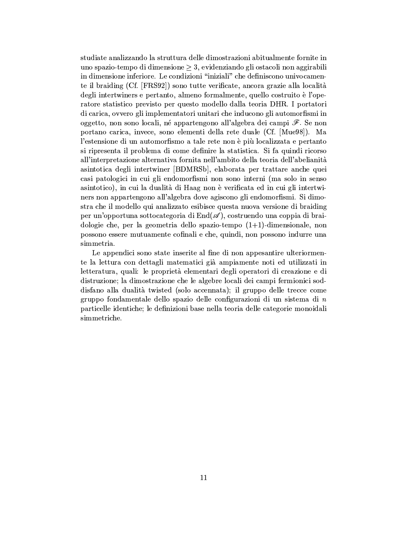studiate analizzando la struttura delle dimostrazioni abitualmente fornite in uno spazio-tempo di dimensione  $\geq 3$ , evidenziando gli ostacoli non aggirabili in dimensione inferiore. Le condizioni "iniziali" che definiscono univocamente il braiding (Cf. [FRS92]) sono tutte verificate, ancora grazie alla località degli intertwiners e pertanto, almeno formalmente, quello costruito è l'operatore statistico previsto per questo modello dalla teoria DHR. I portatori di carica, ovvero gli implementatori unitari che inducono gli automorfismi in oggetto, non sono locali, né appartengono all'algebra dei campi  $\mathscr F$ . Se non portano carica, invece, sono elementi della rete duale (Cf. [Mue98]). Ma l'estensione di un automorfismo a tale rete non è più localizzata e pertanto si ripresenta il problema di come definire la statistica. Si fa quindi ricorso all'interpretazione alternativa fornita nell'ambito della teoria dell'abelianità asintotica degli intertwiner [BDMRSb], elaborata per trattare anche quei casi patologici in cui gli endomorfismi non sono interni (ma solo in senso asintotico), in cui la dualità di Haag non è verificata ed in cui gli intertwiners non appartengono all'algebra dove agiscono gli endomorfismi. Si dimostra che il modello qui analizzato esibisce questa nuova versione di braiding per un'opportuna sottocategoria di  $End(\mathscr{A})$ , costruendo una coppia di braidologie che, per la geometria dello spazio-tempo  $(1+1)$ -dimensionale, non possono essere mutuamente cofinali e che, quindi, non possono indurre una simmetria.

Le appendici sono state inserite al fine di non appesantire ulteriormente la lettura con dettagli matematici già ampiamente noti ed utilizzati in letteratura, quali: le proprietà elementari degli operatori di creazione e di distruzione; la dimostrazione che le algebre locali dei campi fermionici soddisfano alla dualità twisted (solo accennata); il gruppo delle trecce come gruppo fondamentale dello spazio delle configurazioni di un sistema di  $n$ particelle identiche; le definizioni base nella teoria delle categorie monoidali simmetriche.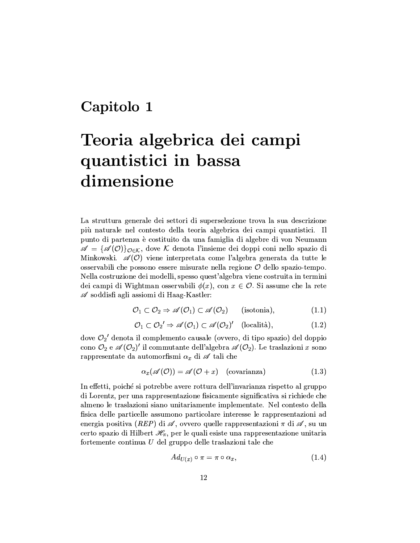## Capitolo 1

# Teoria algebrica dei campi quantistici in bassa dimensione

La struttura generale dei settori di superselezione trova la sua descrizione più naturale nel contesto della teoria algebrica dei campi quantistici. Il punto di partenza è costituito da una famiglia di algebre di von Neumann  $\mathscr{A} = {\mathscr{A}(0)}_{0 \in \mathcal{K}}$ , dove K denota l'insieme dei doppi coni nello spazio di Minkowski.  $\mathscr{A}(0)$  viene interpretata come l'algebra generata da tutte le osservabili che possono essere misurate nella regione  $\mathcal O$  dello spazio-tempo. Nella costruzione dei modelli, spesso quest'algebra viene costruita in termini dei campi di Wightman osservabili  $\phi(x)$ , con  $x \in \mathcal{O}$ . Si assume che la rete  $\mathscr A$  soddisfi agli assiomi di Haag-Kastler:

$$
\mathcal{O}_1 \subset \mathcal{O}_2 \Rightarrow \mathscr{A}(\mathcal{O}_1) \subset \mathscr{A}(\mathcal{O}_2) \qquad \text{(isotonia)},\tag{1.1}
$$

$$
\mathcal{O}_1 \subset \mathcal{O}_2' \Rightarrow \mathscr{A}(\mathcal{O}_1) \subset \mathscr{A}(\mathcal{O}_2)' \quad \text{(località)},\tag{1.2}
$$

dove  $\mathcal{O}_2$ ' denota il complemento causale (ovvero, di tipo spazio) del doppio cono  $\mathcal{O}_2$  e  $\mathscr{A}(\mathcal{O}_2)'$  il commutante dell'algebra  $\mathscr{A}(\mathcal{O}_2)$ . Le traslazioni x sono rappresentate da automorfismi $\alpha_x$ di  ${\mathscr A}$ tali che

$$
\alpha_x(\mathscr{A}(0)) = \mathscr{A}(0+x) \quad \text{(covarianza)} \tag{1.3}
$$

In effetti, poiché si potrebbe avere rottura dell'invarianza rispetto al gruppo di Lorentz, per una rappresentazione fisicamente significativa si richiede che almeno le traslazioni siano unitariamente implementate. Nel contesto della fisica delle particelle assumono particolare interesse le rappresentazioni ad energia positiva (REP) di  $\mathscr A$ , ovvero quelle rappresentazioni  $\pi$  di  $\mathscr A$ , su un certo spazio di Hilbert  $\mathcal{H}_{\pi}$ , per le quali esiste una rappresentazione unitaria fortemente continua  $U$  del gruppo delle traslazioni tale che

$$
Ad_{U(x)} \circ \pi = \pi \circ \alpha_x,\tag{1.4}
$$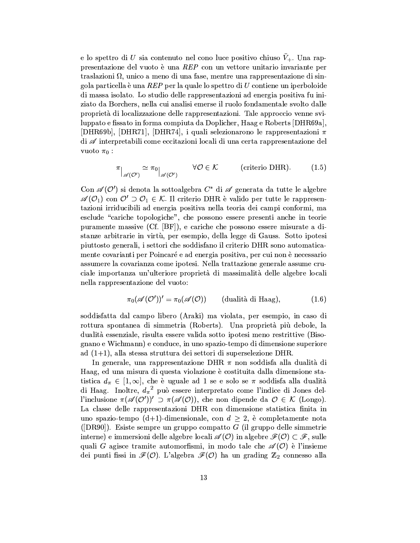e lo spettro di U sia contenuto nel cono luce positivo chiuso  $\bar{V}_+$ . Una rappresentazione del vuoto è una REP con un vettore unitario invariante per traslazioni  $\Omega$ , unico a meno di una fase, mentre una rappresentazione di singola particella è una REP per la quale lo spettro di  $U$  contiene un iperboloide di massa isolato. Lo studio delle rappresentazioni ad energia positiva fu iniziato da Borchers, nella cui analisi emerse il ruolo fondamentale svolto dalle proprietà di localizzazione delle rappresentazioni. Tale approccio venne sviluppato e fissato in forma compiuta da Doplicher, Haag e Roberts [DHR69a], [DHR69b], [DHR71], [DHR74], i quali selezionarono le rappresentazioni  $\pi$ di  $\mathscr A$  interpretabili come eccitazioni locali di una certa rappresentazione del vuoto  $\pi_0$ :

$$
\pi\Big|_{\mathscr{A}(\mathcal{O}')} \simeq \pi_0\Big|_{\mathscr{A}(\mathcal{O}')} \qquad \forall \mathcal{O} \in \mathcal{K} \qquad \text{(criterion DHR)}.
$$
 (1.5)

Con  $\mathscr{A}(\mathcal{O}')$  si denota la sottoalgebra  $C^*$  di  $\mathscr{A}$  generata da tutte le algebre  $\mathscr{A}(\mathcal{O}_1)$  con  $\mathcal{O}' \supset \mathcal{O}_1 \in \mathcal{K}$ . Il criterio DHR è valido per tutte le rappresentazioni irriducibili ad energia positiva nella teoria dei campi conformi, ma esclude "cariche topologiche", che possono essere presenti anche in teorie puramente massive (Cf. [BF]), e cariche che possono essere misurate a distanze arbitrarie in virtù, per esempio, della legge di Gauss. Sotto ipotesi piuttosto generali, i settori che soddisfano il criterio DHR sono automaticamente covarianti per Poincaré e ad energia positiva, per cui non è necessario assumere la covarianza come ipotesi. Nella trattazione generale assume cruciale importanza un'ulteriore proprietà di massimalità delle algebre locali nella rappresentazione del vuoto:

$$
\pi_0(\mathscr{A}(O'))' = \pi_0(\mathscr{A}(O)) \qquad \text{(dualità di Haag)}, \tag{1.6}
$$

soddisfatta dal campo libero (Araki) ma violata, per esempio, in caso di rottura spontanea di simmetria (Roberts). Una proprietà più debole, la dualità essenziale, risulta essere valida sotto ipotesi meno restrittive (Bisognano e Wichmann) e conduce, in uno spazio-tempo di dimensione superiore ad  $(1+1)$ , alla stessa struttura dei settori di superselezione DHR.

In generale, una rappresentazione DHR  $\pi$  non soddisfa alla dualità di Haag, ed una misura di questa violazione è costituita dalla dimensione statistica  $d_{\pi} \in [1, \infty]$ , che è uguale ad 1 se e solo se  $\pi$  soddisfa alla dualità di Haag. Inoltre,  $d_{\pi}^2$  può essere interpretato come l'indice di Jones dell'inclusione  $\pi(\mathscr{A}(O'))' \supset \pi(\mathscr{A}(O))$ , che non dipende da  $O \in \mathcal{K}$  (Longo). La classe delle rappresentazioni DHR con dimensione statistica finita in uno spazio-tempo (d+1)-dimensionale, con  $d \geq 2$ , è completamente nota ([DR90]). Esiste sempre un gruppo compatto  $G$  (il gruppo delle simmetrie interne) e immersioni delle algebre locali  $\mathscr{A}(\mathcal{O})$  in algebre  $\mathscr{F}(\mathcal{O}) \subset \mathscr{F}$ , sulle quali G agisce tramite automorfismi, in modo tale che  $\mathscr{A}(\mathcal{O})$  è l'insieme dei punti fissi in  $\mathcal{F}(\mathcal{O})$ . L'algebra  $\mathcal{F}(\mathcal{O})$  ha un grading  $\mathbb{Z}_2$  connesso alla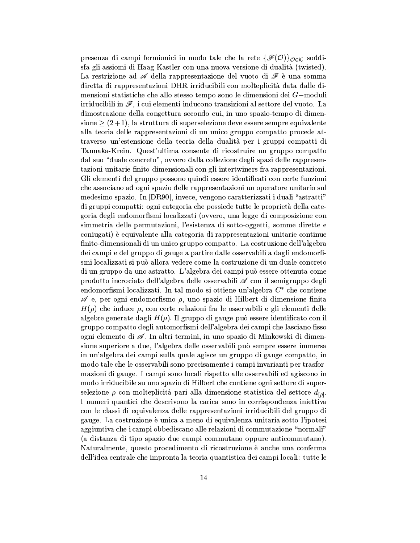presenza di campi fermionici in modo tale che la rete  $\{\mathscr{F}(0)\}_{0\in\mathcal{K}}$  soddisfa gli assiomi di Haag-Kastler con una nuova versione di dualità (twisted). La restrizione ad  $\mathscr A$  della rappresentazione del vuoto di  $\mathscr F$  è una somma diretta di rappresentazioni DHR irriducibili con molteplicità data dalle dimensioni statistiche che allo stesso tempo sono le dimensioni dei G-moduli irriducibili in  $\mathscr{F}$ , i cui elementi inducono transizioni al settore del vuoto. La dimostrazione della congettura secondo cui, in uno spazio-tempo di dimensione  $\geq (2+1)$ , la struttura di superselezione deve essere sempre equivalente alla teoria delle rappresentazioni di un unico gruppo compatto procede attraverso un'estensione della teoria della dualità per i gruppi compatti di Tannaka-Krein. Quest'ultima consente di ricostruire un gruppo compatto dal suo "duale concreto", ovvero dalla collezione degli spazi delle rappresentazioni unitarie finito-dimensionali con gli intertwiners fra rappresentazioni. Gli elementi del gruppo possono quindi essere identificati con certe funzioni che associano ad ogni spazio delle rappresentazioni un operatore unitario sul medesimo spazio. In [DR90], invece, vengono caratterizzati i duali "astratti" di gruppi compatti: ogni categoria che possiede tutte le proprietà della categoria degli endomorfismi localizzati (ovvero, una legge di composizione con simmetria delle permutazioni, l'esistenza di sotto-oggetti, somme dirette e coniugati) è equivalente alla categoria di rappresentazioni unitarie continue finito-dimensionali di un unico gruppo compatto. La costruzione dell'algebra dei campi e del gruppo di gauge a partire dalle osservabili a dagli endomorfismi localizzati si può allora vedere come la costruzione di un duale concreto di un gruppo da uno astratto. L'algebra dei campi può essere ottenuta come prodotto incrociato dell'algebra delle osservabili  $\mathscr A$  con il semigruppo degli endomorfismi localizzati. In tal modo si ottiene un'algebra  $C^*$  che contiene  $\mathscr A$  e, per ogni endomorfismo  $\rho$ , uno spazio di Hilbert di dimensione finita  $H(\rho)$  che induce  $\rho$ , con certe relazioni fra le osservabili e gli elementi delle algebre generate dagli  $H(\rho)$ . Il gruppo di gauge può essere identificato con il gruppo compatto degli automorfismi dell'algebra dei campi che lasciano fisso ogni elemento di A. In altri termini, in uno spazio di Minkowski di dimensione superiore a due, l'algebra delle osservabili può sempre essere immersa in un'algebra dei campi sulla quale agisce un gruppo di gauge compatto, in modo tale che le osservabili sono precisamente i campi invarianti per trasformazioni di gauge. I campi sono locali rispetto alle osservabili ed agiscono in modo irriducibile su uno spazio di Hilbert che contiene ogni settore di superselezione  $\rho$  con molteplicità pari alla dimensione statistica del settore  $d_{\lbrack\rho\rbrack}$ . I numeri quantici che descrivono la carica sono in corrispondenza iniettiva con le classi di equivalenza delle rappresentazioni irriducibili del gruppo di gauge. La costruzione è unica a meno di equivalenza unitaria sotto l'ipotesi aggiuntiva che i campi obbediscano alle relazioni di commutazione "normali" (a distanza di tipo spazio due campi commutano oppure anticommutano). Naturalmente, questo procedimento di ricostruzione è anche una conferma dell'idea centrale che impronta la teoria quantistica dei campi locali: tutte le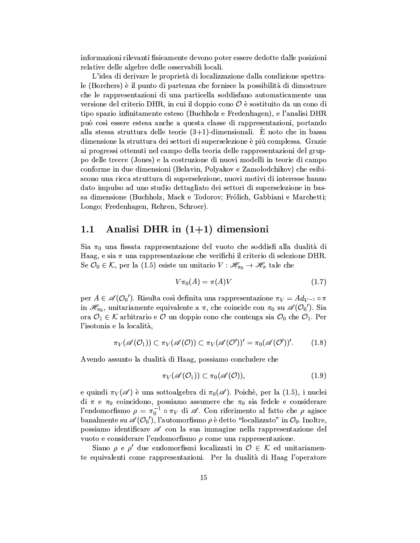informazioni rilevanti fisicamente devono poter essere dedotte dalle posizioni relative delle algebre delle osservabili locali.

L'idea di derivare le proprietà di localizzazione dalla condizione spettrale (Borchers) è il punto di partenza che fornisce la possibilità di dimostrare che le rappresentazioni di una particella soddisfano automaticamente una versione del criterio DHR, in cui il doppio cono  $\mathcal O$  è sostituito da un cono di tipo spazio infinitamente esteso (Buchholz e Fredenhagen), e l'analisi DHR può così essere estesa anche a questa classe di rappresentazioni, portando alla stessa struttura delle teorie  $(3+1)$ -dimensionali. È noto che in bassa dimensione la struttura dei settori di superselezione è più complessa. Grazie ai progressi ottenuti nel campo della teoria delle rappresentazioni del gruppo delle trecce (Jones) e la costruzione di nuovi modelli in teorie di campo conforme in due dimensioni (Belavin, Polyakov e Zamolodchikov) che esibiscono una ricca struttura di superselezione, nuovi motivi di interesse hanno dato impulso ad uno studio dettagliato dei settori di superselezione in bassa dimensione (Buchholz, Mack e Todorov; Frölich, Gabbiani e Marchetti; Longo; Fredenhagen, Rehren, Schroer).

### Analisi DHR in  $(1+1)$  dimensioni  $1.1$

Sia  $\pi_0$  una fissata rappresentazione del vuoto che soddisfi alla dualità di Haag, e sia  $\pi$  una rappresentazione che verifichi il criterio di selezione DHR. Se  $\mathcal{O}_0 \in \mathcal{K}$ , per la (1.5) esiste un unitario  $V : \mathcal{H}_{\pi_0} \to \mathcal{H}_{\pi}$  tale che

$$
V\pi_0(A) = \pi(A)V\tag{1.7}
$$

per  $A \in \mathscr{A}(\mathcal{O}_0)$ . Risulta così definita una rappresentazione  $\pi_V = Ad_{V^{-1}} \circ \pi$ in  $\mathscr{H}_{\pi_0}$ , unitariamente equivalente a  $\pi$ , che coincide con  $\pi_0$  su  $\mathscr{A}(\mathcal{O}_0')$ . Sia ora  $\mathcal{O}_1 \in \mathcal{K}$  arbitrario e  $\mathcal O$  un doppio cono che contenga sia  $\mathcal O_0$  che  $\mathcal O_1$ . Per l'isotonia e la località,

$$
\pi_V(\mathscr{A}(O_1)) \subset \pi_V(\mathscr{A}(O)) \subset \pi_V(\mathscr{A}(O'))' = \pi_0(\mathscr{A}(O'))'.
$$
 (1.8)

Avendo assunto la dualità di Haag, possiamo concludere che

$$
\pi_V(\mathscr{A}(O_1)) \subset \pi_0(\mathscr{A}(O)), \tag{1.9}
$$

e quindi  $\pi_V(\mathscr{A})$  è una sottoalgebra di  $\pi_0(\mathscr{A})$ . Poichè, per la (1.5), i nuclei di  $\pi$  e  $\pi_0$  coincidono, possiamo assumere che  $\pi_0$  sia fedele e considerare l'endomorfismo  $\rho = \pi_0^{-1} \circ \pi_V$  di  $\mathscr{A}$ . Con riferimento al fatto che  $\rho$  agisce banalmente su  $\mathscr{A}(O_0)$ , l'automorfismo  $\rho$  è detto "localizzato" in  $O_0$ . Inoltre, possiamo identificare o con la sua immagine nella rappresentazione del vuoto e considerare l'endomorfismo  $\rho$  come una rappresentazione.

Siano  $\rho$  e  $\rho'$  due endomorfismi localizzati in  $\mathcal{O} \in \mathcal{K}$  ed unitariamente equivalenti come rappresentazioni. Per la dualità di Haag l'operatore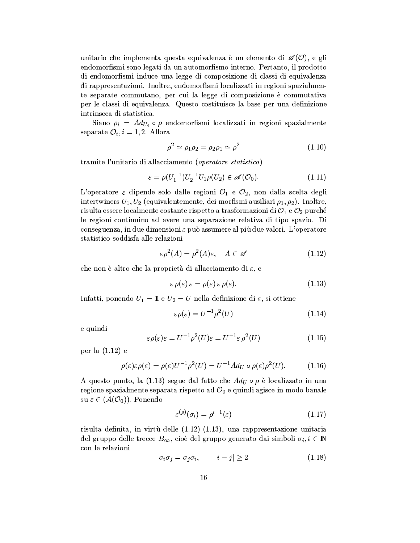unitario che implementa questa equivalenza è un elemento di  $\mathscr{A}(0)$ , e gli endomorfismi sono legati da un automorfismo interno. Pertanto, il prodotto di endomorfismi induce una legge di composizione di classi di equivalenza di rappresentazioni. Inoltre, endomorfismi localizzati in regioni spazialmente separate commutano, per cui la legge di composizione è commutativa per le classi di equivalenza. Questo costituisce la base per una definizione intrinseca di statistica.

Siano  $\rho_i = Ad_{U_i} \circ \rho$  endomorfismi localizzati in regioni spazialmente separate  $\mathcal{O}_i$ ,  $i=1,2$ . Allora

$$
\rho^2 \simeq \rho_1 \rho_2 = \rho_2 \rho_1 \simeq \rho^2 \tag{1.10}
$$

tramite l'unitario di allacciamento (operatore statistico)

$$
\varepsilon = \rho(U_1^{-1})U_2^{-1}U_1\rho(U_2) \in \mathscr{A}(\mathcal{O}_0). \tag{1.11}
$$

L'operatore  $\varepsilon$  dipende solo dalle regioni  $\mathcal{O}_1$  e  $\mathcal{O}_2$ , non dalla scelta degli intertwiners  $U_1, U_2$  (equivalentemente, dei morfismi ausiliari  $\rho_1, \rho_2$ ). Inoltre, risulta essere localmente costante rispetto a trasformazioni di  $\mathcal{O}_1$  e  $\mathcal{O}_2$  purché le regioni continuino ad avere una separazione relativa di tipo spazio. Di conseguenza, in due dimensioni  $\varepsilon$  può assumere al più due valori. L'operatore statistico soddisfa alle relazioni

$$
\varepsilon \rho^2(A) = \rho^2(A)\varepsilon, \quad A \in \mathscr{A} \tag{1.12}
$$

che non è altro che la proprietà di allacciamento di  $\varepsilon$ , e

$$
\varepsilon \,\rho(\varepsilon)\,\varepsilon = \rho(\varepsilon)\,\varepsilon \,\rho(\varepsilon). \tag{1.13}
$$

Infatti, ponendo  $U_1 = \mathbb{1}$  e  $U_2 = U$  nella definizione di  $\varepsilon$ , si ottiene

$$
\varepsilon \rho(\varepsilon) = U^{-1} \rho^2(U) \tag{1.14}
$$

e quindi

$$
\varepsilon \rho(\varepsilon)\varepsilon = U^{-1}\rho^2(U)\varepsilon = U^{-1}\varepsilon \rho^2(U) \tag{1.15}
$$

per la  $(1.12)$  e

$$
\rho(\varepsilon)\varepsilon\rho(\varepsilon) = \rho(\varepsilon)U^{-1}\rho^2(U) = U^{-1}Ad_U \circ \rho(\varepsilon)\rho^2(U). \tag{1.16}
$$

A questo punto, la (1.13) segue dal fatto che  $Ad<sub>U</sub> \circ \rho$  è localizzato in una regione spazialmente separata rispetto ad  $\mathcal{O}_0$  e quindi agisce in modo banale su  $\varepsilon \in (\mathcal{A}(\mathcal{O}_0)).$  Ponendo

$$
\varepsilon^{(\rho)}(\sigma_i) = \rho^{i-1}(\varepsilon) \tag{1.17}
$$

risulta definita, in virtù delle  $(1.12)$ - $(1.13)$ , una rappresentazione unitaria del gruppo delle trecce  $B_{\infty}$ , cioè del gruppo generato dai simboli  $\sigma_i, i \in \mathbb{N}$ con le relazioni

$$
\sigma_i \sigma_j = \sigma_j \sigma_i, \qquad |i - j| \ge 2 \tag{1.18}
$$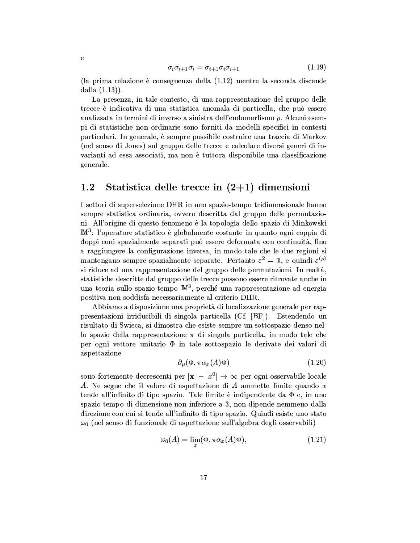$$
\sigma_i \sigma_{i+1} \sigma_i = \sigma_{i+1} \sigma_i \sigma_{i+1} \tag{1.19}
$$

(la prima relazione è conseguenza della (1.12) mentre la seconda discende dalla  $(1.13)$ .

e

La presenza, in tale contesto, di una rappresentazione del gruppo delle trecce è indicativa di una statistica anomala di particella, che può essere analizzata in termini di inverso a sinistra dell'endomorfismo  $\rho$ . Alcuni esempi di statistiche non ordinarie sono forniti da modelli specifici in contesti particolari. In generale, è sempre possibile costruire una traccia di Markov (nel senso di Jones) sul gruppo delle trecce e calcolare diversi generi di invarianti ad essa associati, ma non è tuttora disponibile una classificazione generale.

### $1.2\,$ Statistica delle trecce in  $(2+1)$  dimensioni

I settori di superselezione DHR in uno spazio-tempo tridimensionale hanno sempre statistica ordinaria, ovvero descritta dal gruppo delle permutazioni. All'origine di questo fenomeno è la topologia dello spazio di Minkowski  $\mathbb{M}^3$ : l'operatore statistico è globalmente costante in quanto ogni coppia di doppi coni spazialmente separati può essere deformata con continuità, fino a raggiungere la configurazione inversa, in modo tale che le due regioni si mantengano sempre spazialmente separate. Pertanto  $\varepsilon^2 = 1$ , e quindi  $\varepsilon^{(\rho)}$ si riduce ad una rappresentazione del gruppo delle permutazioni. In realtà, statistiche descritte dal gruppo delle trecce possono essere ritrovate anche in una teoria sullo spazio-tempo  $\mathbb{M}^3$ , perché una rappresentazione ad energia positiva non soddisfa necessariamente al criterio DHR.

Abbiamo a disposizione una proprietà di localizzazione generale per rappresentazioni irriducibili di singola particella (Cf. [BF]). Estendendo un risultato di Swieca, si dimostra che esiste sempre un sottospazio denso nello spazio della rappresentazione  $\pi$  di singola particella, in modo tale che per ogni vettore unitario  $\Phi$  in tale sottospazio le derivate dei valori di aspettazione

$$
\partial_{\mu}(\Phi, \pi \alpha_x(A)\Phi) \tag{1.20}
$$

sono fortemente decrescenti per  $|\mathbf{x}| - |x^0| \to \infty$  per ogni osservabile locale A. Ne segue che il valore di aspettazione di A ammette limite quando x tende all'infinito di tipo spazio. Tale limite è indipendente da  $\Phi$  e, in uno spazio-tempo di dimensione non inferiore a 3, non dipende nemmeno dalla direzione con cui si tende all'infinito di tipo spazio. Quindi esiste uno stato  $\omega_0$  (nel senso di funzionale di aspettazione sull'algebra degli osservabili)

$$
\omega_0(A) = \lim_{x} (\Phi, \pi \alpha_x(A)\Phi), \tag{1.21}
$$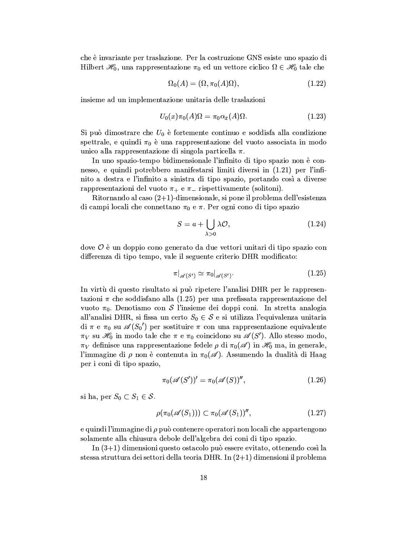che è invariante per traslazione. Per la costruzione GNS esiste uno spazio di Hilbert  $\mathscr{H}_0$ , una rappresentazione  $\pi_0$  ed un vettore ciclico  $\Omega \in \mathscr{H}_0$  tale che

$$
\Omega_0(A) = (\Omega, \pi_0(A)\Omega),\tag{1.22}
$$

insieme ad un implementazione unitaria delle traslazioni

$$
U_0(x)\pi_0(A)\Omega = \pi_0\alpha_x(A)\Omega.
$$
\n(1.23)

Si può dimostrare che  $U_0$  è fortemente continuo e soddisfa alla condizione spettrale, e quindi  $\pi_0$  è una rappresentazione del vuoto associata in modo unico alla rappresentazione di singola particella  $\pi$ .

In uno spazio-tempo bidimensionale l'infinito di tipo spazio non è connesso, e quindi potrebbero manifestarsi limiti diversi in (1.21) per l'infinito a destra e l'infinito a sinistra di tipo spazio, portando così a diverse rappresentazioni del vuoto  $\pi_+$  e  $\pi_-$  rispettivamente (solitoni).

Ritornando al caso  $(2+1)$ -dimensionale, si pone il problema dell'esistenza di campi locali che connettano  $\pi_0$  e  $\pi$ . Per ogni cono di tipo spazio

$$
S = a + \bigcup_{\lambda > 0} \lambda \mathcal{O},\tag{1.24}
$$

dove  $\mathcal O$  è un doppio cono generato da due vettori unitari di tipo spazio con differenza di tipo tempo, vale il seguente criterio DHR modificato:

$$
\pi|_{\mathscr{A}(S')} \simeq \pi_0|_{\mathscr{A}(S')}.\tag{1.25}
$$

In virtù di questo risultato si può ripetere l'analisi DHR per le rappresentazioni  $\pi$  che soddisfano alla (1.25) per una prefissata rappresentazione del vuoto  $\pi_0$ . Denotiamo con S l'insieme dei doppi coni. In stretta analogia all'analisi DHR, si fissa un certo  $S_0 \in \mathcal{S}$  e si utilizza l'equivalenza unitaria di  $\pi$  e  $\pi_0$  su  $\mathscr{A}(S_0)$  per sostituire  $\pi$  con una rappresentazione equivalente  $\pi_V$  su  $\mathscr{H}_0$  in modo tale che  $\pi$  e  $\pi_0$  coincidono su  $\mathscr{A}(S')$ . Allo stesso modo,  $\pi_V$  definisce una rappresentazione fedele  $\rho$  di  $\pi_0(\mathscr{A})$  in  $\mathscr{H}_0$  ma, in generale, l'immagine di  $\rho$  non è contenuta in  $\pi_0(\mathscr{A})$ . Assumendo la dualità di Haag per i coni di tipo spazio.

$$
\pi_0(\mathscr{A}(S'))' = \pi_0(\mathscr{A}(S))'',\tag{1.26}
$$

si ha, per  $S_0 \subset S_1 \in \mathcal{S}$ .

$$
\rho(\pi_0(\mathscr{A}(S_1))) \subset \pi_0(\mathscr{A}(S_1))''
$$
\n
$$
(1.27)
$$

e quindi l'immagine di  $\rho$  può contenere operatori non locali che appartengono solamente alla chiusura debole dell'algebra dei coni di tipo spazio.

In  $(3+1)$  dimensioni questo ostacolo può essere evitato, ottenendo così la stessa struttura dei settori della teoria DHR. In  $(2+1)$  dimensioni il problema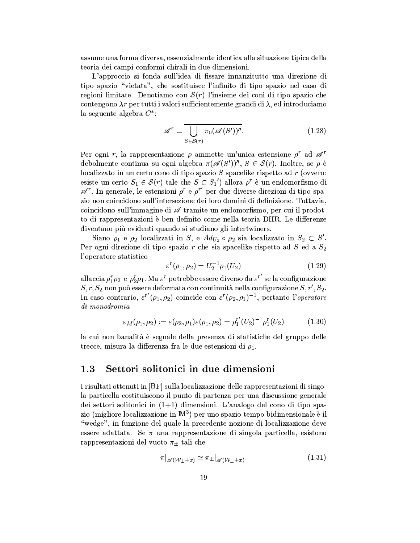assume una forma diversa, essenzialmente identica alla situazione tipica della teoria dei campi conformi chirali in due dimensioni.

L'approccio si fonda sull'idea di fissare innanzitutto una direzione di tipo spazio "vietata", che sostituisce l'infinito di tipo spazio nel caso di regioni limitate. Denotiamo con  $\mathcal{S}(r)$  l'insieme dei coni di tipo spazio che contengono  $\lambda r$  per tutti i valori sufficientemente grandi di  $\lambda$ , ed introduciamo la seguente algebra  $C^*$ :

$$
\mathscr{A}^r = \overline{\bigcup_{S \in \mathcal{S}(r)} \pi_0(\mathscr{A}(S'))^{\prime \prime}}.
$$
\n(1.28)

Per ogni r, la rappresentazione  $\rho$  ammette un'unica estensione  $\rho^r$  ad  $\mathscr{A}^r$ debolmente continua su ogni algebra  $\pi(\mathscr{A}(S'))''$ ,  $S \in \mathcal{S}(r)$ . Inoltre, se  $\rho$  è localizzato in un certo cono di tipo spazio  $S$  spacelike rispetto ad  $r$  (ovvero: esiste un certo  $S_1 \in \mathcal{S}(r)$  tale che  $S \subset S_1'$  allora  $\rho^r$  è un endomorfismo di  $\mathscr{A}^r$ . In generale, le estensioni  $\rho^r$  e  $\rho^{r'}$  per due diverse direzioni di tipo spazio non coincidono sull'intersezione dei loro domini di definizione. Tuttavia, coincidono sull'immagine di Atramite un endomorfismo, per cui il prodotto di rappresentazioni è ben definito come nella teoria DHR. Le differenze diventano più evidenti quando si studiano gli intertwiners.

Siano  $\rho_1$  e  $\rho_2$  localizzati in S, e  $Ad_{U_2} \circ \rho_2$  sia localizzato in  $S_2 \subset S'$ . Per ogni direzione di tipo spazio r che sia spacelike rispetto ad S ed a  $S_2$ l'operatore statistico

$$
\varepsilon^{r}(\rho_1, \rho_2) = U_2^{-1}\rho_1(U_2)
$$
\n(1.29)

allaccia  $\rho_1^r \rho_2$  e  $\rho_2^r \rho_1$ . Ma  $\varepsilon^r$  potrebbe essere diverso da  $\varepsilon^{r'}$  se la configurazione  $S, r, S_2$  non può essere deformata con continuità nella configurazione  $S, r', S_2$ . In caso contrario,  $\varepsilon^{r'}(\rho_1,\rho_2)$  coincide con  $\varepsilon^{r}(\rho_2,\rho_1)^{-1}$ , pertanto l'operatore di monodromia

$$
\varepsilon_M(\rho_1, \rho_2) := \varepsilon(\rho_2, \rho_1)\varepsilon(\rho_1, \rho_2) = \rho_1^{r'}(U_2)^{-1}\rho_1^{r}(U_2)
$$
(1.30)

la cui non banalità è segnale della presenza di statistiche del gruppo delle trecce, misura la differenza fra le due estensioni di  $\rho_1$ .

#### $1.3$ Settori solitonici in due dimensioni

I risultati ottenuti in [BF] sulla localizzazione delle rappresentazioni di singola particella costituiscono il punto di partenza per una discussione generale dei settori solitonici in  $(1+1)$  dimensioni. L'analogo del cono di tipo spazio (migliore localizzazione in  $\mathbb{M}^3$ ) per uno spazio-tempo bidimensionale è il "wedge", in funzione del quale la precedente nozione di localizzazione deve essere adattata. Se  $\pi$  una rappresentazione di singola particella, esistono rappresentazioni del vuoto  $\pi_{\pm}$  tali che

$$
\pi|_{\mathscr{A}(\mathcal{W}_{\pm}+x)} \simeq \pi_{\pm}|_{\mathscr{A}(\mathcal{W}_{\pm}+x)}.\tag{1.31}
$$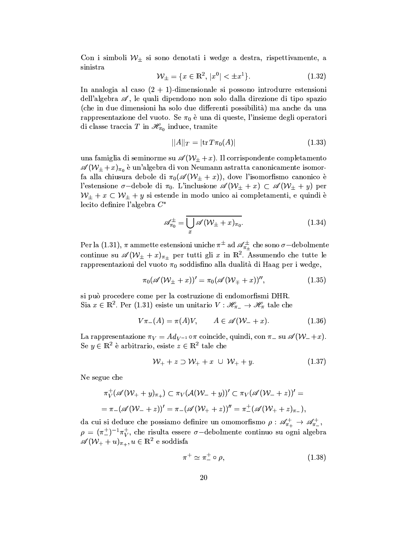Con i simboli  $W_{\pm}$  si sono denotati i wedge a destra, rispettivamente, a sinistra

$$
\mathcal{W}_{\pm} = \{ x \in \mathbb{R}^2, \, |x^0| < \pm x^1 \}. \tag{1.32}
$$

In analogia al caso  $(2 + 1)$ -dimensionale si possono introdurre estensioni dell'algebra  $\mathscr{A}$ , le quali dipendono non solo dalla direzione di tipo spazio (che in due dimensioni ha solo due differenti possibilità) ma anche da una rappresentazione del vuoto. Se  $\pi_0$  è una di queste, l'insieme degli operatori di classe traccia T in  $\mathscr{H}_{\pi_0}$  induce, tramite

$$
||A||_T = |\text{tr } T\pi_0(A)| \tag{1.33}
$$

una famiglia di seminorme su  $\mathscr{A}(W_{\pm}+x)$ . Il corrispondente completamento  $\mathscr{A}(W_{\pm}+x)_{\pi_0}$ è un'algebra di von Neumann astratta canonicamente isomorfa alla chiusura debole di  $\pi_0(\mathscr{A}(W_\pm + x))$ , dove l'isomorfismo canonico è l'estensione  $\sigma$ -debole di  $\pi_0$ . L'inclusione  $\mathscr{A}(\mathcal{W}_\pm + x) \subset \mathscr{A}(\mathcal{W}_\pm + y)$  per  $W_{\pm} + x \subset W_{\pm} + y$  si estende in modo unico ai completamenti, e quindi è lecito definire l'algebra  $C^*$ 

$$
\mathscr{A}_{\pi_0}^{\pm} = \overline{\bigcup_{x} \mathscr{A}(\mathcal{W}_{\pm} + x)_{\pi_0}}.
$$
 (1.34)

Per la (1.31),  $\pi$  ammette estensioni uniche  $\pi^{\pm}$  ad  $\mathscr{A}_{\pi_{\pm}}^{\pm}$  che sono  $\sigma$ -debolmente continue su  $\mathscr{A}(\mathcal{W}_{\pm}+x)_{\pi_{\pm}}$  per tutti gli x in  $\mathbb{R}^2$ . Assumendo che tutte le rappresentazioni del vuoto  $\pi_0$  soddisfino alla dualità di Haag per i wedge,

$$
\pi_0(\mathscr{A}(\mathcal{W}_\pm + x))' = \pi_0(\mathscr{A}(\mathcal{W}_\mp + x))'',\tag{1.35}
$$

si può procedere come per la costruzione di endomorfismi DHR. Sia  $x \in \mathbb{R}^2$ . Per (1.31) esiste un unitario  $V : \mathscr{H}_{\pi_{-}} \to \mathscr{H}_{\pi}$  tale che

$$
V\pi_{-}(A) = \pi(A)V, \qquad A \in \mathscr{A}(\mathcal{W}_{-} + x). \tag{1.36}
$$

La rappresentazione  $\pi_V = Ad_{V^{-1}} \circ \pi$  coincide, quindi, con  $\pi_{-}$  su  $\mathscr{A}(W_{-}+x)$ . Se  $y \in \mathbb{R}^2$  è arbitrario, esiste  $z \in \mathbb{R}^2$  tale che

$$
\mathcal{W}_+ + z \supset \mathcal{W}_+ + x \cup \mathcal{W}_+ + y. \tag{1.37}
$$

Ne segue che

$$
\pi_V^+ (\mathscr{A}(W_+ + y)_{\pi_+}) \subset \pi_V (\mathscr{A}(W_- + y))' \subset \pi_V (\mathscr{A}(W_- + z))' =
$$
  
=  $\pi_- (\mathscr{A}(W_- + z))' = \pi_- (\mathscr{A}(W_+ + z))'' = \pi_-^+ (\mathscr{A}(W_+ + z)_{\pi_-}),$ 

da cui si deduce che possiamo definire un omomorfismo  $\rho: \mathscr{A}_{\pi_+}^+ \to \mathscr{A}_{\pi_-}^+$  $\rho = (\pi_{-}^{+})^{-1} \pi_{V}^{+}$ , che risulta essere  $\sigma$ -debolmente continuo su ogni algebra  $\mathscr{A}(\mathcal{W}_+ + u)_{\pi_+}, u \in \mathbb{R}^2$  e soddisfa

$$
\pi^+ \simeq \pi^+_- \circ \rho,\tag{1.38}
$$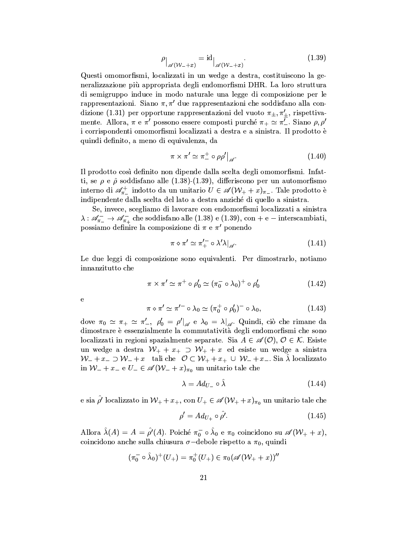$$
\rho_{\vert_{\mathscr{A}(\mathcal{W}_-+x)}} = \mathrm{id}_{\vert_{\mathscr{A}(\mathcal{W}_-+x)}}.
$$
\n(1.39)

Questi omomorfismi, localizzati in un wedge a destra, costituiscono la generalizzazione più appropriata degli endomorfismi DHR. La loro struttura di semigruppo induce in modo naturale una legge di composizione per le rappresentazioni. Siano  $\pi, \pi'$  due rappresentazioni che soddisfano alla condizione (1.31) per opportune rappresentazioni del vuoto  $\pi_{\pm}, \pi'_{+}$ , rispettivamente. Allora,  $\pi$  e  $\pi'$  possono essere composti purché  $\pi_+ \simeq \pi'_-$ . Siano  $\rho, \rho'$ i corrispondenti omomorfismi localizzati a destra e a sinistra. Il prodotto è quindi definito, a meno di equivalenza, da

$$
\pi \times \pi' \simeq \pi_{-}^{+} \circ \rho \rho' \big|_{\mathscr{A}}.\tag{1.40}
$$

Il prodotto così definito non dipende dalla scelta degli omomorfismi. Infatti, se  $\rho$  e  $\hat{\rho}$  soddisfano alle (1.38)-(1.39), differiscono per un automorfismo interno di  $\mathscr{A}_{\pi_{-}}^{+}$  indotto da un unitario  $U \in \mathscr{A}(\mathcal{W}_{+}+x)_{\pi_{-}}$ . Tale prodotto è indipendente dalla scelta del lato a destra anziché di quello a sinistra.

Se, invece, scegliamo di lavorare con endomorfismi localizzati a sinistra  $\lambda: \mathscr{A}_{\pi_{-}}^{-} \to \mathscr{A}_{\pi_{+}}^{-}$  che soddisfano alle (1.38) e (1.39), con + e - interscambiati, possiamo definire la composizione di  $\pi$  e  $\pi'$  ponendo

$$
\pi \diamond \pi' \simeq \pi_+^{\prime -} \circ \lambda' \lambda|_{\mathscr{A}}.\tag{1.41}
$$

Le due leggi di composizione sono equivalenti. Per dimostrarlo, notiamo innanzitutto che

$$
\pi \times \pi' \simeq \pi^+ \circ \rho'_0 \simeq (\pi_0^- \circ \lambda_0)^+ \circ \rho'_0 \tag{1.42}
$$

 $\mathbf e$ 

$$
\pi \diamond \pi' \simeq \pi'^- \circ \lambda_0 \simeq (\pi_0^+ \circ \rho'_0)^- \circ \lambda_0, \tag{1.43}
$$

dove  $\pi_0 \simeq \pi_+ \simeq \pi'_-, \ \rho'_0 = \rho' |_{\mathscr{A}}$  e  $\lambda_0 = \lambda |_{\mathscr{A}}$ . Quindi, ciò che rimane da dimostrare è essenzialmente la commutatività degli endomorfismi che sono localizzati in regioni spazialmente separate. Sia  $A \in \mathscr{A}(\mathcal{O}), \mathcal{O} \in \mathcal{K}$ . Esiste un wedge a destra  $W_+ + x_+ \supset W_+ + x$  ed esiste un wedge a sinistra  $W_{-} + x_{-} \supset W_{-} + x$  tali che  $\mathcal{O} \subset W_{+} + x_{+} \cup W_{-} + x_{-}$ . Sia  $\lambda$  localizzato in  $W_{-} + x_{-}$  e  $U_{-} \in \mathscr{A}(W_{-} + x)_{\pi_{0}}$  un unitario tale che

$$
\lambda = Ad_{U_{-}} \circ \hat{\lambda} \tag{1.44}
$$

e sia  $\hat{\rho}'$  localizzato in  $\mathcal{W}_+ + x_+$ , con  $U_+ \in \mathscr{A}(\mathcal{W}_+ + x)_{\pi_0}$  un unitario tale che

$$
\rho' = Ad_{U_+} \circ \rho'.\tag{1.45}
$$

Allora  $\hat{\lambda}(A) = A = \hat{\rho}'(A)$ . Poiché  $\pi_0^- \circ \hat{\lambda}_0$  e  $\pi_0$  coincidono su  $\mathscr{A}(\mathcal{W}_+ + x)$ , coincidono anche sulla chiusura  $\sigma$ -debole rispetto a  $\pi_0$ , quindi

$$
(\pi_0^-\circ\hat\lambda_0)^+(U_+) = \pi_0^+(U_+) \in \pi_0(\mathscr A(\mathcal W_+ + x))''
$$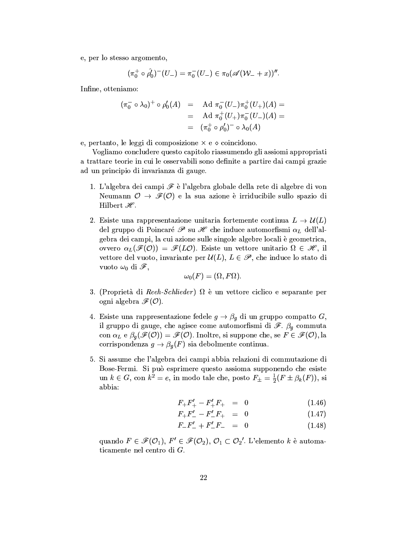e, per lo stesso argomento,

$$
(\pi_0^+ \circ \hat{\rho'_0})^-(U_-) = \pi_0^-(U_-) \in \pi_0(\mathscr{A}(\mathcal{W}_- + x))''.
$$

Infine, otteniamo:

$$
(\pi_0^- \circ \lambda_0)^+ \circ \rho_0'(A) = \text{Ad } \pi_0^-(U_-) \pi_0^+(U_+)(A) =
$$
  
= Ad  $\pi_0^+(U_+) \pi_0^-(U_-)(A) =$   
=  $(\pi_0^+ \circ \rho_0')^- \circ \lambda_0(A)$ 

e, pertanto, le leggi di composizione  $\times$  e  $\diamond$  coincidono.

Vogliamo concludere questo capitolo riassumendo gli assiomi appropriati a trattare teorie in cui le osservabili sono definite a partire dai campi grazie ad un principio di invarianza di gauge.

- 1. L'algebra dei campi  $\mathscr F$  è l'algebra globale della rete di algebre di von Neumann  $\mathcal{O} \rightarrow \mathscr{F}(\mathcal{O})$  e la sua azione è irriducibile sullo spazio di Hilbert  $\mathscr{H}.$
- 2. Esiste una rappresentazione unitaria fortemente continua  $L \to \mathcal{U}(L)$ del gruppo di Poincaré  $\mathscr P$  su  $\mathscr H$  che induce automorfismi  $\alpha_L$  dell'algebra dei campi, la cui azione sulle singole algebre locali è geometrica, ovvero  $\alpha_L(\mathscr{F}(O)) = \mathscr{F}(LO)$ . Esiste un vettore unitario  $\Omega \in \mathscr{H}$ , il vettore del vuoto, invariante per  $\mathcal{U}(L)$ ,  $L \in \mathcal{P}$ , che induce lo stato di vuoto  $\omega_0$  di  $\mathscr{F}$ ,

$$
\omega_0(F)=(\Omega,F\Omega).
$$

- 3. (Proprietà di Reeh-Schlieder)  $\Omega$  è un vettore ciclico e separante per ogni algebra  $\mathscr{F}(\mathcal{O})$ .
- 4. Esiste una rappresentazione fedele  $g \to \beta_g$  di un gruppo compatto G, il gruppo di gauge, che agisce come automorfismi di  $\mathscr{F}$ .  $\beta_g$  commuta con  $\alpha_L \in \beta_0(\mathcal{F}(O)) = \mathcal{F}(O)$ . Inoltre, si suppone che, se  $F \in \mathcal{F}(O)$ , la corrispondenza  $g \to \beta_g(F)$  sia debolmente continua.
- 5. Si assume che l'algebra dei campi abbia relazioni di commutazione di Bose-Fermi. Si può esprimere questo assioma supponendo che esiste un  $k \in G$ , con  $k^2 = e$ , in modo tale che, posto  $F_{\pm} = \frac{1}{2}(F \pm \beta_k(F))$ , si abbia:

$$
F_{+}F'_{+} - F'_{+}F_{+} = 0 \tag{1.46}
$$

$$
F_+F_-'-F_-'F_+ = 0 \tag{1.47}
$$

$$
F_{-}F'_{-} + F'_{-}F_{-} = 0 \tag{1.48}
$$

quando  $F \in \mathscr{F}(\mathcal{O}_1)$ ,  $F' \in \mathscr{F}(\mathcal{O}_2)$ ,  $\mathcal{O}_1 \subset \mathcal{O}_2'$ . L'elemento k è automaticamente nel centro di  $G$ .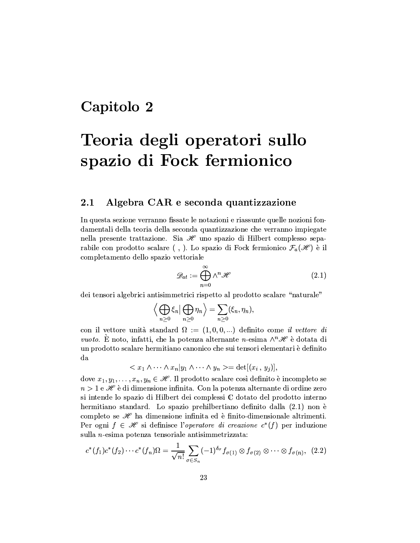## Capitolo 2

## Teoria degli operatori sullo spazio di Fock fermionico

### Algebra CAR e seconda quantizzazione  $2.1$

In questa sezione verranno fissate le notazioni e riassunte quelle nozioni fondamentali della teoria della seconda quantizzazione che verranno impiegate nella presente trattazione. Sia  $\mathscr H$  uno spazio di Hilbert complesso separabile con prodotto scalare (, ). Lo spazio di Fock fermionico  $\mathcal{F}_a(\mathscr{H})$  è il completamento dello spazio vettoriale

$$
\mathscr{D}_{at} := \bigoplus_{n=0}^{\infty} \wedge^n \mathscr{H} \tag{2.1}
$$

dei tensori algebrici antisimmetrici rispetto al prodotto scalare "naturale"

$$
\left\langle \bigoplus_{n\geq 0} \xi_n \middle| \bigoplus_{n\geq 0} \eta_n \right\rangle = \sum_{n\geq 0} (\xi_n, \eta_n)
$$

con il vettore unità standard  $\Omega := (1,0,0,...)$  definito come *il vettore di vuoto.* È noto, infatti, che la potenza alternante n-esima  $\wedge^n \mathscr{H}$  è dotata di un prodotto scalare hermitiano canonico che sui tensori elementari è definito  $_{\mathrm{da}}$ 

$$
\langle x_1 \wedge \cdots \wedge x_n | y_1 \wedge \cdots \wedge y_n \rangle = \det[(x_i, y_j)],
$$

dove  $x_1, y_1, \ldots, x_n, y_n \in \mathcal{H}$ . Il prodotto scalare così definito è incompleto se  $n > 1$  e  $\mathscr H$  è di dimensione infinita. Con la potenza alternante di ordine zero si intende lo spazio di Hilbert dei complessi C dotato del prodotto interno hermitiano standard. Lo spazio prehilbertiano definito dalla (2.1) non è completo se  $\mathscr H$  ha dimensione infinita ed è finito-dimensionale altrimenti. Per ogni  $f \in \mathcal{H}$  si definisce l'operatore di creazione  $c^*(f)$  per induzione sulla *n*-esima potenza tensoriale antisimmetrizzata:

$$
c^*(f_1)c^*(f_2)\cdots c^*(f_n)\Omega = \frac{1}{\sqrt{n!}}\sum_{\sigma\in S_n} (-1)^{\delta_{\sigma}} f_{\sigma(1)} \otimes f_{\sigma(2)} \otimes \cdots \otimes f_{\sigma(n)}, \tag{2.2}
$$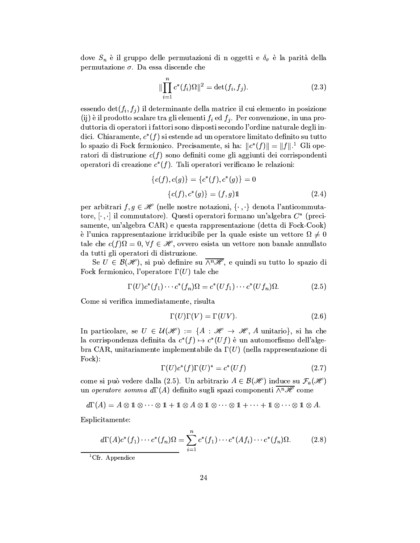dove  $S_n$  è il gruppo delle permutazioni di n oggetti e  $\delta_{\sigma}$  è la parità della permutazione  $\sigma$ . Da essa discende che

$$
\|\prod_{i=1}^{n} c^*(f_i)\Omega\|^2 = \det(f_i, f_j). \tag{2.3}
$$

essendo  $\det(f_i, f_j)$  il determinante della matrice il cui elemento in posizione (ij) è il prodotto scalare tra gli elementi  $f_i$  ed  $f_j$ . Per convenzione, in una produttoria di operatori i fattori sono disposti secondo l'ordine naturale degli indici. Chiaramente,  $c^*(f)$  si estende ad un operatore limitato definito su tutto lo spazio di Fock fermionico. Precisamente, si ha:  $||c^*(f)|| = ||f||$ .<sup>1</sup> Gli operatori di distruzione  $c(f)$  sono definiti come gli aggiunti dei corrispondenti operatori di creazione  $c^*(f)$ . Tali operatori verificano le relazioni:

$$
\{c(f), c(g)\} = \{c^*(f), c^*(g)\} = 0
$$
  

$$
\{c(f), c^*(g)\} = (f, g)\mathbb{1}
$$
 (2.4)

per arbitrari  $f, g \in \mathcal{H}$  (nelle nostre notazioni,  $\{\cdot, \cdot\}$  denota l'anticommutatore,  $[\cdot, \cdot]$  il commutatore). Questi operatori formano un'algebra  $C^*$  (precisamente, un'algebra CAR) e questa rappresentazione (detta di Fock-Cook) e l'unica rappresentazione irriducibile per la quale esiste un vettore  $\Omega \neq 0$ tale che  $c(f)$  $\Omega = 0$ ,  $\forall f \in \mathcal{H}$ , ovvero esista un vettore non banale annullato da tutti gli operatori di distruzione.

Se  $U \in \mathcal{B}(\mathcal{H})$ , si può definire su  $\overline{\wedge^n \mathcal{H}}$ , e quindi su tutto lo spazio di Fock fermionico, l'operatore  $\Gamma(U)$  tale che

$$
\Gamma(U)c^*(f_1)\cdots c^*(f_n)\Omega = c^*(Uf_1)\cdots c^*(Uf_n)\Omega.
$$
 (2.5)

Come si verifica immediatamente, risulta

$$
\Gamma(U)\Gamma(V) = \Gamma(UV). \tag{2.6}
$$

In particolare, se  $U \in \mathcal{U}(\mathcal{H}) := \{A : \mathcal{H} \to \mathcal{H}, A \text{ unitario}\}\$ , si ha che la corrispondenza definita da  $c^*(f) \mapsto c^*(Uf)$  è un automorfismo dell'algebra CAR, unitariamente implementabile da  $\Gamma(U)$  (nella rappresentazione di Fock):

$$
\Gamma(U)c^*(f)\Gamma(U)^* = c^*(Uf) \tag{2.7}
$$

come si può vedere dalla (2.5). Un arbitrario  $A \in \mathcal{B}(\mathcal{H})$  induce su  $\mathcal{F}_a(\mathcal{H})$ un operatore somma d $\Gamma(A)$  definito sugli spazi componenti  $\overline{\wedge^n\mathscr{H}}$  come

$$
d\Gamma(A) = A \otimes 1 \otimes \cdots \otimes 1 + 1 \otimes A \otimes 1 \otimes \cdots \otimes 1 + \cdots + 1 \otimes \cdots \otimes 1 \otimes A.
$$

Esplicitamente:

$$
\underbrace{d\Gamma(A)c^*(f_1)\cdots c^*(f_n)\Omega}_{\text{min}} = \sum_{i=1}^n c^*(f_1)\cdots c^*(Af_i)\cdots c^*(f_n)\Omega. \tag{2.8}
$$

<sup>1</sup>Cfr. Appendice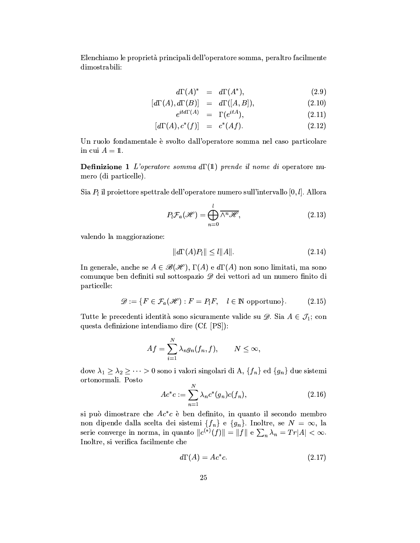Elenchiamo le proprietà principali dell'operatore somma, peraltro facilmente dimostrabili:

$$
d\Gamma(A)^* = d\Gamma(A^*), \tag{2.9}
$$

$$
[d\Gamma(A), d\Gamma(B)] = d\Gamma([A, B]), \qquad (2.10)
$$
  

$$
id\Gamma(A) = \Gamma(\begin{array}{c} itA \\ \Gamma(t) \end{array}) \qquad (2.11)
$$

$$
e^{i\iota a_1 \cdot (A)} = \Gamma(e^{i\iota A}), \tag{2.11}
$$

$$
[d\Gamma(A), c^*(f)] = c^*(Af). \tag{2.12}
$$

Un ruolo fondamentale è svolto dall'operatore somma nel caso particolare in cui  $A = 1$ .

**Definizione 1** L'operatore somma  $d\Gamma(1)$  prende il nome di operatore numero (di particelle).

Sia  $P_l$  il proiettore spettrale dell'operatore numero sull'intervallo [0,  $l$ ]. Allora

$$
P_l \mathcal{F}_a(\mathcal{H}) = \bigoplus_{n=0}^l \overline{\wedge^n \mathcal{H}},\tag{2.13}
$$

valendo la maggiorazione:

$$
||d\Gamma(A)P_l|| \le l||A||. \tag{2.14}
$$

In generale, anche se  $A \in \mathcal{B}(\mathcal{H})$ ,  $\Gamma(A)$  e  $d\Gamma(A)$  non sono limitati, ma sono comunque ben definiti sul sottospazio  $\mathscr D$  dei vettori ad un numero finito di particelle:

$$
\mathscr{D} := \{ F \in \mathcal{F}_a(\mathscr{H}) : F = P_l F, \quad l \in \mathbb{N} \text{ opportuno} \}. \tag{2.15}
$$

Tutte le precedenti identità sono sicuramente valide su  $\mathscr{D}$ . Sia  $A \in \mathcal{J}_1$ ; con questa definizione intendiamo dire (Cf. [PS]):

$$
Af=\sum_{i=1}^N\lambda_ng_n(f_n,f),\qquad N\leq\infty,
$$

dove $\lambda_1 \geq \lambda_2 \geq \cdots > 0$ sono i valori singolari di A<br/>, $\{f_n\}$ ed  $\{g_n\}$ due sistemi ortonormali. Posto

$$
Ac^*c := \sum_{n=1}^N \lambda_n c^*(g_n)c(f_n),
$$
\n(2.16)

si può dimostrare che  $Ac^*c$  è ben definito, in quanto il secondo membro non dipende dalla scelta dei sistemi  $\{f_n\}$  e  $\{g_n\}$ . Inoltre, se  $N = \infty$ , la serie converge in norma, in quanto  $||c^{(*)}(f)|| = ||f||$  e  $\sum_n \lambda_n = Tr|A| < \infty$ . Inoltre, si verifica facilmente che

$$
d\Gamma(A) = Ac^*c. \tag{2.17}
$$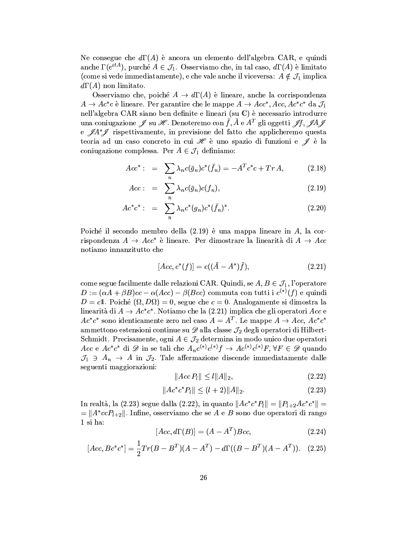Ne consegue che  $d\Gamma(A)$  è ancora un elemento dell'algebra CAR, e quindi anche  $\Gamma(e^{itA})$ , purché  $A \in \mathcal{J}_1$ . Osserviamo che, in tal caso,  $d\Gamma(A)$  è limitato (come si vede immediatamente), e che vale anche il viceversa:  $A \notin \mathcal{J}_1$  implica  $d\Gamma(A)$  non limitato.

Osserviamo che, poiché  $A \to d\Gamma(A)$  è lineare, anche la corrispondenza  $A \to Ac^*c$  è lineare. Per garantire che le mappe  $A \to Acc^*, Acc, Ac^*c^*$  da  $\mathcal{J}_1$ nell'algebra CAR siano ben definite e lineari (su C) è necessario introdurre una coniugazione  $\mathscr J$  su  $\mathscr H$ . Denoteremo con  $\bar f$ ,  $\bar A$  e  $A^T$  gli oggetti  $\mathscr J f$ ,  $\mathscr J A \mathscr J$ e  $\mathscr{A}A^*\mathscr{I}$  rispettivamente, in previsione del fatto che applicheremo questa teoria ad un caso concreto in cui  $\mathscr H$  è uno spazio di funzioni e  $\mathscr J$  è la coniugazione complessa. Per  $A \in \mathcal{J}_1$  definiamo:

$$
Acc^* : = \sum_{n} \lambda_n c(\bar{g}_n) c^*(\bar{f}_n) = -A^T c^* c + Tr A, \qquad (2.18)
$$

$$
Acc: = \sum_{n} \lambda_n c(\bar{g}_n) c(f_n), \qquad (2.19)
$$

$$
Ac^*c^* := \sum_n \lambda_n c^*(g_n)c^*(\bar{f}_n)^*.
$$
 (2.20)

Poiché il secondo membro della  $(2.19)$  è una mappa lineare in A, la corrispondenza  $A \rightarrow Acc^*$  è lineare. Per dimostrare la linearità di  $A \rightarrow Acc$ notiamo innanzitutto che

$$
[Acc, c^*(f)] = c((\bar{A} - A^*)\bar{f}), \qquad (2.21)
$$

come segue facilmente dalle relazioni CAR. Quindi, se  $A, B \in \mathcal{J}_1$ , l'operatore  $D := (\alpha A + \beta B)cc - \alpha (Acc) - \beta (Bcc)$  commuta con tutti i  $c^{(*)}(f)$  e quindi  $D = c1$ . Poiché  $(\Omega, D\Omega) = 0$ , segue che  $c = 0$ . Analogamente si dimostra la linearità di  $A \to Ac^*c^*$ . Notiamo che la (2.21) implica che gli operatori Acc e  $Ac^*c^*$  sono identicamente zero nel caso  $A = A^T$ . Le mappe  $A \to Acc, Ac^*c^*$ ammettono estensioni continue su  $\mathscr{D}$  alla classe  $\mathcal{J}_2$  degli operatori di Hilbert-Schmidt. Precisamente, ogni  $A \in \mathcal{J}_2$  determina in modo unico due operatori Acc e Ac<sup>\*</sup>c<sup>\*</sup> di  $\mathscr D$  in se tali che  $A_n c^{(*)} c^{(*)} f \to Ac^{(*)} c^{(*)} F$ ,  $\forall F \in \mathscr D$  quando  $\mathcal{J}_1 \ni A_n \to A$  in  $\mathcal{J}_2$ . Tale affermazione discende immediatamente dalle seguenti maggiorazioni:

$$
||Acc P_l|| \le l ||A||_2, \tag{2.22}
$$

$$
||Ac^*c^*P_l|| \le (l+2)||A||_2. \tag{2.23}
$$

In realtà, la (2.23) segue dalla (2.22), in quanto  $||A c^* c^* P_l|| = ||P_{l+2} A c^* c^*|| =$ =  $||A^*ccP_{l+2}||$ . Infine, osserviamo che se A e B sono due operatori di rango 1 si ha:

$$
[Acc, d\Gamma(B)] = (A - A^T)Bcc,
$$
\n(2.24)

$$
[Acc, Bc^*c^*] = \frac{1}{2}Tr(B - B^T)(A - A^T) - d\Gamma((B - B^T)(A - A^T)). \quad (2.25)
$$

 $\overline{a}$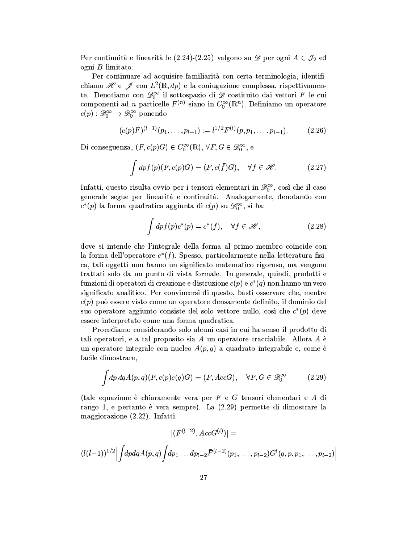Per continuità e linearità le (2.24)-(2.25) valgono su  $\mathscr{D}$  per ogni  $A \in \mathcal{J}_2$  ed ogni  $B$  limitato.

Per continuare ad acquisire familiarità con certa terminologia, identifichiamo  $\mathscr{H}$  e  $\mathscr{J}$  con  $L^2(\mathbb{R}, dp)$  e la coniugazione complessa, rispettivamente. Denotiamo con  $\mathcal{D}_0^{\infty}$  il sottospazio di  $\mathcal D$  costituito dai vettori F le cui componenti ad *n* particelle  $F^{(n)}$  siano in  $C_0^{\infty}(\mathbb{R}^n)$ . Definiamo un operatore  $c(p): \mathscr{D}_0^{\infty} \to \mathscr{D}_0^{\infty}$  ponendo

$$
(c(p)F)^{(l-1)}(p_1,\ldots,p_{l-1}):=l^{1/2}F^{(l)}(p,p_1,\ldots,p_{l-1}).
$$
\n(2.26)

Di conseguenza,  $(F, c(p)G) \in C_0^{\infty}(\mathbb{R}), \forall F, G \in \mathscr{D}_0^{\infty},$ e

$$
\int dp f(p)(F, c(p)G) = (F, c(\bar{f})G), \quad \forall f \in \mathscr{H}.
$$
 (2.27)

Infatti, questo risulta ovvio per i tensori elementari in  $\mathscr{D}_0^{\infty}$ , così che il caso generale segue per linearità e continuità. Analogamente, denotando con  $c^*(p)$  la forma quadratica aggiunta di  $c(p)$  su  $\mathscr{D}_0^{\infty}$ , si ha:

$$
\int dp f(p) c^*(p) = c^*(f), \quad \forall f \in \mathcal{H}, \tag{2.28}
$$

dove si intende che l'integrale della forma al primo membro coincide con la forma dell'operatore  $c^*(f)$ . Spesso, particolarmente nella letteratura fisica, tali oggetti non hanno un significato matematico rigoroso, ma vengono trattati solo da un punto di vista formale. In generale, quindi, prodotti e funzioni di operatori di creazione e distruzione  $c(p)$  e  $c^*(q)$  non hanno un vero significato analitico. Per convincersi di questo, basti osservare che, mentre  $c(p)$  può essere visto come un operatore densamente definito, il dominio del suo operatore aggiunto consiste del solo vettore nullo, così che  $c^*(p)$  deve essere interpretato come una forma quadratica.

Procediamo considerando solo alcuni casi in cui ha senso il prodotto di tali operatori, e a tal proposito sia  $A$  un operatore tracciabile. Allora  $A$  è un operatore integrale con nucleo  $A(p,q)$  a quadrato integrabile e, come è facile dimostrare,

$$
\int dp \, dq A(p,q)(F, c(p)c(q)G) = (F, AccG), \quad \forall F, G \in \mathscr{D}_0^{\infty}
$$
 (2.29)

(tale equazione è chiaramente vera per  $F$  e  $G$  tensori elementari e  $A$  di rango 1, e pertanto è vera sempre). La  $(2.29)$  permette di dimostrare la maggiorazione (2.22). Infatti

$$
|(F^{(l-2)}, AccG^{(l)})| =
$$
  

$$
(l(l-1))^{1/2} \Big| \int dp dq A(p,q) \int dp_1 \dots dp_{l-2} \bar{F}^{(l-2)}(p_1, \dots, p_{l-2}) G^l(q, p, p_1, \dots, p_{l-2})
$$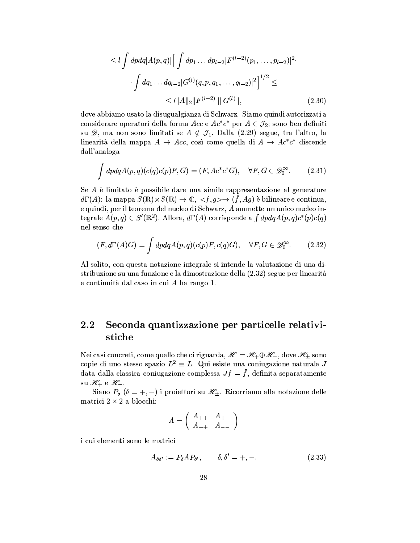$$
\leq l \int dp dq |A(p,q)| \Big[ \int dp_1 \dots dp_{l-2} |F^{(l-2)}(p_1, \dots, p_{l-2})|^2 \cdot \cdot \cdot \int dq_1 \dots dq_{l-2} |G^{(l)}(q, p, q_1, \dots, q_{l-2})|^2 \Big]^{1/2} \leq
$$
  

$$
\leq l ||A||_2 ||F^{(l-2)}|| ||G^{(l)}||, \tag{2.30}
$$

dove abbiamo usato la disugualgianza di Schwarz. Siamo quindi autorizzati a considerare operatori della forma Acc e  $Ac^*c^*$  per  $A \in \mathcal{J}_2$ ; sono ben definiti su  $\mathscr{D}$ , ma non sono limitati se  $A \notin \mathcal{J}_1$ . Dalla (2.29) segue, tra l'altro, la linearità della mappa  $A \to Acc$ , così come quella di  $A \to Ac^*c^*$  discende dall'analoga

$$
\int dp dq A(p,q)(c(q)c(p)F,G) = (F, Ac^*c^*G), \quad \forall F, G \in \mathscr{D}_0^{\infty}.
$$
 (2.31)

Se A è limitato è possibile dare una simile rappresentazione al generatore  $d\Gamma(A)$ : la mappa  $S(\mathbb{R})\times S(\mathbb{R})\to \mathbb{C}, \langle f,g\rangle \to (\bar{f},Ag)$  è bilineare e continua, e quindi, per il teorema del nucleo di Schwarz, A ammette un unico nucleo integrale  $A(p,q) \in S'(\mathbb{R}^2)$ . Allora,  $d\Gamma(A)$  corrisponde a  $\int dp dq A(p,q) c^*(p) c(q)$ nel senso che

$$
(F, d\Gamma(A)G) = \int dp dq A(p, q)(c(p)F, c(q)G), \quad \forall F, G \in \mathscr{D}_0^{\infty}.
$$
 (2.32)

Al solito, con questa notazione integrale si intende la valutazione di una distribuzione su una funzione e la dimostrazione della (2.32) segue per linearità e continuità dal caso in cui  $A$  ha rango 1.

### Seconda quantizzazione per particelle relativi-2.2  $\rm stiche$

Nei casi concreti, come quello che ci riguarda,  $\mathscr{H} = \mathscr{H}_+ \oplus \mathscr{H}_-$ , dove  $\mathscr{H}_\pm$  sono copie di uno stesso spazio  $L^2 \equiv L$ . Qui esiste una coniugazione naturale J data dalla classica coniugazione complessa  $Jf = \bar{f}$ , definita separatamente su  $\mathscr{H}_+$  e  $\mathscr{H}_-$ .

Siano  $P_{\delta}$  ( $\delta = +, -$ ) i proiettori su  $\mathscr{H}_{\pm}$ . Ricorriamo alla notazione delle matrici  $2 \times 2$  a blocchi:

$$
A = \left(\begin{array}{cc} A_{++} & A_{+-} \\ A_{-+} & A_{--} \end{array}\right)
$$

i cui elementi sono le matrici

$$
A_{\delta\delta'} := P_{\delta} A P_{\delta'}, \qquad \delta, \delta' = +, -.
$$
 (2.33)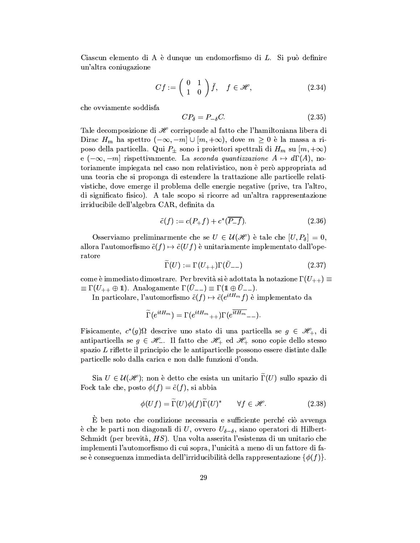Ciascun elemento di A è dunque un endomorfismo di L. Si può definire un'altra coniugazione

$$
Cf := \left(\begin{array}{cc} 0 & 1 \\ 1 & 0 \end{array}\right)\bar{f}, \quad f \in \mathcal{H}, \tag{2.34}
$$

che ovviamente soddisfa

$$
CP_{\delta} = P_{-\delta}C. \tag{2.35}
$$

Tale decomposizione di  $\mathscr H$  corrisponde al fatto che l'hamiltoniana libera di Dirac  $H_m$  ha spettro  $(-\infty, -m] \cup [m, +\infty)$ , dove  $m \geq 0$  è la massa a riposo della particella. Qui  $P_{\pm}$  sono i proiettori spettrali di  $H_m$  su  $[m, +\infty)$ e  $(-\infty, -m]$  rispettivamente. La seconda quantizzazione  $A \mapsto d\Gamma(A)$ , notoriamente impiegata nel caso non relativistico, non è però appropriata ad una teoria che si proponga di estendere la trattazione alle particelle relativistiche, dove emerge il problema delle energie negative (prive, tra l'altro di significato fisico). A tale scopo si ricorre ad un'altra rappresentazione irriducibile dell'algebra CAR, definita da

$$
\tilde{c}(f) := c(P_+f) + c^*(\overline{P_-f}).\tag{2.36}
$$

Osserviamo preliminarmente che se  $U \in \mathcal{U}(\mathcal{H})$  è tale che  $[U, P_{\delta}] = 0$ , allora l'automorfismo  $\tilde{c}(f) \mapsto \tilde{c}(Uf)$  è unitariamente implementato dall'operatore

$$
\widetilde{\Gamma}(U) := \Gamma(U_{++})\Gamma(\bar{U}_{--})\tag{2.37}
$$

come è immediato dimostrare. Per brevità si è adottata la notazione  $\Gamma(U_{++}) \equiv$  $\equiv \Gamma(U_{++} \oplus \mathbb{1}).$  Analogamente  $\Gamma(U_{--}) \equiv \Gamma(\mathbb{1} \oplus U_{--}).$ 

In particolare, l'automorfismo  $\tilde{c}(f) \mapsto \tilde{c}(e^{itH_m}f)$  è implementato da

$$
\widetilde{\Gamma}(e^{itH_m})=\Gamma(e^{itH_m}{}_{++})\Gamma(e^{\overline{itH_m}}{}_{--})
$$

Fisicamente,  $c^*(g)$  $\Omega$  descrive uno stato di una particella se  $g \in \mathscr{H}_+$ , di antiparticella se  $g \in \mathcal{H}_-$ . Il fatto che  $\mathcal{H}_+$  ed  $\mathcal{H}_+$  sono copie dello stesso spazio L riflette il principio che le antiparticelle possono essere distinte dalle particelle solo dalla carica e non dalle funzioni d'onda.

Sia  $U \in \mathcal{U}(\mathcal{H})$ ; non è detto che esista un unitario  $\Gamma(U)$  sullo spazio di Fock tale che, posto  $\phi(f) = \tilde{c}(f)$ , si abbia

$$
\phi(Uf) = \Gamma(U)\phi(f)\Gamma(U)^* \qquad \forall f \in \mathscr{H}.
$$
 (2.38)

È ben noto che condizione necessaria e sufficiente perché ciò avvenga è che le parti non diagonali di U, ovvero  $U_{\delta-\delta}$ , siano operatori di Hilbert-Schmidt (per brevità,  $HS$ ). Una volta asserita l'esistenza di un unitario che implementi l'automorfismo di cui sopra, l'unicità a meno di un fattore di fase è conseguenza immediata dell'irriducibilità della rappresentazione  $\{\phi(f)\}.$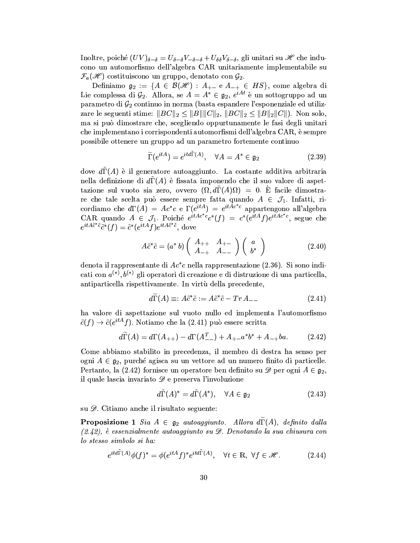Inoltre, poiché  $(UV)_{\delta-\delta}=U_{\delta-\delta}V_{-\delta-\delta}+U_{\delta\delta}V_{\delta-\delta}$ , gli unitari su  $\mathscr H$  che inducono un automorfismo dell'algebra CAR unitariamente implementabile su  $\mathcal{F}_a(\mathscr{H})$  costituiscono un gruppo, denotato con  $\mathcal{G}_2$ .

Definiamo  $\mathfrak{g}_2 := \{ A \in \mathcal{B}(\mathcal{H}) : A_{+-} \in A_{-+} \in HS \}$ , come algebra di Lie complessa di  $\mathcal{G}_2$ . Allora, se  $A = A^* \in \mathfrak{g}_2$ ,  $e^{iAt}$  è un sottogruppo ad un parametro di  $\mathcal{G}_2$  continuo in norma (basta espandere l'esponenziale ed utilizzare le seguenti stime:  $||BC||_2 \le ||B|| ||C||_2$ ,  $||BC||_2 \le ||B||_2 ||C||$ ). Non solo, ma si può dimostrare che, scegliendo oppurtunamente le fasi degli unitari che implementano i corrispondenti automorfismi dell'algebra CAR, è sempre possibile ottenere un gruppo ad un parametro fortemente continuo

$$
\widetilde{\Gamma}(e^{itA}) = e^{itd\Gamma(A)}, \quad \forall A = A^* \in \mathfrak{g}_2 \tag{2.39}
$$

dove  $d\Gamma(A)$  è il generatore autoaggiunto. La costante additiva arbitraria nella definizione di  $d\Gamma(A)$  è fissata imponendo che il suo valore di aspettazione sul vuoto sia zero, ovvero  $(\Omega, d\Gamma(A)\Omega) = 0$ . E facile dimostrare che tale scelta può essere sempre fatta quando  $A \in \mathcal{J}_1$ . Infatti, ricordiamo che  $d\Gamma(A) = Ac^*c$  e  $\Gamma(e^{itA}) = e^{it\overline{A}c^*c}$  appartengono all'algebra<br>CAR quando  $A \in \mathcal{J}_1$ . Poiché  $e^{itAc^*c}c^*(f) = c^*(e^{itA}f)e^{itAc^*c}$ , segue che  $e^{itA\tilde{c}^*\tilde{c}}\tilde{c}^*(f) = \tilde{c}^*(e^{itA}f)e^{itA\tilde{c}^*\tilde{c}},$  dove

$$
A\tilde{c}^*\tilde{c} = (a^*b) \left( \begin{array}{cc} A_{++} & A_{+-} \\ A_{-+} & A_{--} \end{array} \right) \left( \begin{array}{c} a \\ b^* \end{array} \right) \tag{2.40}
$$

denota il rappresentante di  $Ac^*c$  nella rappresentazione (2.36). Si sono indicati con  $a^{(*)}, b^{(*)}$  gli operatori di creazione e di distruzione di una particella, antiparticella rispettivamente. In virtù della precedente,

$$
d\Gamma(A) \equiv: A\tilde{c}^*\tilde{c} := A\tilde{c}^*\tilde{c} - Tr A_{--} \tag{2.41}
$$

ha valore di aspettazione sul vuoto nullo ed implementa l'automorfismo  $\tilde{c}(f) \to \tilde{c}(e^{itA}f)$ . Notiamo che la (2.41) può essere scritta

$$
d\widetilde{\Gamma}(A) = d\Gamma(A_{++}) - d\Gamma(A_{--}^T) + A_{+-}a^*b^* + A_{-+}ba.
$$
 (2.42)

Come abbiamo stabilito in precedenza, il membro di destra ha senso per ogni  $A \in \mathfrak{g}_2$ , purché agisca su un vettore ad un numero finito di particelle. Pertanto, la (2.42) fornisce un operatore ben definito su  $\mathscr{D}$  per ogni  $A \in \mathfrak{g}_2$ , il quale lascia invariato  $\mathscr{D}$  e preserva l'involuzione

$$
d\tilde{\Gamma}(A)^* = d\tilde{\Gamma}(A^*), \quad \forall A \in \mathfrak{g}_2 \tag{2.43}
$$

su  $\mathscr{D}$ . Citiamo anche il risultato seguente:

**Proposizione 1** Sia  $A \in \mathfrak{g}_2$  autoaggiunto. Allora  $d\Gamma(A)$ , definito dalla  $(2.42)$ , è essenzialmente autoaggiunto su  $\mathscr{D}$ . Denotando la sua chiusura con lo stesso simbolo si ha:

$$
e^{itd\Gamma(A)}\phi(f)^* = \phi(e^{itA}f)^*e^{itd\Gamma(A)}, \quad \forall t \in \mathbb{R}, \ \forall f \in \mathcal{H}.
$$
 (2.44)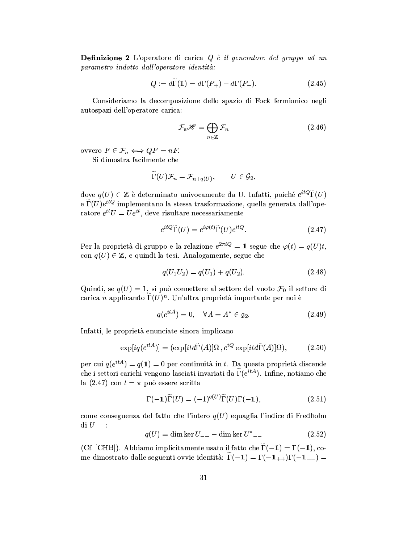**Definizione 2** L'operatore di carica  $Q \nvert\!i> i$  deneratore del gruppo ad un parametro indotto dall'operatore identità:

$$
Q := d\Gamma(\mathbb{1}) = d\Gamma(P_+) - d\Gamma(P_-). \tag{2.45}
$$

Consideriamo la decomposizione dello spazio di Fock fermionico negli autospazi dell'operatore carica:

$$
\mathcal{F}_a \mathscr{H} = \bigoplus_{n \in \mathbb{Z}} \mathcal{F}_n \tag{2.46}
$$

ovvero  $F \in \mathcal{F}_n \Longleftrightarrow QF = nF$ .

Si dimostra facilmente che

$$
\widetilde{\Gamma}(U)\mathcal{F}_n=\mathcal{F}_{n+q(U)},\qquad U\in\mathcal{G}_2,
$$

dove $q(U) \in \mathbb{Z}$  è determinato univocamente da U. Infatti, poiché $e^{itQ}\widetilde{\Gamma}(U)$ e  $\widetilde{\Gamma}(U)e^{itQ}$  implementano la stessa trasformazione, quella generata dall'operatore  $e^{it}U = Ue^{it}$ , deve risultare necessariamente

$$
e^{itQ}\widetilde{\Gamma}(U) = e^{i\varphi(t)}\widetilde{\Gamma}(U)e^{itQ}.\tag{2.47}
$$

Per la proprietà di gruppo e la relazione  $e^{2\pi i Q} = 1$  segue che  $\varphi(t) = q(U)t$ , con  $q(U) \in \mathbb{Z}$ , e quindi la tesi. Analogamente, segue che

$$
q(U_1U_2) = q(U_1) + q(U_2). \tag{2.48}
$$

Quindi, se  $q(U) = 1$ , si può connettere al settore del vuoto  $\mathcal{F}_0$  il settore di carica n applicando  $\Gamma(U)^n$ . Un'altra proprietà importante per noi è

$$
q(e^{itA}) = 0, \quad \forall A = A^* \in \mathfrak{g}_2. \tag{2.49}
$$

Infatti, le proprietà enunciate sinora implicano

$$
\exp[iq(e^{itA})] = (\exp[it d\tilde{\Gamma}(A)]\Omega, e^{iQ} \exp[it d\tilde{\Gamma}(A)]\Omega), \tag{2.50}
$$

per cui  $q(e^{itA}) = q(1) = 0$  per continuità in t. Da questa proprietà discende che i settori carichi vengono lasciati invariati da  $\tilde{\Gamma}(e^{itA})$ . Infine, notiamo che la (2.47) con  $t = \pi$  può essere scritta

$$
\Gamma(-1)\widetilde{\Gamma}(U) = (-1)^{q(U)}\widetilde{\Gamma}(U)\Gamma(-1),\tag{2.51}
$$

come conseguenza del fatto che l'intero  $q(U)$  equaglia l'indice di Fredholm  $\mathrm{d} i U_{--}$ :

$$
q(U) = \dim \ker U_{--} - \dim \ker U^*_{--}
$$
 (2.52)

(Cf. [CHB]). Abbiamo implicitamente usato il fatto che  $\tilde{\Gamma}(-1) = \Gamma(-1)$ , come dimostrato dalle seguenti ovvie identità:  $\widetilde{\Gamma}(-1) = \Gamma(-1) + \Gamma(-1) =$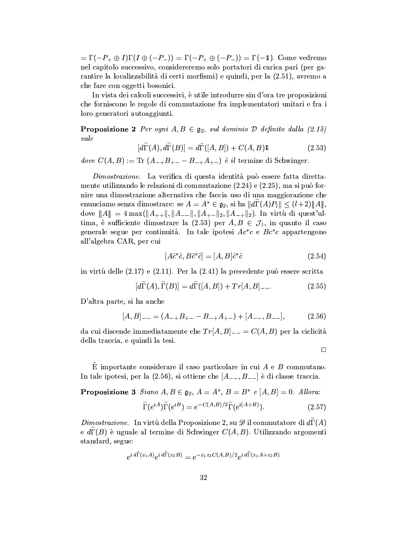$=\Gamma(-P_+\oplus I)\Gamma(I\oplus (-P_-))=\Gamma(-P_+\oplus (-P_-))=\Gamma(-1)$ . Come vedremo nel capitolo successivo, considereremo solo portatori di carica pari (per garantire la localizzabilità di certi morfismi) e quindi, per la (2.51), avremo a che fare con oggetti bosonici.

In vista dei calcoli successivi, è utile introdurre sin d'ora tre proposizioni che forniscono le regole di commutazione fra implementatori unitari e fra i loro generatori autoaggiunti.

**Proposizione 2** Per ogni  $A, B \in \mathfrak{g}_2$ , sul dominio D definito dalla (2.15)  $_{vale}$ 

$$
[d\widetilde{\Gamma}(A), d\widetilde{\Gamma}(B)] = d\widetilde{\Gamma}([A, B]) + C(A, B)\mathbb{1}
$$
\n(2.53)

dove  $C(A, B) := \text{Tr}(A_{-+}B_{+-} - B_{-+}A_{+-})$  è il termine di Schwinger.

Dimostrazione. La verifica di questa identità può essere fatta direttamente utilizzando le relazioni di commutazione  $(2.24)$  e  $(2.25)$ , ma si può fornire una dimostrazione alternativa che faccia uso di una maggiorazione che enunciamo senza dimostrare: se  $A = A^* \in \mathfrak{g}_2$ , si ha  $||d\Gamma(A)P_l|| \leq (l+2)||A||$ , dove  $||A|| = 4 \max(||A_{++}||, ||A_{--}||, ||A_{+-}||_2, ||A_{-+}||_2)$ . In virtù di quest'ultima, è sufficiente dimostrare la  $(2.53)$  per  $A, B \in \mathcal{J}_1$ , in quanto il caso generale segue per continuità. In tale ipotesi  $Ac^*c$  e  $Bc^*c$  appartengono all'algebra CAR, per cui

$$
[A\tilde{c}^*\tilde{c}, B\tilde{c}^*\tilde{c}] = [A, B]\tilde{c}^*\tilde{c} \tag{2.54}
$$

in virtù delle  $(2.17)$  e  $(2.11)$ . Per la  $(2.41)$  la precedente può essere scritta

$$
[d\widetilde{\Gamma}(A), \widetilde{\Gamma}(B)] = d\widetilde{\Gamma}([A, B]) + Tr[A, B] - \tag{2.55}
$$

D'altra parte, si ha anche

$$
[A,B]_{--} = (A_{-+}B_{+-} - B_{-+}A_{+-}) + [A_{--},B_{--}], \tag{2.56}
$$

da cui discende immediatamente che  $Tr[A, B]_{--} = C(A, B)$  per la ciclicità della traccia, e quindi la tesi.

 $\Box$ 

 $\hat{E}$  importante considerare il caso particolare in cui A e B commutano. In tale ipotesi, per la  $(2.56)$ , si ottiene che  $[A_{--}, B_{--}]$  è di classe traccia.

**Proposizione 3** Siano  $A, B \in \mathfrak{g}_2$ ,  $A = A^*, B = B^*$  e  $[A, B] = 0$ . Allora:

$$
\widetilde{\Gamma}(e^{iA})\widetilde{\Gamma}(e^{iB}) = e^{-C(A,B)/2}\widetilde{\Gamma}(e^{i(A+B)}).
$$
\n(2.57)

Dimostrazione. In virtù della Proposizione 2, su  $\mathscr D$  il commutatore di  $d\widetilde\Gamma(A)$ e  $d\Gamma(B)$  è uguale al termine di Schwinger  $C(A, B)$ . Utilizzando argomenti standard, segue:

$$
e^{i d\tilde{\Gamma}(z_1 A)} e^{i d\tilde{\Gamma}(z_2 B)} = e^{-z_1 z_2 C(A, B)/2} e^{i d\tilde{\Gamma}(z_1 A + z_2 B)}
$$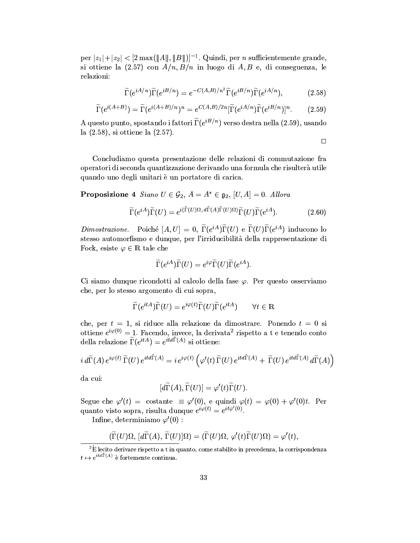per  $|z_1|+|z_2| < 2 \max(\|A\|,\|B\|)^{-1}$ . Quindi, per *n* sufficientemente grande, si ottiene la  $(2.57)$  con  $A/n$ ,  $B/n$  in luogo di A, B e, di conseguenza, le relazioni:

$$
\widetilde{\Gamma}(e^{iA/n})\widetilde{\Gamma}(e^{iB/n}) = e^{-C(A,B)/n^2}\widetilde{\Gamma}(e^{iB/n})\widetilde{\Gamma}(e^{iA/n}),\tag{2.58}
$$

$$
\widetilde{\Gamma}(e^{i(A+B)}) = \widetilde{\Gamma}(e^{i(A+B)/n})^n = e^{C(A,B)/2n} [\widetilde{\Gamma}(e^{iA/n})\widetilde{\Gamma}(e^{iB/n})]^n.
$$
 (2.59)

A questo punto, spostando i fattori  $\widetilde{\Gamma}(e^{iB/n})$  verso destra nella (2.59), usando la  $(2.58)$ , si ottiene la  $(2.57)$ .

 $\Box$ 

Concludiamo questa presentazione delle relazioni di commutazione fra operatori di seconda quantizzazione derivando una formula che risulterà utile quando uno degli unitari è un portatore di carica.

**Proposizione 4** Siano  $U \in \mathcal{G}_2$ ,  $A = A^* \in \mathfrak{g}_2$ ,  $[U, A] = 0$ . Allora

$$
\widetilde{\Gamma}(e^{iA})\widetilde{\Gamma}(U) = e^{i(\widetilde{\Gamma}(U)\Omega, d\widetilde{\Gamma}(A)\widetilde{\Gamma}(U)\Omega)}\widetilde{\Gamma}(U)\widetilde{\Gamma}(e^{iA}). \tag{2.60}
$$

*Dimostrazione.* Poiché [A, U] = 0,  $\widetilde{\Gamma}(e^{iA})\widetilde{\Gamma}(U)$  e  $\widetilde{\Gamma}(U)\widetilde{\Gamma}(e^{iA})$  inducono lo stesso automorfismo e dunque, per l'irriducibilità della rappresentazione di Fock, esiste  $\varphi \in \mathbb{R}$  tale che

$$
\widetilde{\Gamma}(e^{iA})\widetilde{\Gamma}(U)=e^{i\varphi}\widetilde{\Gamma}(U)\widetilde{\Gamma}(e^{iA})
$$

Ci siamo dunque ricondotti al calcolo della fase  $\varphi$ . Per questo osserviamo che, per lo stesso argomento di cui sopra,

$$
\widetilde{\Gamma}(e^{itA})\widetilde{\Gamma}(U) = e^{i\varphi(t)}\widetilde{\Gamma}(U)\widetilde{\Gamma}(e^{itA}) \qquad \forall t \in \mathbb{R}
$$

che, per  $t = 1$ , si riduce alla relazione da dimostrare. Ponendo  $t = 0$  si ottiene  $e^{i\varphi(0)} = 1$ . Facendo, invece, la derivata<sup>2</sup> rispetto a t e tenendo conto della relazione  $\tilde{\Gamma}(e^{itA}) = e^{itd\tilde{\Gamma}(A)}$  si ottiene:

$$
i\,d\widetilde{\Gamma}(A)\,e^{i\varphi(t)}\,\widetilde{\Gamma}(U)\,e^{itd\widetilde{\Gamma}(A)}=i\,e^{i\varphi(t)}\left(\varphi'(t)\,\widetilde{\Gamma}(U)\,e^{itd\widetilde{\Gamma}(A)}+\widetilde{\Gamma}(U)\,e^{itd\widetilde{\Gamma}(A)}\,d\widetilde{\Gamma}(A)\right)
$$

da cui:

$$
[d\widetilde{\Gamma}(A), \widetilde{\Gamma}(U)] = \varphi'(t)\widetilde{\Gamma}(U).
$$

Segue che  $\varphi'(t) = \text{costante } \equiv \varphi'(0)$ , e quindi  $\varphi(t) = \varphi(0) + \varphi'(0)t$ . Per quanto visto sopra, risulta dunque  $e^{i\varphi(t)} = e^{it\varphi'(0)}$ .

Infine, determiniamo  $\varphi'(0)$ :

$$
(\widetilde{\Gamma}(U)\Omega,\,[d\widetilde{\Gamma}(A),\,\widetilde{\Gamma}(U)]\Omega)=(\widetilde{\Gamma}(U)\Omega,\,\varphi'(t)\widetilde{\Gamma}(U)\Omega)=\varphi'(t),
$$

 $2\text{E}$  lecito derivare rispetto a t in quanto, come stabilito in precedenza, la corrispondenza  $t \mapsto e^{itd\tilde{\Gamma}(A)}$  è fortemente continua.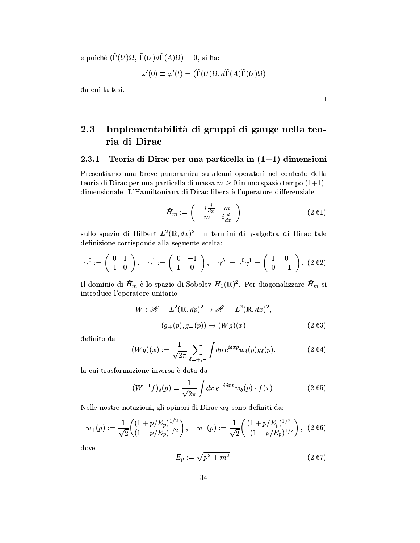e poiché  $(\tilde{\Gamma}(U)\Omega, \tilde{\Gamma}(U)d\tilde{\Gamma}(A)\Omega) = 0$ , si ha:

$$
\varphi'(0) \equiv \varphi'(t) = (\widetilde{\Gamma}(U)\Omega, d\widetilde{\Gamma}(A)\widetilde{\Gamma}(U)\Omega)
$$

da cui la tesi.

### 2.3 Implementabilità di gruppi di gauge nella teoria di Dirac

#### 2.3.1 Teoria di Dirac per una particella in  $(1+1)$  dimensioni

Presentiamo una breve panoramica su alcuni operatori nel contesto della teoria di Dirac per una particella di massa  $m \geq 0$  in uno spazio tempo (1+1)dimensionale. L'Hamiltoniana di Dirac libera è l'operatore differenziale

$$
\check{H}_m := \left( \begin{array}{cc} -i\frac{d}{dx} & m \\ m & i\frac{d}{dx} \end{array} \right) \tag{2.61}
$$

sullo spazio di Hilbert  $L^2(\mathbb{R}, dx)^2$ . In termini di  $\gamma$ -algebra di Dirac tale definizione corrisponde alla seguente scelta:

$$
\gamma^0 := \left(\begin{array}{cc} 0 & 1 \\ 1 & 0 \end{array}\right), \quad \gamma^1 := \left(\begin{array}{cc} 0 & -1 \\ 1 & 0 \end{array}\right), \quad \gamma^5 := \gamma^0 \gamma^1 = \left(\begin{array}{cc} 1 & 0 \\ 0 & -1 \end{array}\right). \tag{2.62}
$$

Il dominio di  $\check{H}_m$  è lo spazio di Sobolev  $H_1(\mathbb{R})^2$ . Per diagonalizzare  $\check{H}_m$  si introduce l'operatore unitario

$$
W: \mathscr{H} \equiv L^2(\mathbb{R}, dp)^2 \to \mathscr{H} \equiv L^2(\mathbb{R}, dx)^2,
$$
  

$$
(g_+(p), g_-(p)) \to (Wg)(x)
$$
 (2.63)

definito da

$$
(Wg)(x) := \frac{1}{\sqrt{2\pi}} \sum_{\delta = +,-} \int dp \, e^{i\delta x p} w_{\delta}(p) g_{\delta}(p), \tag{2.64}
$$

la cui trasformazione inversa è data da

$$
(W^{-1}f)_{\delta}(p) = \frac{1}{\sqrt{2\pi}} \int dx \, e^{-i\delta x p} w_{\delta}(p) \cdot f(x). \tag{2.65}
$$

Nelle nostre notazioni, gli spinori di Dirac  $w_{\delta}$  sono definiti da:

$$
w_{+}(p) := \frac{1}{\sqrt{2}} \begin{pmatrix} (1+p/E_p)^{1/2} \\ (1-p/E_p)^{1/2} \end{pmatrix}, \quad w_{-}(p) := \frac{1}{\sqrt{2}} \begin{pmatrix} (1+p/E_p)^{1/2} \\ -(1-p/E_p)^{1/2} \end{pmatrix}, \tag{2.66}
$$

dove

$$
E_p := \sqrt{p^2 + m^2}.
$$
 (2.67)

 $\Box$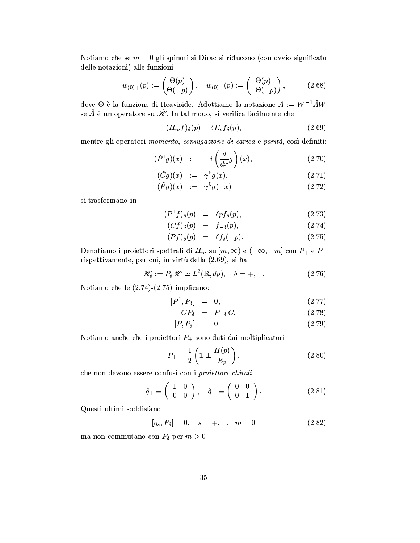Notiamo che se  $m = 0$  gli spinori si Dirac si riducono (con ovvio significato delle notazioni) alle funzioni

$$
w_{(0)+}(p) := \begin{pmatrix} \Theta(p) \\ \Theta(-p) \end{pmatrix}, \quad w_{(0)-}(p) := \begin{pmatrix} \Theta(p) \\ -\Theta(-p) \end{pmatrix},
$$
 (2.68)

dove  $\Theta$  è la funzione di Heaviside. Adottiamo la notazione  $A := W^{-1} \check{A}W$ se  $\check{A}$  è un operatore su  $\check{\mathscr{H}}$ . In tal modo, si verifica facilmente che

$$
(H_m f)_{\delta}(p) = \delta E_p f_{\delta}(p),\tag{2.69}
$$

mentre gli operatori momento, coniugazione di carica e parità, così definiti:

$$
(\check{P}^1 g)(x) \quad := \quad -i \left( \frac{d}{dx} g \right)(x), \tag{2.70}
$$

$$
(Cg)(x) \quad := \quad \gamma^{\circ}\bar{g}(x), \tag{2.71}
$$

$$
(\dot{P}g)(x) \quad := \quad \gamma^0 g(-x) \tag{2.72}
$$

si trasformano in

$$
(P1f)_{\delta}(p) = \delta p f_{\delta}(p), \qquad (2.73)
$$

$$
(Cf)_{\delta}(p) = f_{-\delta}(p), \qquad (2.74)
$$

$$
(Pf)_{\delta}(p) = \delta f_{\delta}(-p). \tag{2.75}
$$

Denotiamo i proiettori spettrali di  $H_m$  su  $[m, \infty)$  e  $(-\infty, -m]$  con  $P_+$  e  $P_$ rispettivamente, per cui, in virtù della (2.69), si ha:

$$
\mathcal{H}_{\delta} := P_{\delta} \mathcal{H} \simeq L^2(\mathbb{R}, dp), \quad \delta = +, -.
$$
 (2.76)

Notiamo che le  $(2.74)$ - $(2.75)$  implicano:

$$
[P^1, P_\delta] = 0, \qquad (2.77)
$$

$$
CP_{\delta} = P_{-\delta} C, \qquad (2.78)
$$

$$
[P, P_\delta] = 0. \t(2.79)
$$

Notiamo anche che i proiettori $P_\pm$ sono dati dai moltiplicatori

$$
P_{\pm} = \frac{1}{2} \left( 1 \pm \frac{H(p)}{E_p} \right),\tag{2.80}
$$

che non devono essere confusi con i proiettori chirali

$$
\check{q}_+ \equiv \left(\begin{array}{cc} 1 & 0 \\ 0 & 0 \end{array}\right), \quad \check{q}_- \equiv \left(\begin{array}{cc} 0 & 0 \\ 0 & 1 \end{array}\right). \tag{2.81}
$$

Questi ultimi soddisfano

$$
[q_s, P_\delta] = 0, \quad s = +, -, \quad m = 0 \tag{2.82}
$$

ma non commutano con  $P_{\delta}$  per  $m > 0$ .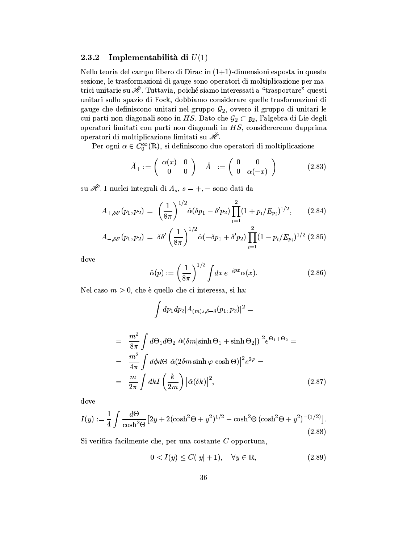#### 2.3.2 Implementabilità di  $U(1)$

Nello teoria del campo libero di Dirac in  $(1+1)$ -dimensioni esposta in questa sezione, le trasformazioni di gauge sono operatori di moltiplicazione per matrici unitarie su  $\mathcal{H}$ . Tuttavia, poiché siamo interessati a "trasportare" questi unitari sullo spazio di Fock, dobbiamo considerare quelle trasformazioni di gauge che definiscono unitari nel gruppo  $G_2$ , ovvero il gruppo di unitari le cui parti non diagonali sono in HS. Dato che  $\mathcal{G}_2 \subset \mathfrak{g}_2$ , l'algebra di Lie degli operatori limitati con parti non diagonali in HS, considereremo dapprima operatori di moltiplicazione limitati su  $\mathscr{H}.$ 

Per ogni  $\alpha \in C_0^{\infty}(\mathbb{R})$ , si definiscono due operatori di moltiplicazione

$$
\check{A}_+ := \left(\begin{array}{cc} \alpha(x) & 0\\ 0 & 0 \end{array}\right) \quad \check{A}_- := \left(\begin{array}{cc} 0 & 0\\ 0 & \alpha(-x) \end{array}\right) \tag{2.83}
$$

su  $\mathcal{\tilde{H}}$ . I nuclei integrali di  $A_s$ ,  $s = +$ , - sono dati da

$$
A_{+,\delta\delta'}(p_1,p_2) = \left(\frac{1}{8\pi}\right)^{1/2} \hat{\alpha}(\delta p_1 - \delta' p_2) \prod_{i=1}^2 (1 + p_i/E_{p_i})^{1/2}, \quad (2.84)
$$

$$
A_{-, \delta \delta'}(p_1, p_2) = \delta \delta' \left(\frac{1}{8\pi}\right)^{1/2} \hat{\alpha}(-\delta p_1 + \delta' p_2) \prod_{i=1}^2 (1 - p_i / E_{p_i})^{1/2} (2.85)
$$

dove

$$
\hat{\alpha}(p) := \left(\frac{1}{8\pi}\right)^{1/2} \int dx \, e^{-ipx} \alpha(x). \tag{2.86}
$$

Nel caso  $m > 0$ , che è quello che ci interessa, si ha:

$$
\int dp_1 dp_2 |A_{(m)s,\delta-\delta}(p_1, p_2)|^2 =
$$
\n
$$
= \frac{m^2}{8\pi} \int d\Theta_1 d\Theta_2 |\hat{\alpha}(\delta m[\sinh \Theta_1 + \sinh \Theta_2])|^2 e^{\Theta_1 + \Theta_2} =
$$
\n
$$
= \frac{m^2}{4\pi} \int d\phi d\Theta |\hat{\alpha}(2\delta m \sinh \varphi \cosh \Theta)|^2 e^{2\varphi} =
$$
\n
$$
= \frac{m}{2\pi} \int dk I \left(\frac{k}{2m}\right) |\hat{\alpha}(\delta k)|^2,
$$
\n(2.87)

dove

$$
I(y) := \frac{1}{4} \int \frac{d\Theta}{\cosh^2 \Theta} \left[ 2y + 2(\cosh^2 \Theta + y^2)^{1/2} - \cosh^2 \Theta \left( \cosh^2 \Theta + y^2 \right)^{-(1/2)} \right].
$$
\n(2.88)

Si verifica facilmente che, per una costante  $C$  opportuna,

$$
0 < I(y) \le C(|y| + 1), \quad \forall y \in \mathbb{R}, \tag{2.89}
$$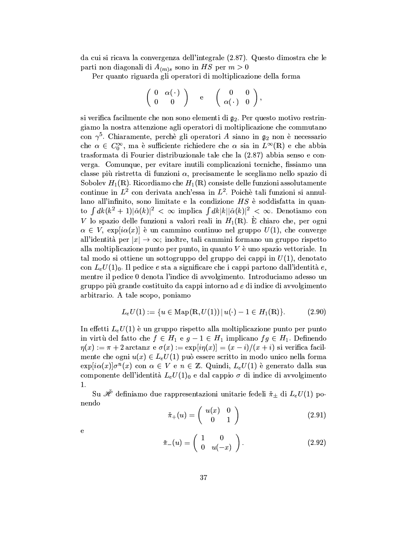da cui si ricava la convergenza dell'integrale (2.87). Questo dimostra che le parti non diagonali di  $A_{(m)s}$  sono in HS per  $m > 0$ 

Per quanto riguarda gli operatori di moltiplicazione della forma

$$
\left(\begin{array}{cc} 0 & \alpha(\,\cdot\,) \\ 0 & 0 \end{array}\right) \quad \text{e} \quad \left(\begin{array}{cc} 0 & 0 \\ \alpha(\,\cdot\,) & 0 \end{array}\right),
$$

si verifica facilmente che non sono elementi di  $g_2$ . Per questo motivo restringiamo la nostra attenzione agli operatori di moltiplicazione che commutano con  $\gamma^5$ . Chiaramente, perchè gli operatori A siano in  $\mathfrak{g}_2$  non è necessario che $\alpha\,\in\,C_0^\infty,$ ma è sufficiente richiedere che $\alpha$ sia in $L^\infty(\mathbb{R})$ e che abbia trasformata di Fourier distribuzionale tale che la (2.87) abbia senso e converga. Comunque, per evitare inutili complicazioni tecniche, fissiamo una classe più ristretta di funzioni  $\alpha$ , precisamente le scegliamo nello spazio di Sobolev  $H_1(\mathbb{R})$ . Ricordiamo che  $H_1(\mathbb{R})$  consiste delle funzioni assolutamente continue in  $L^2$  con derivata anch'essa in  $L^2$ . Poichè tali funzioni si annullano all'infinito, sono limitate e la condizione  $HS$  è soddisfatta in quanto  $\int dk (k^2 + 1) |\hat{\alpha}(k)|^2 < \infty$  implica  $\int dk |k| |\hat{\alpha}(k)|^2 < \infty$ . Denotiamo con V lo spazio delle funzioni a valori reali in  $H_1(\mathbb{R})$ . È chiaro che, per ogni  $\alpha \in V$ ,  $\exp[i\alpha(x)]$  è un cammino continuo nel gruppo  $U(1)$ , che converge all'identità per  $|x| \to \infty$ ; inoltre, tali cammini formano un gruppo rispetto alla moltiplicazione punto per punto, in quanto  $V$  è uno spazio vettoriale. In tal modo si ottiene un sottogruppo del gruppo dei cappi in  $U(1)$ , denotato con  $L_e U(1)_0$ . Il pedice e sta a significare che i cappi partono dall'identità e, mentre il pedice 0 denota l'indice di avvolgimento. Introduciamo adesso un gruppo più grande costituito da cappi intorno ad e di indice di avvolgimento arbitrario. A tale scopo, poniamo

$$
L_e U(1) := \{ u \in \text{Map}(\mathbb{R}, U(1)) \, | \, u(\cdot) - 1 \in H_1(\mathbb{R}) \}. \tag{2.90}
$$

In effetti  $L_eU(1)$  è un gruppo rispetto alla moltiplicazione punto per punto in virtù del fatto che  $f \in H_1$  e  $g - 1 \in H_1$  implicano  $fg \in H_1$ . Definendo  $\eta(x) := \pi + 2 \arctan x \in \sigma(x) := \exp[i\eta(x)] = (x - i)/(x + i)$  si verifica facilmente che ogni  $u(x) \in L_e U(1)$  può essere scritto in modo unico nella forma  $\exp[i\alpha(x)]\sigma^{n}(x)$  con  $\alpha \in V$  e  $n \in \mathbb{Z}$ . Quindi,  $L_{e}U(1)$  è generato dalla sua componente dell'identità  $L_e U(1)_0$  e dal cappio  $\sigma$  di indice di avvolgimento 1.

Su  $\check{\mathscr{H}}$  definiamo due rappresentazioni unitarie fedeli  $\check{\pi}_{\pm}$  di  $L_eU(1)$  ponendo

$$
\check{\pi}_+(u) = \left(\begin{array}{cc} u(x) & 0\\ 0 & 1 \end{array}\right) \tag{2.91}
$$

 $\mathbf{e}$ 

$$
\check{\pi}_-(u) = \left(\begin{array}{cc} 1 & 0 \\ 0 & u(-x) \end{array}\right). \tag{2.92}
$$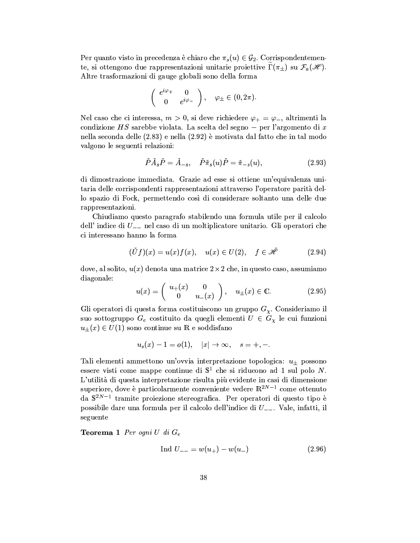Per quanto visto in precedenza è chiaro che  $\pi_s(u) \in \mathcal{G}_2$ . Corrispondentemente, si ottengono due rappresentazioni unitarie proiettive  $\Gamma(\pi_{\pm})$  su  $\mathcal{F}_a(\mathscr{H})$ . Altre trasformazioni di gauge globali sono della forma

$$
\left(\begin{array}{cc} e^{i\varphi_+} & 0\\ 0 & e^{i\varphi_-} \end{array}\right), \quad \varphi_\pm \in (0, 2\pi).
$$

Nel caso che ci interessa,  $m > 0$ , si deve richiedere  $\varphi_+ = \varphi_-$ , altrimenti la condizione $HS$ sarebbe violata. La scelta del segno – per l'argomento di $\boldsymbol{x}$ nella seconda delle (2.83) e nella (2.92) è motivata dal fatto che in tal modo valgono le seguenti relazioni:

$$
\check{P}\check{A}_s\check{P} = \check{A}_{-s}, \quad \check{P}\check{\pi}_s(u)\check{P} = \check{\pi}_{-s}(u), \tag{2.93}
$$

di dimostrazione immediata. Grazie ad esse si ottiene un'equivalenza unitaria delle corrispondenti rappresentazioni attraverso l'operatore parità dello spazio di Fock, permettendo così di considerare soltanto una delle due rappresentazioni.

Chiudiamo questo paragrafo stabilendo una formula utile per il calcolo dell'indice di  $U_{--}$  nel caso di un moltiplicatore unitario. Gli operatori che ci interessano hanno la forma

$$
(\check{U}f)(x) = u(x)f(x), \quad u(x) \in U(2), \quad f \in \check{\mathscr{H}} \tag{2.94}
$$

dove, al solito,  $u(x)$  denota una matrice  $2 \times 2$  che, in questo caso, assumiamo diagonale:

$$
u(x) = \begin{pmatrix} u_+(x) & 0 \\ 0 & u_-(x) \end{pmatrix}, \quad u_\pm(x) \in \mathbb{C}.\tag{2.95}
$$

Gli operatori di questa forma costituiscono un gruppo  $G_{\chi}$ . Consideriamo il suo sottogruppo  $G_e$  costituito da quegli elementi  $U \in G_\chi$  le cui funzioni  $u_{\pm}(x) \in U(1)$  sono continue su R e soddisfano

$$
u_s(x) - 1 = o(1), \quad |x| \to \infty, \quad s = +, -.
$$

Tali elementi ammettono un'ovvia interpretazione topologica:  $u_{\pm}$  possono essere visti come mappe continue di  $\mathbb{S}^1$  che si riducono ad 1 sul polo N. L'utilità di questa interpretazione risulta più evidente in casi di dimensione superiore, dove è particolarmente conveniente vedere  $\mathbb{R}^{2N-1}$  come ottenuto da  $S^{2N-1}$  tramite proiezione stereografica. Per operatori di questo tipo è possibile dare una formula per il calcolo dell'indice di  $U_{--}$ . Vale, infatti, il seguente

**Teorema 1** Per ogni U di  $G_e$ 

$$
Ind U_{--} = w(u_+) - w(u_-) \tag{2.96}
$$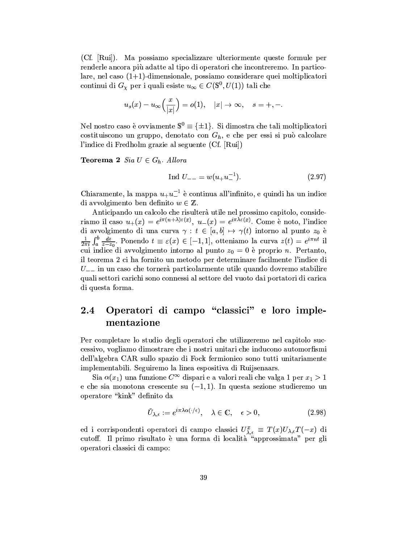(Cf. [Rui]). Ma possiamo specializzare ulteriormente queste formule per renderle ancora più adatte al tipo di operatori che incontreremo. In particolare, nel caso  $(1+1)$ -dimensionale, possiamo considerare quei moltiplicatori continui di  $G_\chi$  per i quali esiste  $u_\infty \in C(\mathbb{S}^0, U(1))$  tali che

$$
u_s(x) - u_\infty\left(\frac{x}{|x|}\right) = o(1), \quad |x| \to \infty, \quad s = +, -.
$$

Nel nostro caso è ovviamente  $\mathbb{S}^0 \equiv \{\pm 1\}$ . Si dimostra che tali moltiplicatori costituiscono un gruppo, denotato con  $G_h$ , e che per essi si può calcolare l'indice di Fredholm grazie al seguente (Cf. [Rui])

**Teorema 2** Sia  $U \in G_h$ . Allora

$$
Ind U_{--} = w(u_{+}u_{-}^{-1}). \tag{2.97}
$$

Chiaramente, la mappa  $u_+u_-^{-1}$  è continua all'infinito, e quindi ha un indice di avvolgimento ben definito  $w \in \mathbb{Z}$ .

Anticipando un calcolo che risulterà utile nel prossimo capitolo, consideriamo il caso  $u_+(x) = e^{i\pi(n+\lambda)\varepsilon(x)}$ ,  $u_-(x) = e^{i\pi\lambda\varepsilon(x)}$ . Come è noto, l'indice di avvolgimento di una curva  $\gamma : t \in [a, b] \mapsto \gamma(t)$  intorno al punto  $z_0$  è  $\frac{1}{2\pi i} \int_a^b \frac{dz}{z-z_0}$ . Ponendo  $t \equiv \varepsilon(x) \in [-1,1]$ , otteniamo la curva  $z(t) = e^{i\pi nt}$  il cui indice di avvolgimento intorno al punto  $z_0 = 0$  è proprio *n*. Pertanto, il teorema 2 ci ha fornito un metodo per determinare facilmente l'indice di  $U_{-}$  in un caso che tornerà particolarmente utile quando dovremo stabilire quali settori carichi sono connessi al settore del vuoto dai portatori di carica di questa forma.

## Operatori di campo "classici" e loro imple- $2.4\,$ mentazione

Per completare lo studio degli operatori che utilizzeremo nel capitolo successivo, vogliamo dimostrare che i nostri unitari che inducono automorfismi dell'algebra CAR sullo spazio di Fock fermionico sono tutti unitariamente implementabili. Seguiremo la linea espositiva di Ruijsenaars.

Sia  $\alpha(x_1)$  una funzione  $C^{\infty}$  dispari e a valori reali che valga 1 per  $x_1 > 1$ e che sia monotona crescente su  $(-1, 1)$ . In questa sezione studieremo un operatore "kink" definito da

$$
\check{U}_{\lambda,\epsilon} := e^{i\pi\lambda\alpha(\cdot/\epsilon)}, \quad \lambda \in \mathbb{C}, \quad \epsilon > 0,
$$
\n(2.98)

ed i corrispondenti operatori di campo classici  $U_{\lambda,\epsilon}^x \equiv T(x)U_{\lambda,\epsilon}T(-x)$  di cutoff. Il primo risultato è una forma di località "approssimata" per gli operatori classici di campo: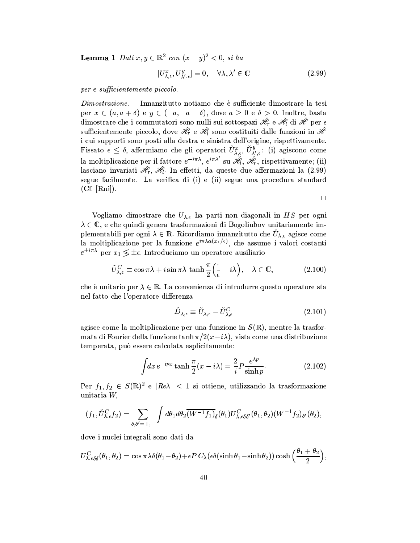**Lemma 1** Dati  $x, y \in \mathbb{R}^2$  con  $(x - y)^2 < 0$ , si ha

$$
[U_{\lambda,\epsilon}^x, U_{\lambda',\epsilon}^y] = 0, \quad \forall \lambda, \lambda' \in \mathbb{C}
$$
\n(2.99)

 $per \epsilon$  sufficientemente piccolo.

Innanzitutto notiamo che è sufficiente dimostrare la tesi  $Dimostrazione.$ per  $x \in (a, a + \delta)$  e  $y \in (-a, -a - \delta)$ , dove  $a \geq 0$  e  $\delta > 0$ . Inoltre, basta dimostrare che i commutatori sono nulli sui sottospazi  $\mathcal{H}_r$  e  $\mathcal{H}_l$  di  $\mathcal{H}_r$  per  $\epsilon$ sufficientemente piccolo, dove  $\mathcal{H}_r$  e  $\mathcal{H}_l$  sono costituiti dalle funzioni in  $\mathcal{H}$ i cui supporti sono posti alla destra e sinistra dell'origine, rispettivamente. Fissato  $\epsilon \leq \delta$ , affermiamo che gli operatori  $\check{U}^x_{\lambda,\epsilon}, \check{U}^y_{\lambda',\epsilon}$ : (i) agiscono come la moltiplicazione per il fattore  $e^{-i\pi\lambda}$ ,  $e^{i\pi\lambda'}$  su  $\mathscr{H}_i$ ,  $\mathscr{H}_r$ , rispettivamente; (ii) lasciano invariati  $\mathcal{H}_r$ ,  $\mathcal{H}_l$ . In effetti, da queste due affermazioni la (2.99) segue facilmente. La verifica di (i) e (ii) segue una procedura standard  $(Cf. [Rui]).$ 

 $\Box$ 

Vogliamo dimostrare che  $U_{\lambda,\epsilon}$  ha parti non diagonali in HS per ogni  $\lambda \in \mathbb{C},$  e che quindi genera trasformazioni di Bogoliubov unitariamente implementabili per ogni  $\lambda \in \mathbb{R}$ . Ricordiamo innanzitutto che  $\tilde{U}_{\lambda,\epsilon}$  agisce come la moltiplicazione per la funzione  $e^{i\pi \lambda \alpha(x_1/\epsilon)}$ , che assume i valori costanti  $e^{\pm i\pi\lambda}$  per  $x_1 \lessgtr \pm \epsilon$ . Introduciamo un operatore ausiliario

$$
\check{U}^C_{\lambda,\epsilon} \equiv \cos \pi \lambda + i \sin \pi \lambda \, \tanh \frac{\pi}{2} \Big( \frac{\cdot}{\epsilon} - i \lambda \Big), \quad \lambda \in \mathbb{C}, \tag{2.100}
$$

che è unitario per  $\lambda \in \mathbb{R}$ . La convenienza di introdurre questo operatore sta nel fatto che l'operatore differenza

$$
\check{D}_{\lambda,\epsilon} \equiv \check{U}_{\lambda,\epsilon} - \check{U}_{\lambda,\epsilon}^C \tag{2.101}
$$

agisce come la moltiplicazione per una funzione in  $S(\mathbb{R})$ , mentre la trasformata di Fourier della funzione  $\tanh \pi/2(x-i\lambda)$ , vista come una distribuzione temperata, può essere calcolata esplicitamente:

$$
\int dx e^{-ipx} \tanh\frac{\pi}{2}(x - i\lambda) = \frac{2}{i} P \frac{e^{\lambda p}}{\sinh p}.
$$
 (2.102)

Per  $f_1, f_2 \in S(\mathbb{R})^2$  e  $|Re\lambda| < 1$  si ottiene, utilizzando la trasformazione unitaria W,

$$
(f_1, \check{U}^C_{\lambda,\epsilon}f_2) = \sum_{\delta,\delta'=+,-}\int d\theta_1 d\theta_2 \overline{(W^{-1}f_1)}_{\delta}(\theta_1)U^C_{\lambda,\epsilon\delta\delta'}(\theta_1,\theta_2)(W^{-1}f_2)_{\delta'}(\theta_2),
$$

dove i nuclei integrali sono dati da

$$
U_{\lambda,\epsilon\delta\delta}^{C}(\theta_1,\theta_2)=\cos\pi\lambda\delta(\theta_1-\theta_2)+\epsilon P C_{\lambda}(\epsilon\delta(\sinh\theta_1-\sinh\theta_2))\cosh\left(\frac{\theta_1+\theta_2}{2}\right),
$$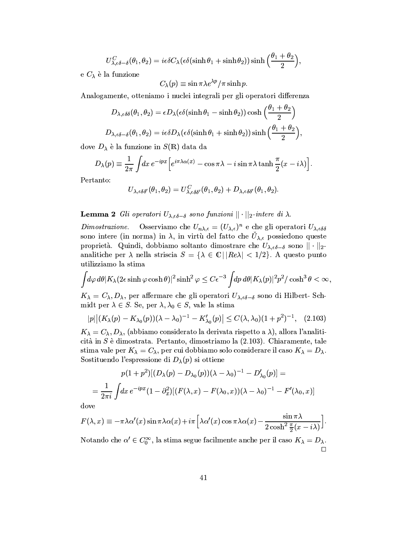$$
U_{\lambda,\epsilon\delta-\delta}^{C}(\theta_1,\theta_2)=i\epsilon\delta C_{\lambda}(\epsilon\delta(\sinh\theta_1+\sinh\theta_2))\sinh\left(\frac{\theta_1+\theta_2}{2}\right),\,
$$

e  $C_{\lambda}$  è la funzione

$$
C_\lambda(p)\equiv\sin\pi\lambda e^{\lambda p}/\pi\sinh p.
$$

Analogamente, otteniamo i nuclei integrali per gli operatori differenza

$$
D_{\lambda,\epsilon\delta\delta}(\theta_1,\theta_2) = \epsilon D_{\lambda}(\epsilon\delta(\sinh\theta_1 - \sinh\theta_2))\cosh\left(\frac{\theta_1 + \theta_2}{2}\right)
$$
  

$$
D_{\lambda,\epsilon\delta-\delta}(\theta_1,\theta_2) = i\epsilon\delta D_{\lambda}(\epsilon\delta(\sinh\theta_1 + \sinh\theta_2))\sinh\left(\frac{\theta_1 + \theta_2}{2}\right),
$$

dove  $D_{\lambda}$  è la funzione in  $S(\mathbb{R})$  data da

$$
D_{\lambda}(p) \equiv \frac{1}{2\pi} \int dx \, e^{-ipx} \Big[ e^{i\pi \lambda \alpha(x)} - \cos \pi \lambda - i \sin \pi \lambda \tanh \frac{\pi}{2}(x - i\lambda) \Big].
$$

Pertanto:

$$
U_{\lambda,\epsilon\delta\delta'}(\theta_1,\theta_2)=U^C_{\lambda,\epsilon\delta\delta'}(\theta_1,\theta_2)+D_{\lambda,\epsilon\delta\delta'}(\theta_1,\theta_2).
$$

# **Lemma 2** Gli operatori  $U_{\lambda,\epsilon\delta-\delta}$  sono funzioni  $||\cdot||_2$ -intere di  $\lambda$ .

Osserviamo che  $U_{n\lambda,\epsilon}=(U_{\lambda,\epsilon})^n$ e che gli operatori $U_{\lambda,\epsilon\delta\delta}$  $Dimostrazione.$ sono intere (in norma) in  $\lambda$ , in virtù del fatto che  $\check{U}_{\lambda,\epsilon}$  possiedono queste proprietà. Quindi, dobbiamo soltanto dimostrare che  $U_{\lambda,\epsilon\delta-\delta}$  sono  $||\cdot||_2$ analitiche per  $\lambda$  nella striscia  $S = {\lambda \in \mathbb{C} | |Re\lambda| < 1/2}$ . A questo punto utilizziamo la stima

$$
\int\!\! d\varphi\, d\theta |K_\lambda(2\epsilon\sinh\varphi\cosh\theta)|^2\sinh^2\varphi\leq C\epsilon^{-3}\int\!\! dp\, d\theta |K_\lambda(p)|^2p^2/\cosh^3\theta<\infty,
$$

 $K_{\lambda} = C_{\lambda}, D_{\lambda}$ , per affermare che gli operatori  $U_{\lambda,\epsilon\delta-\delta}$  sono di Hilbert-Schmidt per  $\lambda \in S$ . Se, per  $\lambda, \lambda_0 \in S$ , vale la stima

$$
|p| | (K_{\lambda}(p) - K_{\lambda_0}(p)) (\lambda - \lambda_0)^{-1} - K'_{\lambda_0}(p) | \leq C(\lambda, \lambda_0) (1 + p^2)^{-1}, \quad (2.103)
$$

 $K_{\lambda} = C_{\lambda}, D_{\lambda}$ , (abbiamo considerato la derivata rispetto a  $\lambda$ ), allora l'analiticità in  $S$  è dimostrata. Pertanto, dimostriamo la  $(2.103)$ . Chiaramente, tale stima vale per  $K_{\lambda} = C_{\lambda}$ , per cui dobbiamo solo considerare il caso  $K_{\lambda} = D_{\lambda}$ . Sostituendo l'espressione di  $D_{\lambda}(p)$  si ottiene

$$
p(1+p^2)[(D_{\lambda}(p) - D_{\lambda_0}(p))(\lambda - \lambda_0)^{-1} - D'_{\lambda_0}(p)] =
$$
  
= 
$$
\frac{1}{2\pi i} \int dx e^{-ipx} (1 - \partial_x^2) [(F(\lambda, x) - F(\lambda_0, x))(\lambda - \lambda_0)^{-1} - F'(\lambda_0, x)]
$$

dove

$$
F(\lambda, x) \equiv -\pi \lambda \alpha'(x) \sin \pi \lambda \alpha(x) + i\pi \left[ \lambda \alpha'(x) \cos \pi \lambda \alpha(x) - \frac{\sin \pi \lambda}{2 \cosh^2 \frac{\pi}{2}(x - i\lambda)} \right].
$$

Notando che  $\alpha' \in C_0^{\infty}$ , la stima segue facilmente anche per il caso  $K_{\lambda} = D_{\lambda}$ .  $\Box$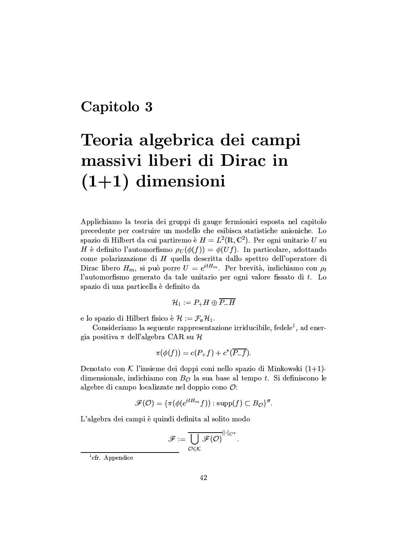# Capitolo 3

# Teoria algebrica dei campi massivi liberi di Dirac in  $(1+1)$  dimensioni

Applichiamo la teoria dei gruppi di gauge fermionici esposta nel capitolo precedente per costruire un modello che esibisca statistiche anioniche. Lo spazio di Hilbert da cui partiremo è  $H = L^2(\mathbb{R}, \mathbb{C}^2)$ . Per ogni unitario U su H è definito l'automorfismo  $\rho_U(\phi(f)) = \phi(Uf)$ . In particolare, adottando come polarizzazione di  $H$  quella descritta dallo spettro dell'operatore di Dirac libero  $H_m$ , si può porre  $U = e^{itH_m}$ . Per brevità, indichiamo con  $\rho_t$ l'automorfismo generato da tale unitario per ogni valore fissato di t. Lo spazio di una particella è definito da

$$
\mathcal{H}_1:=P_+H\oplus \overline{P_-H}
$$

e lo spazio di Hilbert fisico è  $\mathcal{H} := \mathcal{F}_a \mathcal{H}_1$ .

Consideriamo la seguente rappresentazione irriducibile, fedele<sup>1</sup>, ad energia positiva  $\pi$  dell'algebra CAR su H

$$
\pi(\phi(f)) = c(P_+f) + c^*(\overline{P_-f}).
$$

Denotato con  $K$  l'insieme dei doppi coni nello spazio di Minkowski  $(1+1)$ dimensionale, indichiamo con  $B_{\mathcal{O}}$  la sua base al tempo t. Si definiscono le algebre di campo localizzate nel doppio cono  $\mathcal{O}$ :

$$
\mathscr{F}(\mathcal{O})=\{\pi(\phi(e^{itH_m}f)): \text{supp}(f)\subset B_\mathcal{O}\}''.
$$

L'algebra dei campi è quindi definita al solito modo

$$
\mathscr{F}:=\overline{\bigcup_{\mathcal{O}\in\mathcal{K}}\mathscr{F}(\mathcal{O})}^{\|\cdot\|_{C^*}}.
$$

<sup>1</sup>cfr. Appendice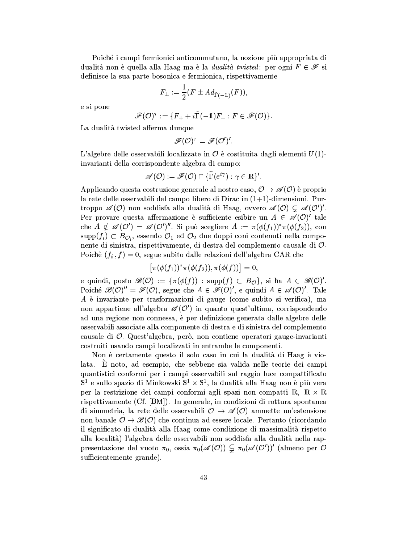Poiché i campi fermionici anticommutano, la nozione più appropriata di dualità non è quella alla Haag ma è la *dualità twisted*: per ogni  $F \in \mathcal{F}$  si definisce la sua parte bosonica e fermionica, rispettivamente

$$
F_{\pm}:=\frac{1}{2}(F\pm Ad_{\tilde{\Gamma}(-1)}(F)).
$$

e si pone

$$
\mathscr{F}(\mathcal{O})^{\tau} := \{ F_+ + i\tilde{\Gamma}(-1)F_- : F \in \mathscr{F}(\mathcal{O}) \}.
$$

La dualità twisted afferma dunque

$$
\mathscr{F}(\mathcal{O})^{\tau}=\mathscr{F}(\mathcal{O}')'.
$$

L'algebre delle osservabili localizzate in  $\mathcal O$  è costituita dagli elementi  $U(1)$ invarianti della corrispondente algebra di campo:

$$
\mathscr{A}(\mathcal{O}) := \mathscr{F}(\mathcal{O}) \cap \{ \Gamma(e^{i\gamma}) : \gamma \in \mathbb{R} \}^{\prime}.
$$

Applicando questa costruzione generale al nostro caso,  $\mathcal{O} \rightarrow \mathscr{A}(\mathcal{O})$  è proprio la rete delle osservabili del campo libero di Dirac in  $(1+1)$ -dimensioni. Purtroppo  $\mathscr{A}(0)$  non soddisfa alla dualità di Haag, ovvero  $\mathscr{A}(0) \subsetneq \mathscr{A}(0')'$ . Per provare questa affermazione è sufficiente esibire un  $A \in \mathscr{A}(0)'$  tale che  $A \notin \mathscr{A}(\mathcal{O}') = \mathscr{A}(\mathcal{O}')''$ . Si può scegliere  $A := \pi(\phi(f_1))^* \pi(\phi(f_2))$ , con  $\text{supp}(f_i) \subset B_{\mathcal{O}_i}$ , essendo  $\mathcal{O}_1$  ed  $\mathcal{O}_2$  due doppi coni contenuti nella componente di sinistra, rispettivamente, di destra del complemento causale di  $\mathcal{O}$ . Poichè  $(f_i, f) = 0$ , segue subito dalle relazioni dell'algebra CAR che

$$
\big[\pi(\phi(f_1))^*\pi(\phi(f_2)),\pi(\phi(f))\big]=0,
$$

e quindi, posto  $\mathscr{B}(\mathcal{O}) := {\pi(\phi(f)) : \text{supp}(f) \subset B_{\mathcal{O}}}, \text{ si ha } A \in \mathscr{B}(\mathcal{O})'.$ Poiché  $\mathscr{B}(0)^{n} = \mathscr{F}(0)$ , segue che  $A \in \mathscr{F}(0)^{n}$ , e quindi  $A \in \mathscr{A}(0)^{n}$ . Tale  $A$  è invariante per trasformazioni di gauge (come subito si verifica), ma non appartiene all'algebra  $\mathscr{A}(\mathcal{O}')$  in quanto quest'ultima, corrispondendo ad una regione non connessa, è per definizione generata dalle algebre delle osservabili associate alla componente di destra e di sinistra del complemento causale di  $\mathcal{O}$ . Quest'algebra, però, non contiene operatori gauge-invarianti costruiti usando campi localizzati in entrambe le componenti.

Non è certamente questo il solo caso in cui la dualità di Haag è violata. È noto, ad esempio, che sebbene sia valida nelle teorie dei campi quantistici conformi per i campi osservabili sul raggio luce compattificato  $\mathbb{S}^1$  e sullo spazio di Minkowski  $\mathbb{S}^1 \times \mathbb{S}^1$ , la dualità alla Haag non è più vera per la restrizione dei campi conformi agli spazi non compatti  $\mathbb{R}$ .  $\mathbb{R} \times \mathbb{R}$ rispettivamente (Cf. [BM]). In generale, in condizioni di rottura spontanea di simmetria, la rete delle osservabili  $\mathcal{O} \rightarrow \mathscr{A}(\mathcal{O})$  ammette un'estensione non banale  $\mathcal{O} \to \mathscr{B}(\mathcal{O})$  che continua ad essere locale. Pertanto (ricordando il significato di dualità alla Haag come condizione di massimalità rispetto alla località) l'algebra delle osservabili non soddisfa alla dualità nella rappresentazione del vuoto  $\pi_0$ , ossia  $\pi_0(\mathscr{A}(0)) \subsetneq \pi_0(\mathscr{A}(0'))'$  (almeno per O sufficientemente grande).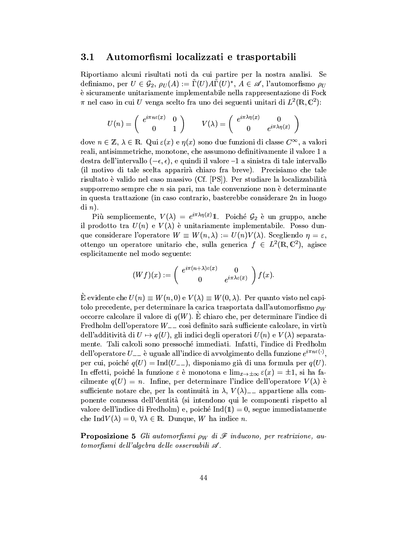#### $3.1$ Automorfismi localizzati e trasportabili

Riportiamo alcuni risultati noti da cui partire per la nostra analisi. Se definiamo, per  $U \in \mathcal{G}_2$ ,  $\rho_U(A) := \tilde{\Gamma}(U) A \tilde{\Gamma}(U)^*$ ,  $A \in \mathscr{A}$ , l'automorfismo  $\rho_U$ è sicuramente unitariamente implementabile nella rappresentazione di Fock  $\pi$  nel caso in cui U venga scelto fra uno dei seguenti unitari di  $L^2(\mathbb{R}, \mathbb{C}^2)$ :

$$
U(n) = \begin{pmatrix} e^{i\pi n\varepsilon(x)} & 0\\ 0 & 1 \end{pmatrix} \qquad V(\lambda) = \begin{pmatrix} e^{i\pi\lambda\eta(x)} & 0\\ 0 & e^{i\pi\lambda\eta(x)} \end{pmatrix}
$$

dove  $n \in \mathbb{Z}$ ,  $\lambda \in \mathbb{R}$ . Qui  $\varepsilon(x)$  e  $\eta(x)$  sono due funzioni di classe  $C^{\infty}$ , a valori reali, antisimmetriche, monotone, che assumono definitivamente il valore 1 a destra dell'intervallo  $(-\epsilon, \epsilon)$ , e quindi il valore -1 a sinistra di tale intervallo (il motivo di tale scelta apparirà chiaro fra breve). Precisiamo che tale risultato è valido nel caso massivo (Cf. [PS]). Per studiare la localizzabilità supporremo sempre che  $n$  sia pari, ma tale convenzione non è determinante in questa trattazione (in caso contrario, basterebbe considerare  $2n$  in luogo  $\mathrm{d}i\ n$ ).

Più semplicemente,  $V(\lambda) = e^{i\pi\lambda\eta(x)}\mathbb{1}$ . Poiché  $\mathcal{G}_2$  è un gruppo, anche il prodotto tra  $U(n)$  e  $V(\lambda)$  è unitariamente implementabile. Posso dunque considerare l'operatore  $W \equiv W(n, \lambda) := U(n)V(\lambda)$ . Scegliendo  $\eta = \varepsilon$ . ottengo un operatore unitario che, sulla generica  $f \in L^2(\mathbb{R}, \mathbb{C}^2)$ , agisce esplicitamente nel modo seguente:

$$
(Wf)(x) := \begin{pmatrix} e^{i\pi(n+\lambda)\varepsilon(x)} & 0\\ 0 & e^{i\pi\lambda\varepsilon(x)} \end{pmatrix} f(x)
$$

 $\hat{E}$  evidente che  $U(n) \equiv W(n,0)$  e  $V(\lambda) \equiv W(0,\lambda)$ . Per quanto visto nel capitolo precedente, per determinare la carica trasportata dall'automorfismo  $\rho_W$ occorre calcolare il valore di  $q(W)$ . È chiaro che, per determinare l'indice di Fredholm dell'operatore  $W_{--}$  così definito sarà sufficiente calcolare, in virtù dell'additività di  $U \mapsto q(U)$ , gli indici degli operatori  $U(n)$  e  $V(\lambda)$  separatamente. Tali calcoli sono pressoché immediati. Infatti, l'indice di Fredholm dell'operatore  $U_{--}$  è uguale all'indice di avvolgimento della funzione  $e^{i\pi n\varepsilon(\cdot)}$ , per cui, poiché  $q(U) = \text{Ind}(U_{--})$ , disponiamo già di una formula per  $q(U)$ . In effetti, poiché la funzione  $\varepsilon$  è monotona e  $\lim_{x\to\pm\infty} \varepsilon(x) = \pm 1$ , si ha facilmente  $q(U) = n$ . Infine, per determinare l'indice dell'operatore  $V(\lambda)$  è sufficiente notare che, per la continuità in  $\lambda$ ,  $V(\lambda)$ <sub>--</sub> appartiene alla componente connessa dell'dentità (si intendono qui le componenti rispetto al valore dell'indice di Fredholm) e, poiché  $Ind(1) = 0$ , segue immediatamente che Ind $V(\lambda) = 0, \forall \lambda \in \mathbb{R}$ . Dunque, W ha indice n.

**Proposizione 5** Gli automorfismi  $\rho_W$  di  $\mathscr F$  inducono, per restrizione, automorfismi dell'algebra delle osservabili  $\mathscr A$ .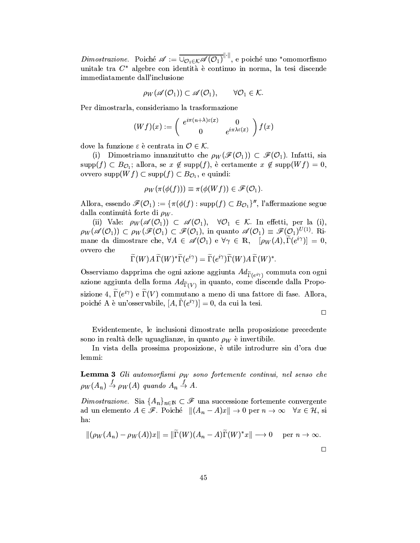*Dimostrazione.* Poiché  $\mathscr{A} := \overline{\cup_{\mathcal{O}_1 \in \mathcal{K}} \mathscr{A}(\mathcal{O}_1)}^{\|\cdot\|}$ , e poiché uno \*omomorfismo unitale tra  $C^*$  algebre con identità è continuo in norma, la tesi discende immediatamente dall'inclusione

$$
\rho_W(\mathscr{A}(O_1)) \subset \mathscr{A}(O_1), \qquad \forall O_1 \in \mathcal{K}.
$$

Per dimostrarla, consideriamo la trasformazione

$$
(Wf)(x) := \begin{pmatrix} e^{i\pi(n+\lambda)\varepsilon(x)} & 0\\ 0 & e^{i\pi\lambda\varepsilon(x)} \end{pmatrix} f(x)
$$

dove la funzione  $\varepsilon$  è centrata in  $\mathcal{O} \in \mathcal{K}$ .

(i) Dimostriamo innanzitutto che  $\rho_W(\mathscr{F}(O_1)) \subset \mathscr{F}(O_1)$ . Infatti, sia  $\text{supp}(f) \subset B_{\mathcal{O}_1}$ ; allora, se  $x \notin \text{supp}(f)$ , è certamente  $x \notin \text{supp}(Wf) = 0$ , ovvero supp $(Wf) \subset \text{supp}(f) \subset B_{\mathcal{O}_1}$ , e quindi:

$$
\rho_W(\pi(\phi(f))) \equiv \pi(\phi(Wf)) \in \mathscr{F}(\mathcal{O}_1)
$$

Allora, essendo  $\mathscr{F}(\mathcal{O}_1) := {\pi(\phi(f) : \text{supp}(f) \subset B_{\mathcal{O}_1})}$ ", l'affermazione segue dalla continuità forte di  $\rho_W$ .

(ii) Vale:  $\rho_W(\mathscr{A}(O_1)) \subset \mathscr{A}(O_1)$ ,  $\forall O_1 \in \mathcal{K}$ . In effecti, per la (i),  $\rho_W(\mathscr{A}(O_1)) \subset \rho_W(\mathscr{F}(O_1) \subset \mathscr{F}(O_1)$ , in quanto  $\mathscr{A}(O_1) \equiv \mathscr{F}(O_1)^{U(1)}$ . Rimane da dimostrare che,  $\forall A \in \mathscr{A}(O_1)$  e  $\forall \gamma \in \mathbb{R}$ ,  $[\rho_W(A), \widetilde{\Gamma}(e^{i\gamma})] = 0$ , ovvero che

$$
\widetilde{\Gamma}(W)A\,\widetilde{\Gamma}(W)^*\widetilde{\Gamma}(e^{i\gamma})=\widetilde{\Gamma}(e^{i\gamma})\widetilde{\Gamma}(W)A\,\widetilde{\Gamma}(W)^*.
$$

Osserviamo dapprima che ogni azione aggiunta  $Ad_{\widetilde{\Gamma}(e^{i\gamma})}$  commuta con ogni azione aggiunta della forma  $Ad_{\widetilde{\Gamma}(V)}$  in quanto, come discende dalla Proposizione 4,  $\widetilde{\Gamma}(e^{i\gamma})$  e  $\widetilde{\Gamma}(V)$  commutano a meno di una fattore di fase. Allora, poiché A è un'osservabile,  $[A, \tilde{\Gamma}(e^{i\gamma})] = 0$ , da cui la tesi.

 $\Box$ 

Evidentemente, le inclusioni dimostrate nella proposizione precedente sono in realtà delle uguaglianze, in quanto  $\rho_W$  è invertibile.

In vista della prossima proposizione, è utile introdurre sin d'ora due lemmi:

**Lemma 3** Gli automorfismi  $\rho_W$  sono fortemente continui, nel senso che  $\rho_W(A_n) \stackrel{f}{\rightarrow} \rho_W(A)$  quando  $A_n \stackrel{f}{\rightarrow} A$ .

Dimostrazione. Sia  $\{A_n\}_{n\in\mathbb{N}}\subset\mathscr{F}$  una successione fortemente convergente ad un elemento  $A \in \mathscr{F}$ . Poiché  $|| (A_n - A)x || \rightarrow 0$  per  $n \rightarrow \infty$   $\forall x \in \mathcal{H}$ , si ha:

$$
\|(\rho_W(A_n) - \rho_W(A))x\| = \|\widetilde{\Gamma}(W)(A_n - A)\widetilde{\Gamma}(W)^*x\| \longrightarrow 0 \quad \text{per } n \to \infty.
$$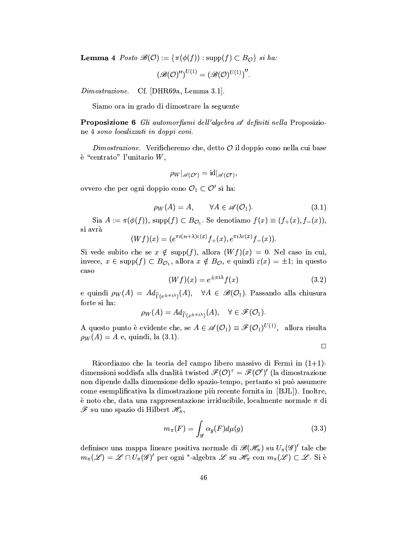**Lemma 4** Posto  $\mathscr{B}(\mathcal{O}) := {\pi(\phi(f)) : \text{supp}(f) \subset B_{\mathcal{O}}\}$  si ha:

$$
\left(\mathscr{B}(\mathcal{O})^{\prime\prime}\right)^{U(1)}=\left(\mathscr{B}(\mathcal{O})^{U(1)}\right)^{\prime\prime}.
$$

 $Dimostrazione.$ Cf. [DHR69a, Lemma 3.1].

Siamo ora in grado di dimostrare la seguente

**Proposizione 6** Gli automorfismi dell'algebra  $\mathscr A$  definiti nella Proposizione 4 sono localizzati in doppi coni.

*Dimostrazione.* Verificheremo che, detto  $\mathcal O$  il doppio cono nella cui base  $\lambda$  "centrato" l'unitario  $W$ ,

$$
\rho_W|_{\mathscr{A}(\mathcal{O}')}=\mathrm{id}|_{\mathscr{A}(\mathcal{O}')},
$$

ovvero che per ogni doppio cono  $\mathcal{O}_1 \subset \mathcal{O}'$  si ha:

$$
\rho_W(A) = A, \qquad \forall A \in \mathscr{A}(\mathcal{O}_1). \tag{3.1}
$$

Sia  $A := \pi(\phi(f))$ , supp $(f) \subset B_{\mathcal{O}_1}$ . Se denotiamo  $f(x) \equiv (f_+(x), f_-(x))$ , si avrà

$$
(Wf)(x)=(e^{\pi i (n+\lambda)\varepsilon(x)}f_+(x),e^{\pi i \lambda \varepsilon(x)}f_-(x)).
$$

Si vede subito che se  $x \notin \text{supp}(f)$ , allora  $(Wf)(x) = 0$ . Nel caso in cui, invece,  $x \in \text{supp}(f) \subset B_{\mathcal{O}_1}$ , allora  $x \notin B_{\mathcal{O}}$ , e quindi  $\varepsilon(x) = \pm 1$ ; in questo caso

$$
(Wf)(x) = e^{\pm \pi i \lambda} f(x) \tag{3.2}
$$

e quindi  $\rho_W(A) = Ad_{\widetilde{\Gamma}(e^{\pm \pi i \lambda})}(A), \quad \forall A \in \mathscr{B}(\mathcal{O}_1).$  Passando alla chiusura forte si ha:

$$
\rho_W(A) = Ad_{\widetilde{\Gamma}(e^{\pm \pi i \lambda})}(A), \quad \forall \in \mathscr{F}(\mathcal{O}_1).
$$

A questo punto è evidente che, se  $A \in \mathscr{A}(\mathcal{O}_1) \equiv \mathscr{F}(\mathcal{O}_1)^{U(1)}$ , allora risulta  $\rho_W(A) = A$  e, quindi, la (3.1).

 $\Box$ 

Ricordiamo che la teoria del campo libero massivo di Fermi in  $(1+1)$ dimensioni soddisfa alla dualità twisted  $\mathscr{F}(\mathcal{O})^{\tau} = \mathscr{F}(\mathcal{O}')'$  (la dimostrazione non dipende dalla dimensione dello spazio-tempo, pertanto si può assumere come esemplificativa la dimostrazione più recente fornita in [BJL]). Inoltre, è noto che, data una rappresentazione irriducibile, localmente normale  $\pi$  di  ${\mathscr{F}}$  su uno spazio di Hilbert  $\mathscr{H}_\pi,$ 

$$
m_{\pi}(F) = \int_{\mathscr{G}} \alpha_g(F) d\mu(g) \tag{3.3}
$$

definisce una mappa lineare positiva normale di  $\mathscr{B}(\mathscr{H}_{\pi})$  su  $U_{\pi}(\mathscr{G})'$  tale che  $m_{\pi}(\mathscr{L}) = \mathscr{L} \cap U_{\pi}(\mathscr{G})'$  per ogni \*-algebra  $\mathscr{L}$  su  $\mathscr{H}_{\pi}$  con  $m_{\pi}(\mathscr{L}) \subset \mathscr{L}$ . Si è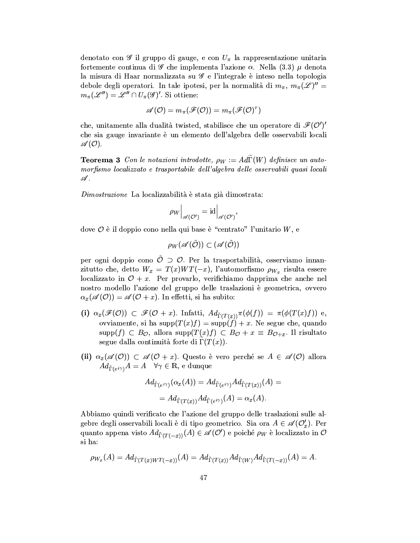denotato con  $\mathscr G$  il gruppo di gauge, e con  $U_\pi$  la rappresentazione unitaria fortemente continua di  $\mathscr G$  che implementa l'azione  $\alpha$ . Nella (3.3)  $\mu$  denota la misura di Haar normalizzata su  $\mathscr G$  e l'integrale è inteso nella topologia debole degli operatori. In tale ipotesi, per la normalità di  $m_{\pi}$ ,  $m_{\pi}(\mathscr{L})'' =$  $m_{\pi}(\mathscr{L}'') = \mathscr{L}'' \cap U_{\pi}(\mathscr{G})'$ . Si ottiene:

$$
{\mathscr A}({\mathcal O})=m_\pi({\mathscr F}({\mathcal O}))=m_\pi({\mathscr F}({\mathcal O})^\tau)
$$

che, unitamente alla dualità twisted, stabilisce che un operatore di  $\mathcal{F}(O')'$ che sia gauge invariante è un elemento dell'algebra delle osservabili locali  $\mathscr{A}(\mathcal{O}).$ 

**Teorema 3** Con le notazioni introdotte,  $\rho_W := Ad\widetilde{\Gamma}(W)$  definisce un automorfismo localizzato e trasportabile dell'algebra delle osservabili quasi locali  $\mathscr A$  .

*Dimostrazione* La localizzabilità è stata già dimostrata:

$$
\rho_W\Big|_{\mathscr{A}(\mathcal{O}^\prime)} = \mathrm{id}\Big|_{\mathscr{A}(\mathcal{O}^\prime)}
$$

dove  $\mathcal O$  è il doppio cono nella qui base è "centrato" l'unitario  $W$ , e

$$
\rho_W(\mathscr A(\mathcal O))\subset(\mathscr A(\mathcal O))
$$

per ogni doppio cono  $\tilde{\mathcal{O}} \supset \mathcal{O}$ . Per la trasportabilità, osserviamo innanzitutto che, detto  $W_x = T(x)WT(-x)$ , l'automorfismo  $\rho_{W_x}$  risulta essere localizzato in  $\mathcal{O} + x$ . Per provarlo, verifichiamo dapprima che anche nel nostro modello l'azione del gruppo delle traslazioni è geometrica, ovvero  $\alpha_x(\mathscr{A}(0)) = \mathscr{A}(0+x)$ . In effecti, si ha subito:

- (i)  $\alpha_x(\mathscr{F}(0)) \subset \mathscr{F}(0+x)$ . Infatti,  $Ad_{\tilde{\Gamma}(T(x))}\pi(\phi(f)) = \pi(\phi(T(x)f))$  e, ovviamente, si ha supp $(T(x)f) = \text{supp}(f) + x$ . Ne segue che, quando supp(f)  $\subset B_{\mathcal{O}}$ , allora supp( $T(x)$ f)  $\subset B_{\mathcal{O}} + x \equiv B_{\mathcal{O}+x}$ . Il risultato segue dalla continuità forte di  $\Gamma(T(x))$ .
- (ii)  $\alpha_x(\mathscr{A}(0)) \subset \mathscr{A}(0+x)$ . Questo è vero perché se  $A \in \mathscr{A}(0)$  allora  $Ad_{\tilde{\Gamma}(e^{i\gamma})}A=A \quad \forall \gamma \in \mathbb{R}, \text{ e dunque}$

$$
Ad_{\tilde{\Gamma}(e^{i\gamma})}(\alpha_x(A)) = Ad_{\tilde{\Gamma}(e^{i\gamma})}Ad_{\tilde{\Gamma}(T(x))}(A) =
$$
  
= 
$$
Ad_{\tilde{\Gamma}(T(x))}Ad_{\tilde{\Gamma}(e^{i\gamma})}(A) = \alpha_x(A).
$$

Abbiamo quindi verificato che l'azione del gruppo delle traslazioni sulle algebre degli osservabili locali è di tipo geometrico. Sia ora  $A \in \mathscr{A}(\mathcal{O}_x)$ . Per quanto appena visto  $Ad_{\tilde{\Gamma}(T(-x))}(A) \in \mathscr{A}(\mathcal{O}')$  e poiché  $\rho_W$  è localizzato in  $\mathcal O$ si ha:

$$
\rho_{W_x}(A)=Ad_{\tilde\Gamma(T(x)WT(-x))}(A)=Ad_{\tilde\Gamma(T(x))}Ad_{\tilde\Gamma(W)}Ad_{\tilde\Gamma(T(-x))}(A)=A.
$$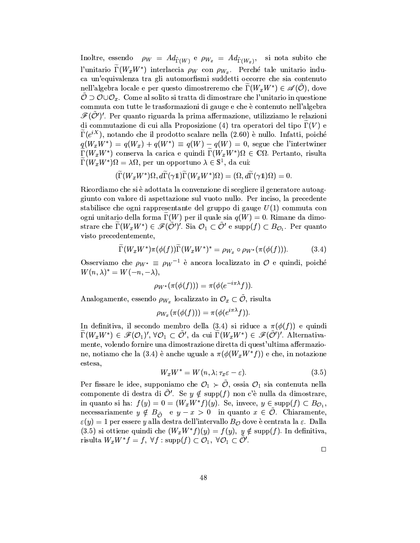Inoltre, essendo  $\rho_W = Ad_{\tilde{\Gamma}(W)}$  e  $\rho_{W_x} = Ad_{\tilde{\Gamma}(W_x)}$ , si nota subito che l'unitario  $\Gamma(W_x W^*)$  interlaccia  $\rho_W$  con  $\rho_{W_x}$ . Perché tale unitario induca un'equivalenza tra gli automorfismi suddetti occorre che sia contenuto nell'algebra locale e per questo dimostreremo che  $\Gamma(W_x W^*) \in \mathscr{A}(\tilde{\mathcal{O}})$ , dove  $\hat{\mathcal{O}} \supset \mathcal{O} \cup \mathcal{O}_x$ . Come al solito si tratta di dimostrare che l'unitario in questione commuta con tutte le trasformazioni di gauge e che è contenuto nell'algebra  $\mathscr{F}(\mathcal{O}')'$ . Per quanto riguarda la prima affermazione, utilizziamo le relazioni di commutazione di cui alla Proposizione (4) tra operatori del tipo  $\Gamma(V)$  e  $\Gamma(e^{iX})$ , notando che il prodotto scalare nella (2.60) è nullo. Infatti, poiché  $q(W_xW^*) = q(W_x) + q(W^*) \equiv q(W) - q(W) = 0$ , segue che l'intertwiner  $\Gamma(W_x W^*)$  conserva la carica e quindi  $\Gamma(W_x W^*)\Omega \in \mathbb{C}\Omega$ . Pertanto, risulta  $\widetilde{\Gamma}(W_x W^*)\Omega = \lambda \Omega$ , per un opportuno  $\lambda \in \mathbb{S}^1$ , da cui:

$$
(\widetilde{\Gamma}(W_xW^*)\Omega,d\widetilde{\Gamma}(\gamma\mathbb{1})\widetilde{\Gamma}(W_xW^*)\Omega)=(\Omega,d\widetilde{\Gamma}(\gamma\mathbb{1})\Omega)=0.
$$

Ricordiamo che si è adottata la convenzione di scegliere il generatore autoaggiunto con valore di aspettazione sul vuoto nullo. Per inciso, la precedente stabilisce che ogni rappresentante del gruppo di gauge  $U(1)$  commuta con ogni unitario della forma  $\Gamma(W)$  per il quale sia  $q(W) = 0$ . Rimane da dimostrare che  $\Gamma(W_x W^*) \in \mathscr{F}(\tilde{\mathcal{O}}')'$ . Sia  $\mathcal{O}_1 \subset \tilde{\mathcal{O}}'$  e supp $(f) \subset B_{\mathcal{O}_1}$ . Per quanto visto precedentemente,

$$
\widetilde{\Gamma}(W_x W^*) \pi(\phi(f)) \widetilde{\Gamma}(W_x W^*)^* = \rho_{W_x} \circ \rho_{W^*}(\pi(\phi(f))). \tag{3.4}
$$

Osserviamo che  $\rho_{W^*} \equiv \rho_W^{-1}$  è ancora localizzato in  $\mathcal O$  e quindi, poiché  $W(n, \lambda)^* = W(-n, -\lambda),$ 

$$
\rho_{W^*}(\pi(\phi(f))) = \pi(\phi(e^{-i\pi\lambda}f)).
$$

Analogamente, essendo  $\rho_{W_x}$  localizzato in  $\mathcal{O}_x \subset \mathcal{O}$ , risulta

$$
\rho_{W_x}(\pi(\phi(f))) = \pi(\phi(e^{\imath \pi \lambda} f))
$$

In definitiva, il secondo membro della (3.4) si riduce a  $\pi(\phi(f))$  e quindi  $\Gamma(W_x W^*) \in \mathscr{F}(\mathcal{O}_1)'$ ,  $\forall \mathcal{O}_1 \subset \mathcal{O}'$ , da cui  $\Gamma(W_x W^*) \in \mathscr{F}(\mathcal{O}')'$ . Alternativamente, volendo fornire una dimostrazione diretta di quest'ultima affermazione, notiamo che la (3.4) è anche uguale a  $\pi(\phi(W_x W^*f))$  e che, in notazione estesa,

$$
W_x W^* = W(n, \lambda; \tau_x \varepsilon - \varepsilon). \tag{3.5}
$$

Per fissare le idee, supponiamo che  $\mathcal{O}_1 \succ \mathcal{O}$ , ossia  $\mathcal{O}_1$  sia contenuta nella componente di destra di  $\mathcal{O}'$ . Se  $y \notin \text{supp}(f)$  non c'è nulla da dimostrare, in quanto si ha:  $f(y) = 0 = (W_x W^* f)(y)$ . Se, invece,  $y \in \text{supp}(f) \subset B_{\mathcal{O}_1}$ , necessariamente  $y \notin B_{\tilde{O}}$  e  $y - x > 0$  in quanto  $x \in \tilde{O}$ . Chiaramente,  $\varepsilon(y) = 1$  per essere y alla destra dell'intervallo  $B_{\mathcal{O}}$  dove è centrata la  $\varepsilon$ . Dalla (3.5) si ottiene quindi che  $(W_x W^* f)(y) = f(y), y \notin \text{supp}(f)$ . In definitiva, risulta  $W_x W^* f = f$ ,  $\forall f : supp(f) \subset \mathcal{O}_1$ ,  $\forall \mathcal{O}_1 \subset \mathcal{O}'$ .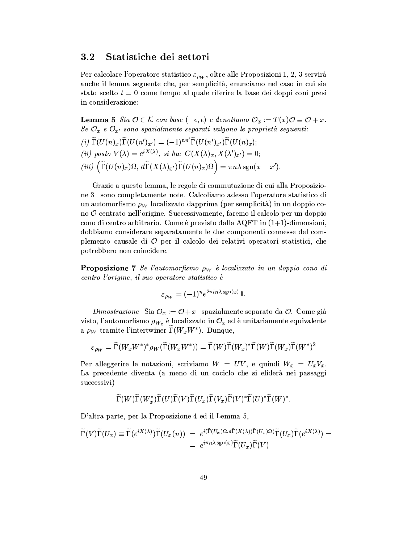### $3.2$ Statistiche dei settori

Per calcolare l'operatore statistico  $\varepsilon_{\rho w}$ , oltre alle Proposizioni 1, 2, 3 servirà anche il lemma seguente che, per semplicità, enunciamo nel caso in cui sia stato scelto  $t = 0$  come tempo al quale riferire la base dei doppi coni presi in considerazione:

**Lemma 5** Sia  $\mathcal{O} \in \mathcal{K}$  con base  $(-\epsilon, \epsilon)$  e denotiamo  $\mathcal{O}_x := T(x)\mathcal{O} \equiv \mathcal{O} + x$ . Se  $\mathcal{O}_x$  e  $\mathcal{O}_{x'}$  sono spazialmente separati valgono le proprietà seguenti:

$$
(i) \ \Gamma(U(n)_x) \Gamma(U(n')_{x'}) = (-1)^{nn'} \Gamma(U(n')_{x'}) \Gamma(U(n)_x);
$$
  
\n
$$
(ii) \ \text{posto} \ V(\lambda) = e^{iX(\lambda)}, \ \text{si} \ ha: \ C(X(\lambda)_x, X(\lambda')_{x'}) = 0;
$$
  
\n
$$
(iii) \ \left( \widetilde{\Gamma}(U(n)_x) \Omega, \ d\widetilde{\Gamma}(X(\lambda)_{x'}) \widetilde{\Gamma}(U(n)_x) \Omega \right) = \pi n \lambda \ \text{sgn}(x - x').
$$

Grazie a questo lemma, le regole di commutazione di cui alla Proposizione 3 sono completamente note. Calcoliamo adesso l'operatore statistico di un automorfismo  $\rho_W$  localizzato dapprima (per semplicità) in un doppio cono  $\mathcal O$  centrato nell'origine. Successivamente, faremo il calcolo per un doppio cono di centro arbitrario. Come è previsto dalla AQFT in  $(1+1)$ -dimensioni, dobbiamo considerare separatamente le due componenti connesse del complemento causale di  $\mathcal O$  per il calcolo dei relativi operatori statistici, che potrebbero non coincidere.

**Proposizione 7** Se l'automorfismo  $\rho_W$  è localizzato in un doppio cono di centro l'origine, il suo operatore statistico è

$$
\varepsilon_{\rho_W}=(-1)^ne^{2\pi i n\lambda\,\text{sgn}(x)}1.
$$

*Dimostrazione* Sia  $\mathcal{O}_x := \mathcal{O} + x$  spazialmente separato da  $\mathcal{O}$ . Come già visto, l'automorfismo  $\rho_{W_x}$  è localizzato in  $\mathcal{O}_x$  ed è unitariamente equivalente a  $\rho_W$  tramite l'intertwiner  $\Gamma(W_x W^*)$ . Dunque,

$$
\varepsilon_{\rho_W} = \widetilde{\Gamma}(W_x W^*)^* \rho_W(\widetilde{\Gamma}(W_x W^*)) = \widetilde{\Gamma}(W) \widetilde{\Gamma}(W_x)^* \widetilde{\Gamma}(W) \widetilde{\Gamma}(W_x) \widetilde{\Gamma}(W^*)^2
$$

Per alleggerire le notazioni, scriviamo  $W = UV$ , e quindi  $W_x = U_x V_x$ . La precedente diventa (a meno di un cociclo che si eliderà nei passaggi successivi)

$$
\widetilde{\Gamma}(W)\widetilde{\Gamma}(W_{x}^{*})\widetilde{\Gamma}(U)\widetilde{\Gamma}(V)\widetilde{\Gamma}(U_{x})\widetilde{\Gamma}(V_{x})\widetilde{\Gamma}(V)^{*}\widetilde{\Gamma}(U)^{*}\widetilde{\Gamma}(W)^{*}.
$$

D'altra parte, per la Proposizione 4 ed il Lemma 5,

$$
\widetilde{\Gamma}(V)\widetilde{\Gamma}(U_x) \equiv \widetilde{\Gamma}(e^{iX(\lambda)})\widetilde{\Gamma}(U_x(n)) = e^{i(\widetilde{\Gamma}(U_x)\Omega, d\widetilde{\Gamma}(X(\lambda))\widetilde{\Gamma}(U_x)\Omega)}\widetilde{\Gamma}(U_x)\widetilde{\Gamma}(e^{iX(\lambda)}) =
$$
\n
$$
= e^{i\pi n\lambda \operatorname{sgn}(x)}\widetilde{\Gamma}(U_x)\widetilde{\Gamma}(V)
$$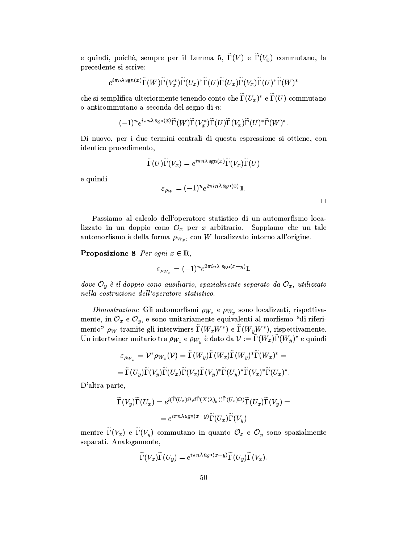e quindi, poiché, sempre per il Lemma 5,  $\widetilde{\Gamma}(V)$  e  $\widetilde{\Gamma}(V_x)$  commutano, la precedente si scrive:

$$
e^{i\pi n\lambda \operatorname{sgn}(x)}\widetilde{\Gamma}(W)\widetilde{\Gamma}(V_{x}^{*})\widetilde{\Gamma}(U_{x})^{*}\widetilde{\Gamma}(U)\widetilde{\Gamma}(U_{x})\widetilde{\Gamma}(V_{x})\widetilde{\Gamma}(U)^{*}\widetilde{\Gamma}(W)^{*}
$$

che si semplifica ulteriormente tenendo conto che  $\widetilde{\Gamma}(U_x)^*$  e  $\widetilde{\Gamma}(U)$  commutano o anticommutano a seconda del segno di  $n$ :

$$
(-1)^n e^{i\pi n\lambda \operatorname{sgn}(x)} \widetilde{\Gamma}(W) \widetilde{\Gamma}(V_x^*) \widetilde{\Gamma}(U) \widetilde{\Gamma}(V_x) \widetilde{\Gamma}(U)^* \widetilde{\Gamma}(W)^*.
$$

Di nuovo, per i due termini centrali di questa espressione si ottiene, con identico procedimento,

$$
\widetilde{\Gamma}(U)\widetilde{\Gamma}(V_x) = e^{i\pi n\lambda \operatorname{sgn}(x)}\widetilde{\Gamma}(V_x)\widetilde{\Gamma}(U)
$$

e quindi

$$
\varepsilon_{\rho_W} = (-1)^n e^{2\pi i n \lambda \operatorname{sgn}(x)} \mathbb{1}.
$$

 $\Box$ 

Passiamo al calcolo dell'operatore statistico di un automorfismo localizzato in un doppio cono  $\mathcal{O}_x$  per x arbitrario. Sappiamo che un tale automorfismo è della forma  $\rho_{W_x}$ , con W localizzato intorno all'origine.

Proposizione 8 Per ogni  $x \in \mathbb{R}$ ,

 $\varepsilon_{\rho_{W_x}} = (-1)^n e^{2\pi i n \lambda \operatorname{sgn}(x-y)} 1$ 

dove  $\mathcal{O}_y$  è il doppio cono ausiliario, spazialmente separato da  $\mathcal{O}_x$ , utilizzato  $\it nella~costruzione~dell'operatore~statistico.$ 

Dimostrazione Gli automorfismi  $\rho_{W_x}$  e  $\rho_{W_y}$  sono localizzati, rispettivamente, in  $\mathcal{O}_x$  e  $\mathcal{O}_y$ , e sono unitariamente equivalenti al morfismo "di riferimento"  $\rho_W$  tramite gli interwiners  $\widetilde{\Gamma}(W_x W^*)$  e  $\widetilde{\Gamma}(W_y W^*)$ , rispettivamente. Un intertwiner unitario tra  $\rho_{W_x}$  e  $\rho_{W_y}$  è dato da  $\mathcal{V} := \tilde{\Gamma}(W_x) \tilde{\Gamma}(W_y)^*$  e quindi

$$
\varepsilon_{\rho_{W_x}} = \mathcal{V}^* \rho_{W_x}(\mathcal{V}) = \widetilde{\Gamma}(W_y) \widetilde{\Gamma}(W_x) \widetilde{\Gamma}(W_y)^* \widetilde{\Gamma}(W_x)^* =
$$
  
= 
$$
\widetilde{\Gamma}(U_y) \widetilde{\Gamma}(V_y) \widetilde{\Gamma}(U_x) \widetilde{\Gamma}(V_x) \widetilde{\Gamma}(V_y)^* \widetilde{\Gamma}(U_y)^* \widetilde{\Gamma}(V_x)^* \widetilde{\Gamma}(U_x)^*.
$$

D'altra parte,

$$
\widetilde{\Gamma}(V_y)\widetilde{\Gamma}(U_x) = e^{i(\widetilde{\Gamma}(U_x)\Omega, d\widetilde{\Gamma}(X(\lambda)_y))\widetilde{\Gamma}(U_x)\Omega)}\widetilde{\Gamma}(U_x)\widetilde{\Gamma}(V_y) =
$$
  
= 
$$
e^{i\pi n\lambda \operatorname{sgn}(x-y)}\widetilde{\Gamma}(U_x)\widetilde{\Gamma}(V_y)
$$

mentre  $\widetilde{\Gamma}(V_x)$  e  $\widetilde{\Gamma}(V_y)$  commutano in quanto  $\mathcal{O}_x$  e  $\mathcal{O}_y$  sono spazialmente separati. Analogamente,

$$
\widetilde{\Gamma}(V_x)\widetilde{\Gamma}(U_y)=e^{i\pi n\lambda\,\text{sgn}(x-y)}\widetilde{\Gamma}(U_y)\widetilde{\Gamma}(V_x).
$$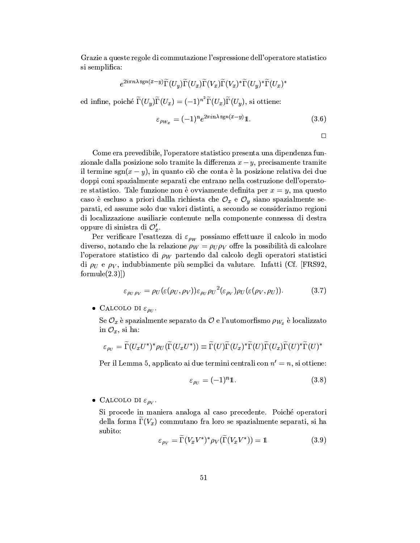Grazie a queste regole di commutazione l'espressione dell'operatore statistico si semplifica:

$$
e^{2i\pi n\lambda \mathop{\mathrm{sgn}}\nolimits(x-y)}\widetilde{\Gamma}(U_y)\widetilde{\Gamma}(U_x)\widetilde{\Gamma}(V_x)\widetilde{\Gamma}(V_x)^*\widetilde{\Gamma}(U_y)^*\widetilde{\Gamma}(U_x)^*\\
$$

ed infine, poiché $\widetilde{\Gamma}(U_y)\widetilde{\Gamma}(U_x)=(-1)^{n^2}\widetilde{\Gamma}(U_x)\widetilde{\Gamma}(U_y),$  si ottiene:

$$
\varepsilon_{\rho_{W_x}} = (-1)^n e^{2\pi i n \lambda \operatorname{sgn}(x-y)} \mathbb{1}. \tag{3.6}
$$

$$
\Box
$$

Come era prevedibile, l'operatore statistico presenta una dipendenza funzionale dalla posizione solo tramite la differenza  $x - y$ , precisamente tramite il termine sgn $(x - y)$ , in quanto ciò che conta è la posizione relativa dei due doppi coni spazialmente separati che entrano nella costruzione dell'operatore statistico. Tale funzione non è ovviamente definita per  $x = y$ , ma questo caso è escluso a priori dalla richiesta che  $\mathcal{O}_x$  e  $\mathcal{O}_y$  siano spazialmente separati, ed assume solo due valori distinti, a secondo se consideriamo regioni di localizzazione ausiliarie contenute nella componente connessa di destra oppure di sinistra di  $\mathcal{O}'_x$ .

Per verificare l'esattezza di  $\varepsilon_{\rho_W}$  possiamo effettuare il calcolo in modo diverso, notando che la relazione  $\rho_W = \rho_U \rho_V$  offre la possibilità di calcolare l'operatore statistico di  $\rho_W$  partendo dal calcolo degli operatori statistici di  $\rho_U$  e  $\rho_V$ , indubbiamente più semplici da valutare. Infatti (Cf. [FRS92, formule $(2.3)$ ]

$$
\varepsilon_{\rho_U \rho_V} = \rho_U(\varepsilon(\rho_U, \rho_V)) \varepsilon_{\rho_U} \rho_U^2(\varepsilon_{\rho_V}) \rho_U(\varepsilon(\rho_V, \rho_U)). \tag{3.7}
$$

• CALCOLO DI  $\varepsilon_{\rho_{U}}$ .

Se  $\mathcal{O}_x$  è spazialmente separato da  $\mathcal O$  e l'automorfismo  $\rho_{W_x}$  è localizzato in  $\mathcal{O}_x$ , si ha:

$$
\varepsilon_{\rho_U} = \widetilde{\Gamma}(U_x U^*)^* \rho_U(\widetilde{\Gamma}(U_x U^*)) \equiv \widetilde{\Gamma}(U) \widetilde{\Gamma}(U_x)^* \widetilde{\Gamma}(U) \widetilde{\Gamma}(U_x) \widetilde{\Gamma}(U)^* \widetilde{\Gamma}(U)^*
$$

Per il Lemma 5, applicato ai due termini centrali con  $n' = n$ , si ottiene:

$$
\varepsilon_{\rho_U} = (-1)^n \mathbb{1}. \tag{3.8}
$$

• CALCOLO DI  $\varepsilon_{\rho V}$ .

Si procede in maniera analoga al caso precedente. Poiché operatori della forma  $\Gamma(V_x)$  commutano fra loro se spazialmente separati, si ha subito:

$$
\varepsilon_{\rho_V} = \Gamma(V_x V^*)^* \rho_V(\Gamma(V_x V^*)) = 1 \tag{3.9}
$$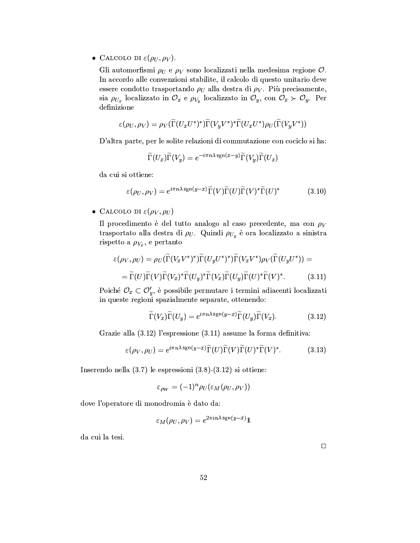• CALCOLO DI  $\varepsilon(\rho_U, \rho_V)$ .

Gli automorfismi  $\rho_U$  e  $\rho_V$  sono localizzati nella medesima regione  $\mathcal O$ . In accordo alle convenzioni stabilite, il calcolo di questo unitario deve essere condotto trasportando  $\rho_U$  alla destra di  $\rho_V$ . Più precisamente, sia  $\rho_{U_x}$  localizzato in  $\mathcal{O}_x$  e  $\rho_{V_y}$  localizzato in  $\mathcal{O}_y$ , con  $\mathcal{O}_x \succ \mathcal{O}_y$ . Per definizione

$$
\varepsilon(\rho_U, \rho_V) = \rho_V(\widetilde{\Gamma}(U_xU^*)^*)\widetilde{\Gamma}(V_yV^*)^*\widetilde{\Gamma}(U_xU^*)\rho_U(\widetilde{\Gamma}(V_yV^*))
$$

D'altra parte, per le solite relazioni di commutazione con cociclo si ha:

$$
\widetilde{\Gamma}(U_x)\widetilde{\Gamma}(V_y) = e^{-i\pi n\lambda \operatorname{sgn}(x-y)}\widetilde{\Gamma}(V_y)\widetilde{\Gamma}(U_x)
$$

da cui si ottiene:

$$
\varepsilon(\rho_U, \rho_V) = e^{i\pi n\lambda \operatorname{sgn}(y-x)} \widetilde{\Gamma}(V) \widetilde{\Gamma}(U) \widetilde{\Gamma}(V)^* \widetilde{\Gamma}(U)^* \tag{3.10}
$$

• CALCOLO DI  $\varepsilon(\rho_V, \rho_U)$ 

Il procedimento è del tutto analogo al caso precedente, ma con  $\rho_V$ trasportato alla destra di  $\rho_U$ . Quindi  $\rho_{U_y}$  è ora localizzato a sinistra rispetto a  $\rho_{V_x}$ , e pertanto

$$
\varepsilon(\rho_V, \rho_U) = \rho_U(\widetilde{\Gamma}(V_x V^*)^*)\widetilde{\Gamma}(U_y U^*)^*)\widetilde{\Gamma}(V_x V^*)\rho_V(\widetilde{\Gamma}(U_y U^*)) =
$$
  
=  $\widetilde{\Gamma}(U)\widetilde{\Gamma}(V)\widetilde{\Gamma}(V_x)^*\widetilde{\Gamma}(U_y)^*\widetilde{\Gamma}(U_y)\widetilde{\Gamma}(U)^*\widetilde{\Gamma}(V)^*.$  (3.11)

Poiché  $\mathcal{O}_x \subset \mathcal{O}'_y$ , è possibile permutare i termini adiacenti localizzati in queste regioni spazialmente separate, ottenendo:

$$
\widetilde{\Gamma}(V_x)\widetilde{\Gamma}(U_y) = e^{i\pi n\lambda \operatorname{sgn}(y-x)}\widetilde{\Gamma}(U_y)\widetilde{\Gamma}(V_x). \tag{3.12}
$$

Grazie alla  $(3.12)$  l'espressione  $(3.11)$  assume la forma definitiva:

$$
\varepsilon(\rho_V, \rho_U) = e^{i\pi n\lambda \operatorname{sgn}(y-x)} \widetilde{\Gamma}(U) \widetilde{\Gamma}(V) \widetilde{\Gamma}(U)^* \widetilde{\Gamma}(V)^*.
$$
 (3.13)

Inserendo nella  $(3.7)$  le espressioni  $(3.8)-(3.12)$  si ottiene:

$$
\varepsilon_{\rho_W} = (-1)^n \rho_U(\varepsilon_M(\rho_U, \rho_V))
$$

dove l'operatore di monodromia è dato da:

$$
\varepsilon_M(\rho_U, \rho_V) = e^{2\pi i n \lambda \operatorname{sgn}(y-x)} 1
$$

da cui la tesi.

 $\Box$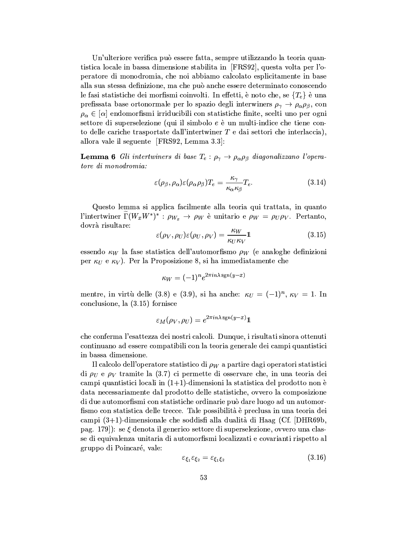Un'ulteriore verifica può essere fatta, sempre utilizzando la teoria quantistica locale in bassa dimensione stabilita in [FRS92], questa volta per l'operatore di monodromia, che noi abbiamo calcolato esplicitamente in base alla sua stessa definizione, ma che può anche essere determinato conoscendo le fasi statistiche dei morfismi coinvolti. In effetti, è noto che, se  $\{T_e\}$  è una prefissata base ortonormale per lo spazio degli interwiners  $\rho_{\gamma} \to \rho_{\alpha} \rho_{\beta}$ , con  $\rho_{\alpha} \in [\alpha]$  endomorfismi irriducibili con statistiche finite, scelti uno per ogni settore di superselezione (qui il simbolo e è un multi-indice che tiene conto delle cariche trasportate dall'intertwiner  $T$  e dai settori che interlaccia), allora vale il seguente [FRS92, Lemma 3.3]:

**Lemma 6** Gli intertwiners di base  $T_e: \rho_{\gamma} \to \rho_{\alpha} \rho_{\beta}$  diagonalizzano l'operatore di monodromia:

$$
\varepsilon(\rho_{\beta}, \rho_{\alpha}) \varepsilon(\rho_{\alpha}\rho_{\beta}) T_e = \frac{\kappa_{\gamma}}{\kappa_{\alpha}\kappa_{\beta}} T_e.
$$
 (3.14)

Questo lemma si applica facilmente alla teoria qui trattata, in quanto l'intertwiner  $\widetilde{\Gamma}(W_x W^*)^* : \rho_{W_x} \to \rho_W$  è unitario e  $\rho_W = \rho_U \rho_V$ . Pertanto, dovrà risultare:

$$
\varepsilon(\rho_V, \rho_U)\varepsilon(\rho_U, \rho_V) = \frac{\kappa_W}{\kappa_U \kappa_V} \mathbb{1}
$$
\n(3.15)

essendo  $\kappa_W$  la fase statistica dell'automorfismo  $\rho_W$  (e analoghe definizioni per  $\kappa_U$  e  $\kappa_V$ ). Per la Proposizione 8, si ha immediatamente che

$$
\kappa_W = (-1)^n e^{2\pi i n \lambda \operatorname{sgn}(y-x)}
$$

mentre, in virtù delle (3.8) e (3.9), si ha anche:  $\kappa_U = (-1)^n$ ,  $\kappa_V = 1$ . In conclusione, la  $(3.15)$  fornisce

$$
\varepsilon_M(\rho_V, \rho_U) = e^{2\pi i n \lambda \operatorname{sgn}(y-x)} 1
$$

che conferma l'esattezza dei nostri calcoli. Dunque, i risultati sinora ottenuti continuano ad essere compatibili con la teoria generale dei campi quantistici in bassa dimensione.

Il calcolo dell'operatore statistico di  $\rho_W$  a partire dagi operatori statistici di  $\rho_U$  e  $\rho_V$  tramite la (3.7) ci permette di osservare che, in una teoria dei campi quantistici locali in  $(1+1)$ -dimensioni la statistica del prodotto non è data necessariamente dal prodotto delle statistiche, ovvero la composizione di due automorfismi con statistiche ordinarie può dare luogo ad un automorfismo con statistica delle trecce. Tale possibilità è preclusa in una teoria dei campi (3+1)-dimensionale che soddisfi alla dualità di Haag (Cf. [DHR69b, pag. 179]): se  $\xi$  denota il generico settore di superselezione, ovvero una classe di equivalenza unitaria di automorfismi localizzati e covarianti rispetto al gruppo di Poincaré, vale:

$$
\varepsilon_{\xi_1}\varepsilon_{\xi_2}=\varepsilon_{\xi_1\xi_2} \tag{3.16}
$$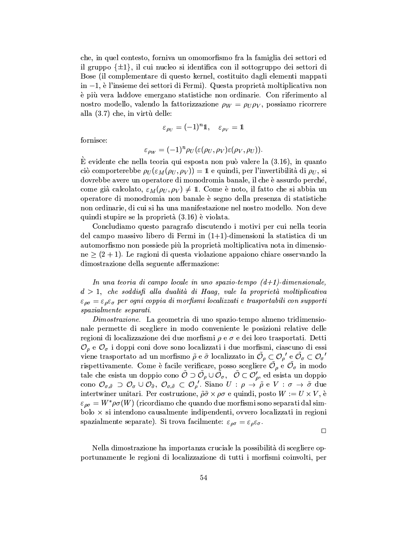che, in quel contesto, forniva un omomorfismo fra la famiglia dei settori ed il gruppo  $\{\pm 1\}$ , il cui nucleo si identifica con il sottogruppo dei settori di Bose (il complementare di questo kernel, costituito dagli elementi mappati in  $-1$ , è l'insieme dei settori di Fermi). Questa proprietà moltiplicativa non è più vera laddove emergano statistiche non ordinarie. Con riferimento al nostro modello, valendo la fattorizzazione  $\rho_W = \rho_U \rho_V$ , possiamo ricorrere alla (3.7) che, in virtù delle:

$$
\varepsilon_{\rho_U} = (-1)^n \mathbf{1}, \quad \varepsilon_{\rho_V} = \mathbf{1}
$$

fornisce:

$$
\varepsilon_{\rho_W} = (-1)^n \rho_U(\varepsilon(\rho_U, \rho_V) \varepsilon(\rho_V, \rho_U))
$$

 $\dot{E}$  evidente che nella teoria qui esposta non può valere la  $(3.16)$ , in quanto ciò comporterebbe  $\rho_U(\varepsilon_M(\rho_U, \rho_V)) = 1$  e quindi, per l'invertibilità di  $\rho_U$ , si dovrebbe avere un operatore di monodromia banale, il che è assurdo perché, come già calcolato,  $\varepsilon_M(\rho_U, \rho_V) \neq 1$ . Come è noto, il fatto che si abbia un operatore di monodromia non banale è segno della presenza di statistiche non ordinarie, di cui si ha una manifestazione nel nostro modello. Non deve quindi stupire se la proprietà (3.16) è violata.

Concludiamo questo paragrafo discutendo i motivi per cui nella teoria del campo massivo libero di Fermi in  $(1+1)$ -dimensioni la statistica di un automorfismo non possiede più la proprietà moltiplicativa nota in dimensio $ne \ge (2 + 1)$ . Le ragioni di questa violazione appaiono chiare osservando la dimostrazione della seguente affermazione:

In una teoria di campo locale in uno spazio-tempo  $(d+1)$ -dimensionale,  $d > 1$ , che soddisfi alla dualità di Haag, vale la proprietà moltiplicativa  $\varepsilon_{\rho\sigma} = \varepsilon_{\rho}\varepsilon_{\sigma}$  per ogni coppia di morfismi localizzati e trasportabili con supporti spazialmente separati.

Dimostrazione. La geometria di uno spazio-tempo almeno tridimensionale permette di scegliere in modo conveniente le posizioni relative delle regioni di localizzazione dei due morfismi  $\rho$  e  $\sigma$  e dei loro trasportati. Detti  $\mathcal{O}_{\rho}$  e  $\mathcal{O}_{\sigma}$  i doppi coni dove sono localizzati i due morfismi, ciascuno di essi viene trasportato ad un morfismo  $\tilde{\rho}$  e  $\tilde{\sigma}$  localizzato in  $\tilde{\mathcal{O}}_{\rho} \subset \mathcal{O}_{\rho}$ ' e  $\tilde{\mathcal{O}}_{\sigma} \subset \mathcal{O}_{\sigma}$ ' rispettivamente. Come è facile verificare, posso scegliere  $\tilde{\mathcal{O}}_{\rho}$  e  $\tilde{\mathcal{O}}_{\sigma}$  in modo tale che esista un doppio cono  $\tilde{\mathcal{O}} \supset \tilde{\mathcal{O}}_\rho \cup \tilde{\mathcal{O}}_\sigma$ ,  $\tilde{\mathcal{O}} \subset \mathcal{O}'_\rho$ , ed esista un doppio cono  $\mathcal{O}_{\sigma,\tilde{\sigma}} \supset \mathcal{O}_{\sigma} \cup \mathcal{O}_{\tilde{\sigma}}, \ \mathcal{O}_{\sigma,\tilde{\sigma}} \subset \mathcal{O}_{\rho}'$ . Siano  $U : \rho \to \tilde{\rho}$  e  $V : \sigma \to \tilde{\sigma}$  due intertwiner unitari. Per costruzione,  $\tilde{\rho}\tilde{\sigma}\times\rho\sigma$  e quindi, posto  $W:=U\times V$ , è  $\varepsilon_{\rho\sigma} = W^* \rho \sigma(W)$  (ricordiamo che quando due morfismi sono separati dal sim- $\text{bolo} \times \text{si}$  intendono causalmente indipendenti, ovvero localizzati in regioni spazialmente separate). Si trova facilmente:  $\varepsilon_{\rho\sigma} = \varepsilon_{\rho}\varepsilon_{\sigma}$ .

 $\Box$ 

Nella dimostrazione ha importanza cruciale la possibilità di scegliere opportunamente le regioni di localizzazione di tutti i morfismi coinvolti, per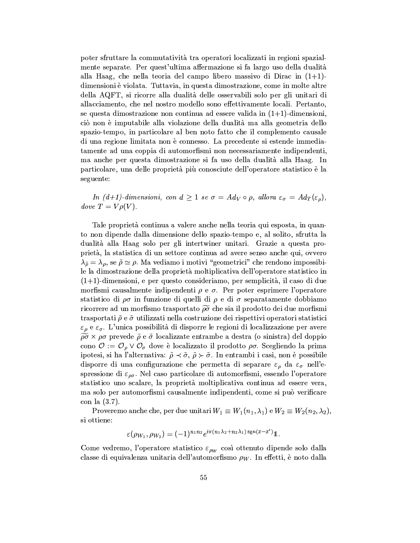poter sfruttare la commutatività tra operatori localizzati in regioni spazialmente separate. Per quest'ultima affermazione si fa largo uso della dualità alla Haag, che nella teoria del campo libero massivo di Dirac in  $(1+1)$ dimensioni è violata. Tuttavia, in questa dimostrazione, come in molte altre della AQFT, si ricorre alla dualità delle osservabili solo per gli unitari di allacciamento, che nel nostro modello sono effettivamente locali. Pertanto, se questa dimostrazione non continua ad essere valida in  $(1+1)$ -dimensioni, ciò non è imputabile alla violazione della dualità ma alla geometria dello spazio-tempo, in particolare al ben noto fatto che il complemento causale di una regione limitata non è connesso. La precedente si estende immediatamente ad una coppia di automorfismi non necessariamente indipendenti, ma anche per questa dimostrazione si fa uso della dualità alla Haag. In particolare, una delle proprietà più conosciute dell'operatore statistico è la seguente:

In  $(d+1)$ -dimensioni, con  $d \geq 1$  se  $\sigma = Ad_V \circ \rho$ , allora  $\varepsilon_{\sigma} = Ad_T(\varepsilon_{\rho})$ , dove  $T = V \rho(V)$ .

Tale proprietà continua a valere anche nella teoria qui esposta, in quanto non dipende dalla dimensione dello spazio-tempo e, al solito, sfrutta la dualità alla Haag solo per gli intertwiner unitari. Grazie a questa proprietà, la statistica di un settore continua ad avere senso anche qui, ovvero  $\lambda_{\tilde{\rho}} = \lambda_{\rho}$ , se  $\tilde{\rho} \simeq \rho$ . Ma vediamo i motivi "geometrici" che rendono impossibile la dimostrazione della proprietà moltiplicativa dell'operatore statistico in  $(1+1)$ -dimensioni, e per questo consideriamo, per semplicità, il caso di due morfismi causalmente indipendenti  $\rho$  e  $\sigma$ . Per poter esprimere l'operatore statistico di  $\rho\sigma$  in funzione di quelli di  $\rho$  e di  $\sigma$  separatamente dobbiamo ricorrere ad un morfismo trasportato  $\widetilde{\rho\sigma}$  che sia il prodotto dei due morfismi trasportati  $\tilde{\rho}$ e  $\tilde{\sigma}$  utilizzati nella costruzione dei rispettivi operatori statistici  $\varepsilon_{\rho}$  e  $\varepsilon_{\sigma}$ . L'unica possibilità di disporre le regioni di localizzazione per avere  $\widetilde{\rho\sigma} \times \rho\sigma$  prevede  $\tilde{\rho}$  e  $\tilde{\sigma}$  localizzate entrambe a destra (o sinistra) del doppio cono  $\mathcal{O} := \mathcal{O}_{\rho} \vee \mathcal{O}_{\sigma}$  dove è localizzato il prodotto  $\rho\sigma$ . Scegliendo la prima ipotesi, si ha l'alternativa:  $\tilde{\rho} \prec \tilde{\sigma}$ ,  $\tilde{\rho} \succ \tilde{\sigma}$ . In entrambi i casi, non è possibile disporre di una configurazione che permetta di separare  $\varepsilon_{\rho}$  da  $\varepsilon_{\sigma}$  nell'espressione di  $\varepsilon_{\rho\sigma}$ . Nel caso particolare di automorfismi, essendo l'operatore statistico uno scalare, la proprietà moltiplicativa continua ad essere vera. ma solo per automorfismi causalmente indipendenti, come si può verificare con la  $(3.7)$ .

Proveremo anche che, per due unitari  $W_1 \equiv W_1(n_1, \lambda_1)$  e  $W_2 \equiv W_2(n_2, \lambda_2)$ , si ottiene:

$$
\varepsilon(\rho_{W_1}, \rho_{W_2}) = (-1)^{n_1 n_2} e^{i \pi (n_1 \lambda_2 + n_2 \lambda_1) \operatorname{sgn}(x - x')} \mathbb{1}.
$$

Come vedremo, l'operatore statistico  $\varepsilon_{\rho w}$  così ottenuto dipende solo dalla classe di equivalenza unitaria dell'automorfismo  $\rho_W$ . In effetti, è noto dalla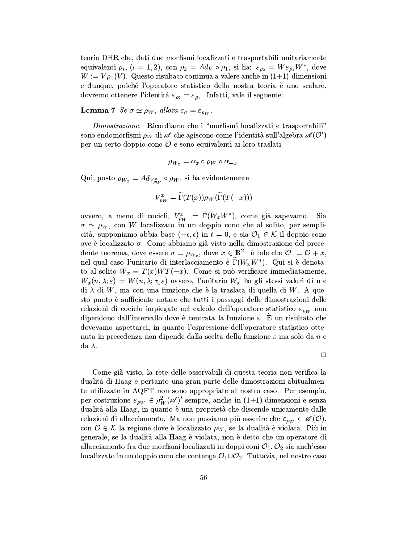teoria DHR che, dati due morfismi localizzati e trasportabili unitariamente equivalenti  $\rho_i$ ,  $(i = 1, 2)$ , con  $\rho_2 = Ad_V \circ \rho_1$ , si ha:  $\varepsilon_{\rho_2} = W \varepsilon_{\rho_1} W^*$ , dove  $W := V \rho_1(V)$ . Questo risultato continua a valere anche in (1+1)-dimensioni e dunque, poiché l'operatore statistico della nostra teoria è uno scalare, dovremo ottenere l'identità  $\varepsilon_{\rho_2} = \varepsilon_{\rho_1}$ . Infatti, vale il seguente:

**Lemma 7** Se  $\sigma \simeq \rho_W$ , allora  $\varepsilon_{\sigma} = \varepsilon_{\rho_W}$ .

Dimostrazione. Ricordiamo che i "morfismi localizzati e trasportabili" sono endomorfismi  $\rho_W$  di  $\mathscr A$  che agiscono come l'identità sull'algebra  $\mathscr A(\mathcal O')$ per un certo doppio cono  $\mathcal O$  e sono equivalenti ai loro traslati

$$
\rho_{W_x} = \alpha_x \circ \rho_W \circ \alpha_{-x}
$$

Qui, posto  $\rho_{W_x} = Ad_{V_{\rho_W}^x} \circ \rho_W$ , si ha evidentemente

$$
V_{\rho_W}^x = \widetilde{\Gamma}(T(x))\rho_W(\widetilde{\Gamma}(T(-x)))
$$

ovvero, a meno di cocicli,  $V_{\rho_W}^x = \widetilde{\Gamma}(W_x W^*)$ , come già sapevamo. Sia  $\sigma \simeq \rho_W$ , con W localizzato in un doppio cono che al solito, per semplicità, supponiamo abbia base  $(-\epsilon, \epsilon)$  in  $t = 0$ , e sia  $\mathcal{O}_1 \in \mathcal{K}$  il doppio cono ove è localizzato  $\sigma$ . Come abbiamo già visto nella dimostrazione del precedente teorema, deve essere  $\sigma = \rho_{W_x}$ , dove  $x \in \mathbb{R}^2$  è tale che  $\mathcal{O}_1 = \mathcal{O} + x$ , nel qual caso l'unitario di interlacciamento è  $\tilde{\Gamma}(W_x W^*)$ . Qui si è denotato al solito  $W_x = T(x)WT(-x)$ . Come si può verificare immediatamente,  $W_x(n, \lambda; \varepsilon) = W(n, \lambda; \tau_x \varepsilon)$  ovvero, l'unitario  $W_x$  ha gli stessi valori di n e di  $\lambda$  di W, ma con una funzione che è la traslata di quella di W. A questo punto è sufficiente notare che tutti i passaggi delle dimostrazioni delle relazioni di cociclo impiegate nel calcolo dell'operatore statistico  $\varepsilon_{\rho w}$  non dipendono dall'intervallo dove è centrata la funzione  $\varepsilon$ . È un risultato che dovevamo aspettarci, in quanto l'espressione dell'operatore statistico ottenuta in precedenza non dipende dalla scelta della funzione  $\varepsilon$  ma solo da n e da  $\lambda$ .

 $\Box$ 

Come già visto, la rete delle osservabili di questa teoria non verifica la dualità di Haag e pertanto una gran parte delle dimostrazioni abitualmente utilizzate in AQFT non sono appropriate al nostro caso. Per esempio, per costruzione  $\varepsilon_{\rho_W} \in \rho_W^2(\mathscr{A})'$  sempre, anche in (1+1)-dimensioni e senza dualità alla Haag, in quanto è una proprietà che discende unicamente dalle relazioni di allacciamento. Ma non possiamo più asserire che  $\varepsilon_{\rho w} \in \mathscr{A}(0)$ , con  $\mathcal{O} \in \mathcal{K}$  la regione dove è localizzato  $\rho_W$ , se la dualità è violata. Più in generale, se la dualità alla Haag è violata, non è detto che un operatore di allacciamento fra due morfismi localizzati in doppi coni  $\mathcal{O}_1, \mathcal{O}_2$  sia anch'esso localizzato in un doppio cono che contenga  $\mathcal{O}_1 \cup \mathcal{O}_2$ . Tuttavia, nel nostro caso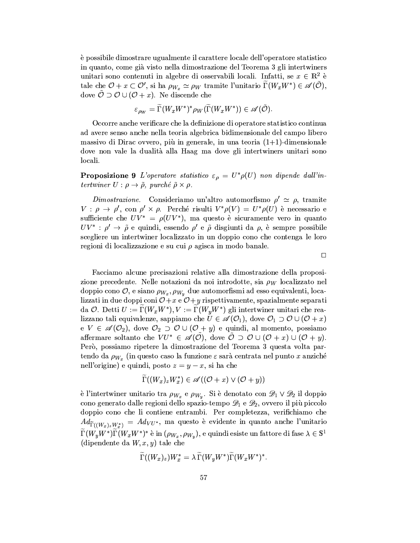è possibile dimostrare ugualmente il carattere locale dell'operatore statistico in quanto, come già visto nella dimostrazione del Teorema 3 gli intertwiners unitari sono contenuti in algebre di osservabili locali. Infatti, se  $x \in \mathbb{R}^2$  è tale che  $\mathcal{O} + x \subset \mathcal{O}'$ , si ha  $\rho_{W_x} \simeq \rho_W$  tramite l'unitario  $\Gamma(W_x W^*) \in \mathscr{A}(\tilde{\mathcal{O}})$ , dove  $\tilde{\mathcal{O}} \supset \mathcal{O} \cup (\mathcal{O} + x)$ . Ne discende che

$$
\varepsilon_{\rho_W} = \widetilde{\Gamma}(W_x W^*)^* \rho_W(\widetilde{\Gamma}(W_x W^*)) \in \mathscr{A}(\tilde{\mathcal{O}}).
$$

Occorre anche verificare che la definizione di operatore statistico continua ad avere senso anche nella teoria algebrica bidimensionale del campo libero massivo di Dirac ovvero, più in generale, in una teoria  $(1+1)$ -dimensionale dove non vale la dualità alla Haag ma dove gli intertwiners unitari sono locali.

**Proposizione 9** L'operatore statistico  $\varepsilon_{\rho} = U^* \rho(U)$  non dipende dall'intertwiner  $U: \rho \to \tilde{\rho}$ , purché  $\tilde{\rho} \times \rho$ .

Dimostrazione. Consideriamo un'altro automorfismo  $\rho' \simeq \rho$ , tramite  $V : \rho \to \rho'$ , con  $\rho' \times \rho$ . Perché risulti  $V^* \rho(V) = U^* \rho(U)$  è necessario e sufficiente che  $UV^* = \rho(UV^*)$ , ma questo è sicuramente vero in quanto  $UV^*$ :  $\rho' \rightarrow \tilde{\rho}$  e quindi, essendo  $\rho'$  e  $\tilde{\rho}$  disgiunti da  $\rho$ , è sempre possibile scegliere un intertwiner localizzato in un doppio cono che contenga le loro regioni di localizzazione e su cui  $\rho$  agisca in modo banale.

 $\Box$ 

Facciamo alcune precisazioni relative alla dimostrazione della proposizione precedente. Nelle notazioni da noi introdotte, sia  $\rho_W$  localizzato nel doppio cono  $\mathcal{O}$ , e siano  $\rho_{W_x}, \rho_{W_y}$  due automorfismi ad esso equivalenti, localizzati in due doppi coni  $O+x$  e  $O+y$  rispettivamente, spazialmente separati da O. Detti  $U := \Gamma(W_x W^*), V := \Gamma(W_y W^*)$  gli intertwiner unitari che realizzano tali equivalenze, sappiamo che  $U \in \mathscr{A}(\mathcal{O}_1)$ , dove  $\mathcal{O}_1 \supset \mathcal{O} \cup (\mathcal{O} + x)$  $\mathfrak{e} V \in \mathscr{A}(\mathcal{O}_2)$ , dove  $\mathcal{O}_2 \supset \mathcal{O} \cup (\mathcal{O} + y)$  e quindi, al momento, possiamo affermare soltanto che  $VU^* \in \mathscr{A}(0)$ , dove  $0 \supset 0 \cup (0 + x) \cup (0 + y)$ . Però, possiamo ripetere la dimostrazione del Teorema 3 questa volta partendo da  $\rho_{W_x}$  (in questo caso la funzione  $\varepsilon$  sarà centrata nel punto x anziché nell'origine) e quindi, posto  $z = y - x$ , si ha che

$$
\Gamma((W_x)_z W_x^*) \in \mathscr{A}((\mathcal{O}+x) \vee (\mathcal{O}+y))
$$

è l'intertwiner unitario tra  $\rho_{W_x}$  e  $\rho_{W_y}$ . Si è denotato con  $\mathscr{D}_1 \vee \mathscr{D}_2$  il doppio cono generato dalle regioni dello spazio-tempo  $\mathscr{D}_1$  e  $\mathscr{D}_2$ , ovvero il più piccolo doppio cono che li contiene entrambi. Per completezza, verifichiamo che  $Ad_{\widetilde{\Gamma}((W_x)_z W_x^*)} = Ad_{VU^*}$ , ma questo è evidente in quanto anche l'unitario  $\widetilde{\Gamma}(W_u W^*)\widetilde{\Gamma}(W_x W^*)^*$  è in  $(\rho_{W_x}, \rho_{W_y})$ , e quindi esiste un fattore di fase  $\lambda \in \mathbb{S}^1$ (dipendente da  $W, x, y$ ) tale che

$$
\Gamma((W_x)_z)W_x^* = \lambda \Gamma(W_y W^*) \Gamma(W_x W^*)^*.
$$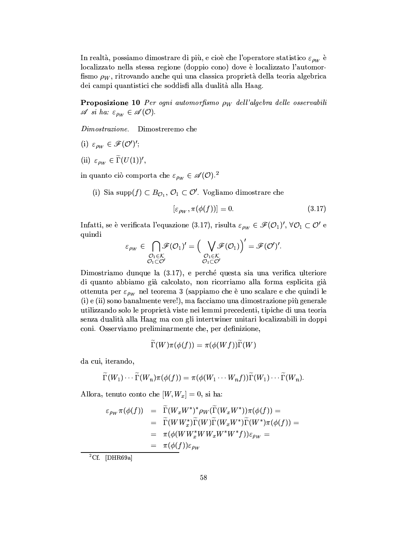In realtà, possiamo dimostrare di più, e cioè che l'operatore statistico  $\varepsilon_{\rho_W}$  è localizzato nella stessa regione (doppio cono) dove è localizzato l'automorfismo  $\rho_W$ , ritrovando anche qui una classica proprietà della teoria algebrica dei campi quantistici che soddisfi alla dualità alla Haag.

**Proposizione 10** Per ogni automorfismo  $\rho_W$  dell'algebra delle osservabili  $\mathscr A$  si ha:  $\varepsilon_{\rho_W} \in \mathscr A(\mathcal O).$ 

Dimostrazione. Dimostreremo che

- (i)  $\varepsilon_{\rho_W} \in \mathscr{F}(\mathcal{O}')'$ ;
- (ii)  $\varepsilon_{\rho_W} \in \widetilde{\Gamma}(U(1))'$ ,

in quanto ciò comporta che  $\varepsilon_{\rho_W}\in\mathscr{A}(\mathcal{O}).^2$ 

(i) Sia supp $(f) \subset B_{\mathcal{O}_1}, \mathcal{O}_1 \subset \mathcal{O}'$ . Vogliamo dimostrare che

$$
[\varepsilon_{\rho_W}, \pi(\phi(f))] = 0. \tag{3.17}
$$

Infatti, se è verificata l'equazione (3.17), risulta $\varepsilon_{\rho_W}\in\mathscr{F}(\mathcal{O}_1)',\,\forall\mathcal{O}_1\subset\mathcal{O}'$ e quindi  $\sqrt{t}$ 

$$
\varepsilon_{\rho_W} \in \bigcap_{\substack{\mathcal{O}_1 \in \mathcal{K} \\ \mathcal{O}_1 \subset \mathcal{O}'}} \mathscr{F}(\mathcal{O}_1)' = \Big(\bigvee_{\substack{\mathcal{O}_1 \in \mathcal{K} \\ \mathcal{O}_1 \subset \mathcal{O}'}} \mathscr{F}(\mathcal{O}_1)\Big)' = \mathscr{F}(\mathcal{O}')'.
$$

Dimostriamo dunque la (3.17), e perché questa sia una verifica ulteriore di quanto abbiamo già calcolato, non ricorriamo alla forma esplicita già ottenuta per  $\varepsilon_{\rho_W}$  nel teorema 3 (sappiamo che è uno scalare e che quindi le (i) e (ii) sono banalmente vere!), ma facciamo una dimostrazione più generale utilizzando solo le proprietà viste nei lemmi precedenti, tipiche di una teoria senza dualità alla Haag ma con gli intertwiner unitari localizzabili in doppi coni. Osserviamo preliminarmente che, per definizione,

$$
\widetilde{\Gamma}(W)\pi(\phi(f))=\pi(\phi(Wf))\widetilde{\Gamma}(W)
$$

da cui, iterando,

$$
\widetilde{\Gamma}(W_1)\cdots\widetilde{\Gamma}(W_n)\pi(\phi(f))=\pi(\phi(W_1\cdots W_nf))\widetilde{\Gamma}(W_1)\cdots\widetilde{\Gamma}(W_n).
$$

Allora, tenuto conto che  $[W, W_x] = 0$ , si ha:

$$
\varepsilon_{\rho_W} \pi(\phi(f)) = \widetilde{\Gamma}(W_x W^*)^* \rho_W(\widetilde{\Gamma}(W_x W^*)) \pi(\phi(f)) =
$$
  
\n
$$
= \widetilde{\Gamma}(W W_x^*) \widetilde{\Gamma}(W) \widetilde{\Gamma}(W_x W^*) \widetilde{\Gamma}(W^*) \pi(\phi(f)) =
$$
  
\n
$$
= \pi(\phi(W W_x^* W W_x W^* W^* f)) \varepsilon_{\rho_W} =
$$
  
\n
$$
= \pi(\phi(f)) \varepsilon_{\rho_W}
$$

 ${}^{2}$ Cf. [DHR69a]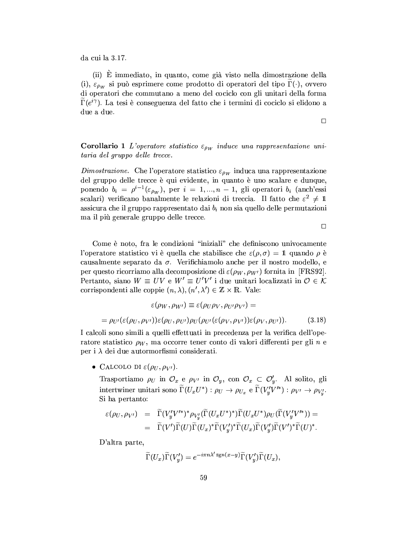da cui la 3.17.

(ii) È immediato, in quanto, come già visto nella dimostrazione della (i),  $\varepsilon_{\rho w}$  si può esprimere come prodotto di operatori del tipo  $\Gamma(\cdot)$ , ovvero di operatori che commutano a meno del cociclo con gli unitari della forma  $\Gamma(e^{i\gamma})$ . La tesi è conseguenza del fatto che i termini di cociclo si elidono a due a due.

 $\Box$ 

**Corollario 1** L'operatore statistico  $\varepsilon_{\rho_W}$  induce una rappresentazione unitaria del gruppo delle trecce.

Dimostrazione. Che l'operatore statistico  $\varepsilon_{\rho w}$  induca una rappresentazione del gruppo delle trecce è qui evidente, in quanto è uno scalare e dunque, ponendo  $b_i = \rho^{i-1}(\varepsilon_{\rho_W})$ , per  $i = 1, ..., n-1$ , gli operatori  $b_i$  (anch'essi scalari) verificano banalmente le relazioni di treccia. Il fatto che  $\varepsilon^2 \neq 1$ assicura che il gruppo rappresentato dai  $b_i$  non sia quello delle permutazioni ma il più generale gruppo delle trecce.

 $\Box$ 

Come è noto, fra le condizioni "iniziali" che definiscono univocamente l'operatore statistico vi è quella che stabilisce che  $\varepsilon(\rho, \sigma) = 1$  quando  $\rho$  è causalmente separato da  $\sigma$ . Verifichiamolo anche per il nostro modello, e per questo ricorriamo alla decomposizione di  $\varepsilon(\rho_W, \rho_{W'})$  fornita in [FRS92]. Pertanto, siano  $W \equiv UV$  e  $W' \equiv U'V'$  i due unitari localizzati in  $\mathcal{O} \in \mathcal{K}$ corrispondenti alle coppie  $(n, \lambda), (n', \lambda') \in \mathbb{Z} \times \mathbb{R}$ . Vale:

$$
\varepsilon(\rho_W, \rho_{W'}) \equiv \varepsilon(\rho_U \rho_V, \rho_{U'} \rho_{V'}) =
$$
  
=  $\rho_{U'}(\varepsilon(\rho_U, \rho_{V'})) \varepsilon(\rho_U, \rho_{U'}) \rho_U(\rho_{U'}(\varepsilon(\rho_V, \rho_{V'})) \varepsilon(\rho_V, \rho_{U'})).$  (3.18)

I calcoli sono simili a quelli effettuati in precedenza per la verifica dell'operatore statistico  $\rho_W$ , ma occorre tener conto di valori differenti per gli n e per i  $\lambda$  dei due autormorfismi considerati.

• CALCOLO DI  $\varepsilon(\rho_U, \rho_{V'})$ .

Trasportiamo  $\rho_U$  in  $\mathcal{O}_x$  e  $\rho_{V'}$  in  $\mathcal{O}_y$ , con  $\mathcal{O}_x \subset \mathcal{O}'_y$ . Al solito, gli intertwiner unitari sono  $\widetilde{\Gamma}(U_xU^*) : \rho_U \to \rho_{U_x}$  e  $\widetilde{\Gamma}(V'_uV'^*) : \rho_{V'} \to \rho_{V'_u}$ . Si ha pertanto:

$$
\begin{array}{rcl}\n\varepsilon(\rho_U,\rho_{V'}) &=& \widetilde{\Gamma}(V'_yV'^*)^*\rho_{V'_y}(\widetilde{\Gamma}(U_xU^*)^*)\widetilde{\Gamma}(U_xU^*)\rho_U(\widetilde{\Gamma}(V'_yV'^*)) \\
&=& \widetilde{\Gamma}(V')\widetilde{\Gamma}(U)\widetilde{\Gamma}(U_x)^*\widetilde{\Gamma}(V'_y)^*\widetilde{\Gamma}(U_x)\widetilde{\Gamma}(V'_y)\widetilde{\Gamma}(V')^*\widetilde{\Gamma}(U)^*.\n\end{array}
$$

D'altra parte,

$$
\widetilde{\Gamma}(U_x)\widetilde{\Gamma}(V'_y) = e^{-i\pi n\lambda' \operatorname{sgn}(x-y)}\widetilde{\Gamma}(V'_y)\widetilde{\Gamma}(U_x).
$$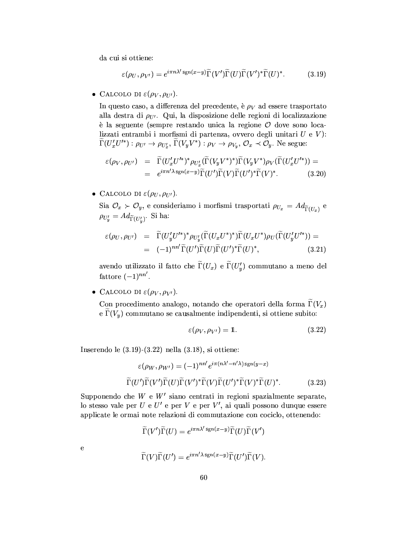da cui si ottiene:

$$
\varepsilon(\rho_U, \rho_{V'}) = e^{i\pi n\lambda' \operatorname{sgn}(x-y)} \widetilde{\Gamma}(V') \widetilde{\Gamma}(U) \widetilde{\Gamma}(V')^* \widetilde{\Gamma}(U)^*.
$$
 (3.19)

• CALCOLO DI  $\varepsilon(\rho_V, \rho_{U}).$ 

In questo caso, a differenza del precedente, è  $\rho_V$  ad essere trasportato alla destra di  $\rho_{U'}$ . Qui, la disposizione delle regioni di localizzazione è la seguente (sempre restando unica la regione  $\mathcal O$  dove sono localizzati entrambi i morfismi di partenza, ovvero degli unitari  $U e V$ :  $\widetilde{\Gamma}(U'_xU'^*):\rho_{U'}\to\rho_{U'_x}, \widetilde{\Gamma}(V_yV^*):\rho_V\to\rho_{V_y}, \mathcal{O}_x\prec\mathcal{O}_y.$  Ne segue:

$$
\varepsilon(\rho_V, \rho_{U'}) = \widetilde{\Gamma}(U'_x U'^*)^* \rho_{U'_x}(\widetilde{\Gamma}(V_y V^*)^*) \widetilde{\Gamma}(V_y V^*) \rho_V(\widetilde{\Gamma}(U'_x U'^*)) =
$$
  
=  $e^{i\pi n' \lambda \operatorname{sgn}(x-y)} \widetilde{\Gamma}(U') \widetilde{\Gamma}(V) \widetilde{\Gamma}(U')^* \widetilde{\Gamma}(V)^*.$  (3.20)

• CALCOLO DI  $\varepsilon(\rho_U, \rho_{U'})$ .

Sia  $\mathcal{O}_x \succ \mathcal{O}_y$ , e consideriamo i morfismi trasportati  $\rho_{U_x} = Ad_{\widetilde{\Gamma}(U_x)}$  e  $\rho_{U'_y} = Ad_{\widetilde{\Gamma}(U'_x)}$ . Si ha:

$$
\varepsilon(\rho_U, \rho_{U'}) = \widetilde{\Gamma}(U'_y U'^*)^* \rho_{U'_y}(\widetilde{\Gamma}(U_x U^*)^*) \widetilde{\Gamma}(U_x U^*) \rho_U(\widetilde{\Gamma}(U'_y U'^*)) =
$$
  
= 
$$
(-1)^{nn'} \widetilde{\Gamma}(U') \widetilde{\Gamma}(U) \widetilde{\Gamma}(U')^* \widetilde{\Gamma}(U)^*,
$$
 (3.21)

avendo utilizzato il fatto che  $\widetilde{\Gamma}(U_x)$  e  $\widetilde{\Gamma}(U'_y)$  commutano a meno del fattore  $(-1)^{nn'}$ .

• CALCOLO DI  $\varepsilon(\rho_V, \rho_{V}).$ 

Con procedimento analogo, notando che operatori della forma  $\tilde{\Gamma}(V_x)$ e  $\widetilde{\Gamma}(V_u)$  commutano se causalmente indipendenti, si ottiene subito:

$$
\varepsilon(\rho_V, \rho_{V'}) = 1. \tag{3.22}
$$

Inserendo le  $(3.19)-(3.22)$  nella  $(3.18)$ , si ottiene:

$$
\varepsilon(\rho_W, \rho_{W'}) = (-1)^{nn'} e^{i\pi(n\lambda'-n'\lambda)\operatorname{sgn}(y-x)}
$$

$$
\widetilde{\Gamma}(U')\widetilde{\Gamma}(V')\widetilde{\Gamma}(U)\widetilde{\Gamma}(V')^*\widetilde{\Gamma}(V)\widetilde{\Gamma}(U')^*\widetilde{\Gamma}(U)^*\widetilde{\Gamma}(U)^*.
$$
(3.23)

Supponendo che  $W$  e  $W'$  siano centrati in regioni spazialmente separate, lo stesso vale per  $U e U' e$  per  $V e$  per  $V'$ , ai quali possono dunque essere applicate le ormai note relazioni di commutazione con cociclo, ottenendo:

$$
\widetilde{\Gamma}(V')\widetilde{\Gamma}(U) = e^{i\pi n\lambda' \operatorname{sgn}(x-y)}\widetilde{\Gamma}(U)\widetilde{\Gamma}(V')
$$

 $\overline{e}$ 

$$
\widetilde{\Gamma}(V)\widetilde{\Gamma}(U') = e^{i\pi n' \lambda \operatorname{sgn}(x-y)} \widetilde{\Gamma}(U')\widetilde{\Gamma}(V).
$$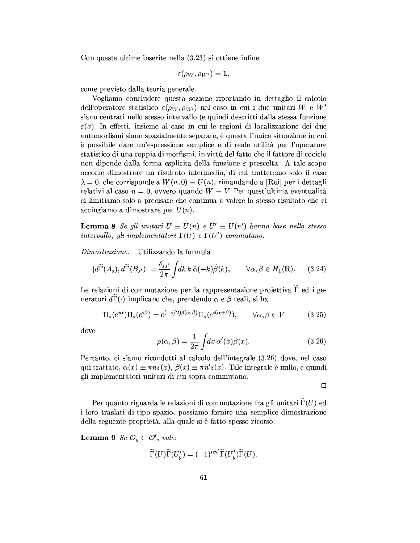Con queste ultime inserite nella (3.23) si ottiene infine:

$$
\varepsilon(\rho_W,\rho_{W'})=1
$$

come previsto dalla teoria generale.

Vogliamo concludere questa sezione riportando in dettaglio il calcolo dell'operatore statistico  $\varepsilon(\rho_W, \rho_{W'})$  nel caso in cui i due unitari W e W' siano centrati nello stesso intervallo (e quindi descritti dalla stessa funzione  $\varepsilon(x)$ . In effetti, insieme al caso in cui le regioni di localizzazione dei due automorfismi siano spazialmente separate, è questa l'unica situazione in cui è possibile dare un'espressione semplice e di reale utilità per l'operatore statistico di una coppia di morfismi, in virtù del fatto che il fattore di cociclo non dipende dalla forma esplicita della funzione  $\varepsilon$  prescelta. A tale scopo occorre dimostrare un risultato intermedio, di cui tratteremo solo il caso  $\lambda = 0$ , che corrisponde a  $W(n, 0) \equiv U(n)$ , rimandando a [Rui] per i dettagli relativi al caso  $n = 0$ , ovvero quando  $W \equiv V$ . Per quest'ultima eventualità ci limitiamo solo a precisare che continua a valere lo stesso risultato che ci  $\alpha$ ccingiamo a dimostrare per  $U(n)$ .

**Lemma 8** Se gli unitari  $U \equiv U(n)$  e  $U' \equiv U(n')$  hanno base nello stesso intervallo, gli implementatori  $\Gamma(U)$  e  $\Gamma(U')$  commutano.

*Dimostrazione.* Utilizzando la formula

$$
[d\widetilde{\Gamma}(A_s), d\widetilde{\Gamma}(B_{s'})] = \frac{\delta_{ss'}}{2\pi} \int dk \, k \, \hat{\alpha}(-k) \hat{\beta}(k), \qquad \forall \alpha, \beta \in H_1(\mathbb{R}). \tag{3.24}
$$

Le relazioni di commutazione per la rappresentazione proiettiva  $\Gamma$  ed i generatori  $d\Gamma(\cdot)$  implicano che, prendendo  $\alpha$  e  $\beta$  reali, si ha:

$$
\Pi_s(e^{i\alpha})\Pi_s(e^{i\beta}) = e^{(-i/2)\rho(\alpha,\beta)}\Pi_s(e^{i(\alpha+\beta)}), \qquad \forall \alpha, \beta \in V \tag{3.25}
$$

dove

$$
\rho(\alpha,\beta) = \frac{1}{2\pi} \int dx \,\alpha'(x)\beta(x). \tag{3.26}
$$

Pertanto, ci siamo ricondotti al calcolo dell'integrale (3.26) dove, nel caso qui trattato,  $\alpha(x) \equiv \pi n \varepsilon(x)$ ,  $\beta(x) \equiv \pi n' \varepsilon(x)$ . Tale integrale è nullo, e quindi gli implementatori unitari di cui sopra commutano.

 $\Box$ 

Per quanto riguarda le relazioni di commutazione fra gli unitari  $\Gamma(U)$  ed i loro traslati di tipo spazio, possiamo fornire una semplice dimostrazione della seguente proprietà, alla quale si è fatto spesso ricorso:

**Lemma 9** Se  $\mathcal{O}_y \subset \mathcal{O}'$ , vale:

$$
\widetilde{\Gamma}(U)\widetilde{\Gamma}(U'_y) = (-1)^{nn'}\widetilde{\Gamma}(U'_y)\widetilde{\Gamma}(U).
$$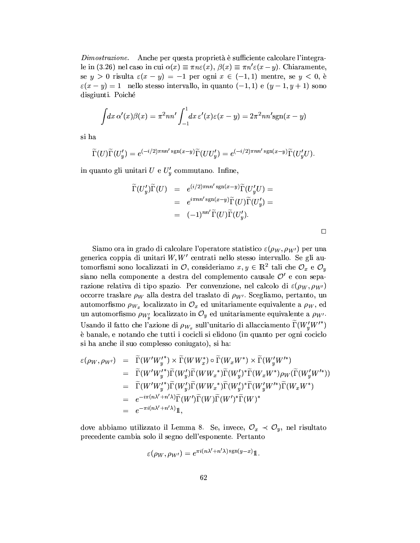Anche per questa proprietà è sufficiente calcolare l'integra- $Dimostrazione.$ le in (3.26) nel caso in cui  $\alpha(x) \equiv \pi n \varepsilon(x)$ ,  $\beta(x) \equiv \pi n' \varepsilon(x-y)$ . Chiaramente, se  $y > 0$  risulta  $\varepsilon(x - y) = -1$  per ogni  $x \in (-1, 1)$  mentre, se  $y < 0$ , è  $\varepsilon(x-y)=1$  nello stesso intervallo, in quanto  $(-1,1)$  e  $(y-1,y+1)$  sono disgiunti. Poiché

$$
\int dx \,\alpha'(x)\beta(x) = \pi^2 nn' \int_{-1}^1 dx \,\varepsilon'(x)\varepsilon(x-y) = 2\pi^2 nn'sgn(x-y)
$$

si ha

 $\widetilde{\Gamma}(U)\widetilde{\Gamma}(U'_y) = e^{(-i/2)\pi n n' \operatorname{sgn}(x-y)} \widetilde{\Gamma}(UU'_y) = e^{(-i/2)\pi n n' \operatorname{sgn}(x-y)} \widetilde{\Gamma}(U'_yU).$ 

in quanto gli unitari  $U e U'_y$  commutano. Infine,

$$
\widetilde{\Gamma}(U'_y)\widetilde{\Gamma}(U) = e^{(i/2)\pi n n' \operatorname{sgn}(x-y)}\widetilde{\Gamma}(U'_y U) =
$$
\n
$$
= e^{i\pi n n' \operatorname{sgn}(x-y)}\widetilde{\Gamma}(U)\widetilde{\Gamma}(U'_y) =
$$
\n
$$
= (-1)^{n n'} \widetilde{\Gamma}(U)\widetilde{\Gamma}(U'_y).
$$

Siamo ora in grado di calcolare l'operatore statistico  $\varepsilon(\rho_W, \rho_{W'})$  per una generica coppia di unitari  $W, W'$  centrati nello stesso intervallo. Se gli automorfismi sono localizzati in  $\mathcal{O}$ , consideriamo  $x, y \in \mathbb{R}^2$  tali che  $\mathcal{O}_x$  e  $\mathcal{O}_y$ siano nella componente a destra del complemento causale  $\mathcal{O}'$  e con separazione relativa di tipo spazio. Per convenzione, nel calcolo di  $\varepsilon(\rho_W, \rho_{W'})$ occorre traslare  $\rho_W$  alla destra del traslato di  $\rho_{W'}$ . Scegliamo, pertanto, un automorfismo  $\rho_{W_x}$  localizzato in  $\mathcal{O}_x$  ed unitariamente equivalente a  $\rho_W$ , ed un automorfismo  $\rho_{W'_v}$  localizzato in  $\mathcal{O}_y$  ed unitariamente equivalente a  $\rho_{W'}$ . Usando il fatto che l'azione di  $\rho_{W_x}$  sull'unitario di allacciamento  $\Gamma(W'_u W'^*)$ è banale, e notando che tutti i cocicli si elidono (in quanto per ogni cociclo si ha anche il suo complesso coniugato), si ha:

$$
\begin{array}{rcl}\n\varepsilon(\rho_W, \rho_{W'}) & = & \widetilde{\Gamma}(W'W_y^*) \times \widetilde{\Gamma}(WW_x^*) \circ \widetilde{\Gamma}(W_xW^*) \times \widetilde{\Gamma}(W_y'W'^*) \\
& = & \widetilde{\Gamma}(W'W_y^*) \widetilde{\Gamma}(W_y') \widetilde{\Gamma}(WW_x^*) \widetilde{\Gamma}(W_y')^* \widetilde{\Gamma}(W_xW^*) \rho_W(\widetilde{\Gamma}(W_y'W'^*)) \\
& = & \widetilde{\Gamma}(W'W_y^*) \widetilde{\Gamma}(W_y') \widetilde{\Gamma}(WW_x^*) \widetilde{\Gamma}(W_y')^* \widetilde{\Gamma}(W_y'W'^*) \widetilde{\Gamma}(W_xW^*) \\
& = & e^{-i\pi(n\lambda' + n'\lambda)} \widetilde{\Gamma}(W') \widetilde{\Gamma}(W) \widetilde{\Gamma}(W')^* \widetilde{\Gamma}(W)^* \\
& = & e^{-\pi i(n\lambda' + n'\lambda)} \mathbb{1},\n\end{array}
$$

dove abbiamo utilizzato il Lemma 8. Se, invece,  $\mathcal{O}_x \prec \mathcal{O}_y$ , nel risultato precedente cambia solo il segno dell'esponente. Pertanto

$$
\varepsilon(\rho_W, \rho_{W'}) = e^{\pi i (n\lambda' + n'\lambda) \operatorname{sgn}(y-x)} \mathbb{1}
$$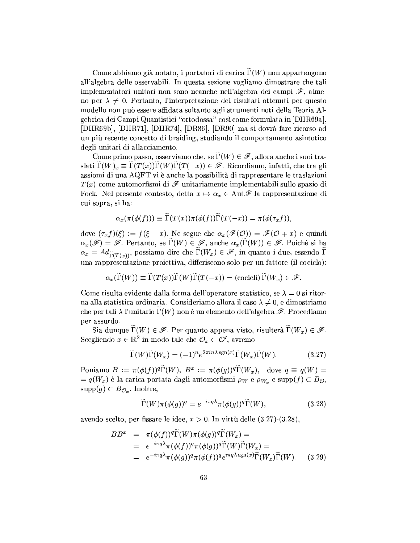Come abbiamo già notato, i portatori di carica  $\Gamma(W)$  non appartengono all'algebra delle osservabili. In questa sezione vogliamo dimostrare che tali implementatori unitari non sono neanche nell'algebra dei campi  $\mathscr{F}$ , almeno per  $\lambda \neq 0$ . Pertanto, l'interpretazione dei risultati ottenuti per questo modello non può essere affidata soltanto agli strumenti noti della Teoria Algebrica dei Campi Quantistici "ortodossa" così come formulata in [DHR69a]. [DHR69b], [DHR71], [DHR74], [DR86], [DR90] ma si dovrà fare ricorso ad un più recente concetto di braiding, studiando il comportamento asintotico degli unitari di allacciamento.

Come primo passo, osserviamo che, se  $\Gamma(W) \in \mathscr{F}$ , allora anche i suoi traslati  $\tilde{\Gamma}(W)_x \equiv \tilde{\Gamma}(T(x))\tilde{\Gamma}(W)\tilde{\Gamma}(T(-x)) \in \mathscr{F}$ . Ricordiamo, infatti, che tra gli assiomi di una AQFT vi è anche la possibilità di rappresentare le traslazioni  $T(x)$  come automorfismi di  $\mathscr F$  unitariamente implementabili sullo spazio di Fock. Nel presente contesto, detta  $x \mapsto \alpha_x \in \text{Aut}\mathscr{F}$  la rappresentazione di cui sopra, si ha:

$$
\alpha_x(\pi(\phi(f))) \equiv \widetilde{\Gamma}(T(x))\pi(\phi(f))\widetilde{\Gamma}(T(-x)) = \pi(\phi(\tau_x f)),
$$

dove  $(\tau_x f)(\xi) := f(\xi - x)$ . Ne segue che  $\alpha_x(\mathscr{F}(0)) = \mathscr{F}(0 + x)$  e quindi  $\alpha_x(\mathscr{F}) = \mathscr{F}$ . Pertanto, se  $\Gamma(W) \in \mathscr{F}$ , anche  $\alpha_x(\Gamma(W)) \in \mathscr{F}$ . Poiché si ha  $\alpha_x = Ad_{\widetilde{\Gamma}(T(x))}$ , possiamo dire che  $\Gamma(W_x) \in \mathscr{F}$ , in quanto i due, essendo  $\Gamma$ una rappresentazione proiettiva, differiscono solo per un fattore (il cociclo):

$$
\alpha_x(\widetilde{\Gamma}(W)) \equiv \widetilde{\Gamma}(T(x))\widetilde{\Gamma}(W)\widetilde{\Gamma}(T(-x)) = (\text{cocicl}) \widetilde{\Gamma}(W_x) \in \mathscr{F}.
$$

Come risulta evidente dalla forma dell'operatore statistico, se  $\lambda = 0$  si ritorna alla statistica ordinaria. Consideriamo allora il caso  $\lambda \neq 0$ , e dimostriamo che per tali  $\lambda$  l'unitario  $\Gamma(W)$  non è un elemento dell'algebra  $\mathscr F$ . Procediamo per assurdo.

Sia dunque  $\Gamma(W) \in \mathscr{F}$ . Per quanto appena visto, risulterà  $\Gamma(W_x) \in \mathscr{F}$ . Scegliendo  $x \in \mathbb{R}^2$  in modo tale che  $\mathcal{O}_x \subset \mathcal{O}'$ , avremo

$$
\widetilde{\Gamma}(W)\widetilde{\Gamma}(W_x) = (-1)^n e^{2\pi i n \lambda \operatorname{sgn}(x)} \widetilde{\Gamma}(W_x) \widetilde{\Gamma}(W). \tag{3.27}
$$

Poniamo  $B := \pi(\phi(f))^q \widetilde{\Gamma}(W)$ ,  $B^x := \pi(\phi(g))^q \widetilde{\Gamma}(W_x)$ , dove  $q \equiv q(W)$  $\mathcal{L} = q(W_x)$  è la carica portata dagli automorfismi  $\rho_W$  e  $\rho_{W_x}$  e supp $(f) \subset B_{\mathcal{O}},$  $supp(g) \subset B_{\mathcal{O}_x}.$  Inoltre,

$$
\widetilde{\Gamma}(W)\pi(\phi(g))^q = e^{-i\pi q\lambda}\pi(\phi(g))^q \widetilde{\Gamma}(W),\tag{3.28}
$$

avendo scelto, per fissare le idee,  $x > 0$ . In virtù delle (3.27)-(3.28),

$$
BB^x = \pi(\phi(f))^q \tilde{\Gamma}(W) \pi(\phi(g))^q \tilde{\Gamma}(W_x) =
$$
  
\n
$$
= e^{-i\pi q \lambda} \pi(\phi(f))^q \pi(\phi(g))^q \tilde{\Gamma}(W) \tilde{\Gamma}(W_x) =
$$
  
\n
$$
= e^{-i\pi q \lambda} \pi(\phi(g))^q \pi(\phi(f))^q e^{i\pi q \lambda \operatorname{sgn}(x)} \tilde{\Gamma}(W_x) \tilde{\Gamma}(W).
$$
 (3.29)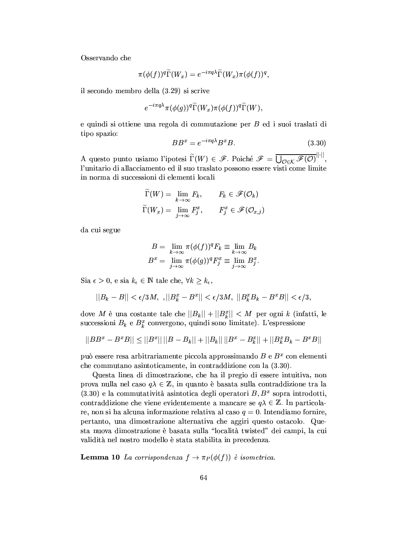Osservando che

$$
\pi(\phi(f))^q\widetilde{\Gamma}(W_x)=e^{-i\pi q\lambda}\widetilde{\Gamma}(W_x)\pi(\phi(f))^q,
$$

il secondo membro della (3.29) si scrive

$$
e^{-i\pi q\lambda}\pi(\phi(g))^q\widetilde{\Gamma}(W_x)\pi(\phi(f))^q\widetilde{\Gamma}(W).
$$

e quindi si ottiene una regola di commutazione per B ed i suoi traslati di tipo spazio:

$$
BB^x = e^{-i\pi q\lambda} B^x B. \tag{3.30}
$$

A questo punto usiamo l'ipotesi  $\widetilde{\Gamma}(W) \in \mathscr{F}$ . Poiché  $\mathscr{F} = \overline{\bigcup_{\mathcal{O} \in \mathcal{K}} \mathscr{F}(\mathcal{O})}^{\|\cdot\|}$ l'unitario di allacciamento ed il suo traslato possono essere visti come limite in norma di successioni di elementi locali

$$
\widetilde{\Gamma}(W) = \lim_{k \to \infty} F_k, \qquad F_k \in \mathscr{F}(\mathcal{O}_k)
$$
\n
$$
\widetilde{\Gamma}(W_x) = \lim_{j \to \infty} F_j^x, \qquad F_j^x \in \mathscr{F}(\mathcal{O}_{x,j})
$$

da cui segue

$$
B = \lim_{k \to \infty} \pi(\phi(f))^q F_k \equiv \lim_{k \to \infty} B_k
$$
  

$$
B^x = \lim_{j \to \infty} \pi(\phi(g))^q F_j^x \equiv \lim_{j \to \infty} B_j^x.
$$

Sia  $\epsilon > 0$ , e sia  $k_{\epsilon} \in \mathbb{N}$  tale che,  $\forall k \geq k_{\epsilon}$ ,

$$
||B_k - B|| < \epsilon/3M, \, \, , ||B_k^x - B^x|| < \epsilon/3M, \, \, ||B_k^xB_k - B^xB|| < \epsilon/3,
$$

dove M è una costante tale che  $||B_k|| + ||B_k^x|| < M$  per ogni k (infatti, le successioni $B_k$ e $B_k^x$ convergono, quindi sono limitate). L'espressione

$$
||BB^x - B^xB|| \le ||B^x|| \, ||B - B_k|| + ||B_k|| \, ||B^x - B_k^x|| + ||B_k^xB_k - B^xB||
$$

può essere resa arbitrariamente piccola approssimando  $B$ e $B^{\boldsymbol{x}}$ con elementi che commutano asintoticamente, in contraddizione con la  $(3.30)$ .

Questa linea di dimostrazione, che ha il pregio di essere intuitiva, non prova nulla nel caso  $q\lambda \in \mathbb{Z}$ , in quanto è basata sulla contraddizione tra la  $(3.30)$  e la commutatività asintotica degli operatori B,  $B<sup>x</sup>$  sopra introdotti, contraddizione che viene evidentemente a mancare se  $q\lambda \in \mathbb{Z}$ . In particolare, non si ha alcuna informazione relativa al caso  $q = 0$ . Intendiamo fornire, pertanto, una dimostrazione alternativa che aggiri questo ostacolo. Questa nuova dimostrazione è basata sulla "località twisted" dei campi, la cui validità nel nostro modello è stata stabilita in precedenza.

**Lemma 10** La corrispondenza  $f \to \pi_P(\phi(f))$  è isometrica.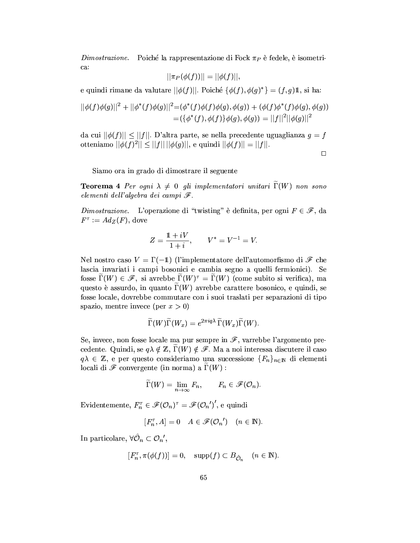*Dimostrazione.* Poiché la rappresentazione di Fock  $\pi_P$  è fedele, è isometrica:

$$
|\pi_P(\phi(f))|| = ||\phi(f)||,
$$

e quindi rimane da valutare  $||\phi(f)||$ . Poiché  $\{\phi(f), \phi(g)^*\} = (f, g)\mathbb{1}$ , si ha:

$$
||\phi(f)\phi(g)||^2 + ||\phi^*(f)\phi(g)||^2 = (\phi^*(f)\phi(f)\phi(g), \phi(g)) + (\phi(f)\phi^*(f)\phi(g), \phi(g))
$$
  
= { $\{\phi^*(f), \phi(f)\}\phi(g), \phi(g)) = ||f||^2 ||\phi(g)||^2$ 

da cui  $||\phi(f)|| \le ||f||$ . D'altra parte, se nella precedente uguaglianza  $g = f$ otteniamo  $||\phi(f)^2|| \le ||f|| \, ||\phi(g)||$ , e quindi  $||\phi(f)|| = ||f||$ .

 $\Box$ 

Siamo ora in grado di dimostrare il seguente

**Teorema 4** Per ogni  $\lambda \neq 0$  gli implementatori unitari  $\Gamma(W)$  non sono elementi dell'algebra dei campi  $\mathscr{F}.$ 

Dimostrazione. L'operazione di "twisting" è definita, per ogni  $F \in \mathscr{F}$ , da  $F^{\tau} := Ad_Z(F)$ , dove

$$
Z = \frac{1 + iV}{1 + i}, \qquad V^* = V^{-1} = V.
$$

Nel nostro caso  $V = \Gamma(-1)$  (l'implementatore dell'automorfismo di  $\mathscr F$  che lascia invariati i campi bosonici e cambia segno a quelli fermionici). Se fosse  $\Gamma(W) \in \mathscr{F}$ , si avrebbe  $\Gamma(W)^{\tau} = \Gamma(W)$  (come subito si verifica), ma questo è assurdo, in quanto  $\Gamma(W)$  avrebbe carattere bosonico, e quindi, se fosse locale, dovrebbe commutare con i suoi traslati per separazioni di tipo spazio, mentre invece (per  $x > 0$ )

$$
\widetilde{\Gamma}(W)\widetilde{\Gamma}(W_x) = e^{2\pi i q\lambda} \widetilde{\Gamma}(W_x)\widetilde{\Gamma}(W).
$$

Se, invece, non fosse locale ma pur sempre in  $\mathscr{F}$ , varrebbe l'argomento precedente. Quindi, se  $q\lambda \notin \mathbb{Z}$ ,  $\Gamma(W) \notin \mathscr{F}$ . Ma a noi interessa discutere il caso  $q\lambda \in \mathbb{Z}$ , e per questo consideriamo una successione  $\{F_n\}_{n\in\mathbb{N}}$  di elementi locali di  $\mathscr F$  convergente (in norma) a  $\widetilde{\Gamma}(W)$ :

$$
\widetilde{\Gamma}(W) = \lim_{n \to \infty} F_n, \qquad F_n \in \mathscr{F}(\mathcal{O}_n).
$$

Evidentemente,  $F_n^{\tau} \in \mathscr{F}(\mathcal{O}_n)^{\tau} = \mathscr{F}(\mathcal{O}_n')'$ , e quindi

$$
[F_n^{\tau}, A] = 0 \quad A \in \mathscr{F}(\mathcal{O}_n') \quad (n \in \mathbb{N})
$$

In particolare,  $\forall \hat{\mathcal{O}}_n \subset \mathcal{O}_n'$ ,

$$
[F_n^{\tau}, \pi(\phi(f))] = 0, \quad \text{supp}(f) \subset B_{\hat{\mathcal{O}}_n} \quad (n \in \mathbb{N}).
$$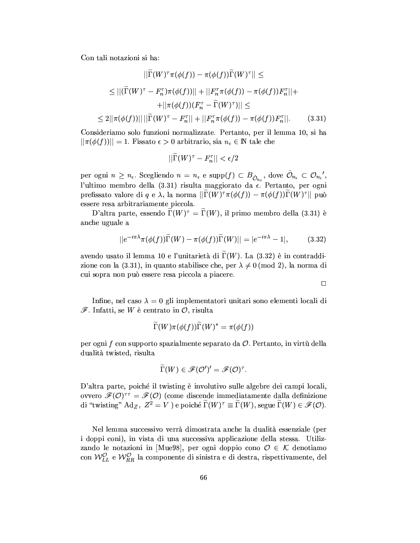Con tali notazioni si ha:

$$
||\Gamma(W)^{\tau}\pi(\phi(f)) - \pi(\phi(f))\Gamma(W)^{\tau}|| \le
$$
  
\n
$$
\leq ||(\widetilde{\Gamma}(W)^{\tau} - F_n^{\tau})\pi(\phi(f))|| + ||F_n^{\tau}\pi(\phi(f)) - \pi(\phi(f))F_n^{\tau}|| +
$$
  
\n
$$
+ ||\pi(\phi(f)) (F_n^{\tau} - \widetilde{\Gamma}(W)^{\tau})|| \leq
$$
  
\n
$$
\leq 2||\pi(\phi(f))||||\widetilde{\Gamma}(W)^{\tau} - F_n^{\tau}|| + ||F_n^{\tau}\pi(\phi(f)) - \pi(\phi(f))F_n^{\tau}||. \tag{3.31}
$$

Consideriamo solo funzioni normalizzate. Pertanto, per il lemma 10, si ha  $||\pi(\phi(f))|| = 1$ . Fissato  $\epsilon > 0$  arbitrario, sia  $n_{\epsilon} \in \mathbb{N}$  tale che

$$
||\widetilde{\Gamma}(W)^{\tau} - F_n^{\tau}|| < \epsilon/2
$$

per ogni  $n \geq n_{\epsilon}$ . Scegliendo  $n = n_{\epsilon}$  e supp $(f) \subset B_{\hat{\mathcal{O}}_{n_{\epsilon}}}$ , dove  $\hat{\mathcal{O}}_{n_{\epsilon}} \subset \mathcal{O}_{n_{\epsilon}}'$ , l'ultimo membro della (3.31) risulta maggiorato da  $\epsilon$ . Pertanto, per ogni prefissato valore di  $q \in \lambda$ , la norma  $\|\tilde{\Gamma}(W)^{\tau}\pi(\phi(f)) - \pi(\phi(f))\tilde{\Gamma}(W)^{\tau}\|$  può essere resa arbitrariamente piccola.

D'altra parte, essendo  $\Gamma(W)^{\tau} = \widetilde{\Gamma}(W)$ , il primo membro della (3.31) è anche uguale a

$$
||e^{-i\pi\lambda}\pi(\phi(f))\widetilde{\Gamma}(W) - \pi(\phi(f))\widetilde{\Gamma}(W)|| = |e^{-i\pi\lambda} - 1|,
$$
 (3.32)

avendo usato il lemma 10 e l'unitarietà di  $\Gamma(W)$ . La  $(3.32)$  è in contraddizione con la (3.31), in quanto stabilisce che, per  $\lambda \neq 0 \pmod{2}$ , la norma di cui sopra non può essere resa piccola a piacere.

 $\Box$ 

Infine, nel caso  $\lambda = 0$  gli implementatori unitari sono elementi locali di  $\mathscr{F}$ . Infatti, se W è centrato in  $\mathcal{O}$ , risulta

$$
\Gamma(W)\pi(\phi(f))\Gamma(W)^*=\pi(\phi(f))
$$

per ogni  $f$  con supporto spazialmente separato da  $\mathcal{O}$ . Pertanto, in virtù della dualità twisted, risulta

$$
\widetilde{\Gamma}(W) \in \mathscr{F}(\mathcal{O}')' = \mathscr{F}(\mathcal{O})^{\tau}.
$$

D'altra parte, poiché il twisting è involutivo sulle algebre dei campi locali, ovvero  $\mathscr{F}(O)^{\tau\tau} = \mathscr{F}(O)$  (come discende immediatamente dalla definizione di "twisting"  $Ad_Z$ ,  $Z^2 = V$ ) e poiché  $\widetilde{\Gamma}(W)^{\tau} \equiv \widetilde{\Gamma}(W)$ , segue  $\widetilde{\Gamma}(W) \in \mathscr{F}(\mathcal{O})$ .

Nel lemma successivo verrà dimostrata anche la dualità essenziale (per i doppi coni), in vista di una successiva applicazione della stessa. Utilizzando le notazioni in [Mue98], per ogni doppio cono  $\mathcal{O} \in \mathcal{K}$  denotiamo con $\mathcal{W}_{LL}^{\mathcal{O}}$ e $\mathcal{W}_{RR}^{\mathcal{O}}$ la componente di sinistra e di destra, rispettivamente, del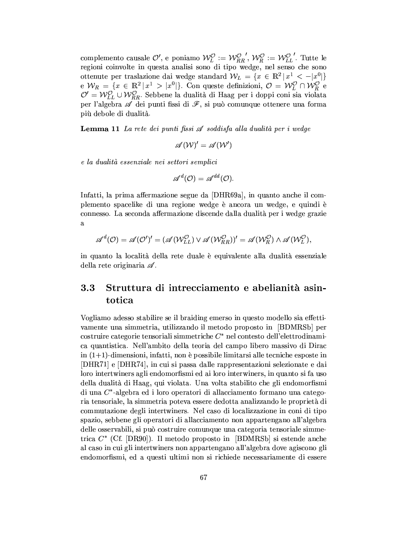complemento causale  $\mathcal{O}'$ , e poniamo  $\mathcal{W}_L^{\mathcal{O}} := \mathcal{W}_{RR}^{\mathcal{O}}$ ,  $\mathcal{W}_R^{\mathcal{O}} := \mathcal{W}_{LL}^{\mathcal{O}}$ . Tutte le regioni coinvolte in questa analisi sono di tipo wedge, nel senso che sono ottenute per traslazione dai wedge standard  $W_L = \{x \in \mathbb{R}^2 | x^1 < -|x^0|\}$ e  $W_R = \{x \in \mathbb{R}^2 | x^1 > |x^0|\}$ . Con queste definizioni,  $\mathcal{O} = W_L^{\mathcal{O}} \cap W_R^{\mathcal{O}}$ e  $\mathcal{O}' = W_{LL}^{\mathcal{O}} \cup W_{RR}^{\mathcal{O}}$ . Sebbene la dualità di Haag per i doppi coni sia violata per l'algebra  $\mathcal{A}$  dei punti fissi di più debole di dualità.

**Lemma 11** La rete dei punti fissi  $\mathscr A$  soddisfa alla dualità per i wedge

$$
\mathscr{A}(\mathcal{W})'=\mathscr{A}(\mathcal{W}')
$$

e la dualità essenziale nei settori semplici

$$
\mathscr{A}^d(\mathcal{O}) = \mathscr{A}^{dd}(\mathcal{O}).
$$

Infatti, la prima affermazione segue da [DHR69a], in quanto anche il complemento spacelike di una regione wedge è ancora un wedge, e quindi è connesso. La seconda affermazione discende dalla dualità per i wedge grazie  $\alpha$ 

$$
\mathscr{A}^d(\mathcal{O})=\mathscr{A}(\mathcal{O}')'=(\mathscr{A}(\mathcal{W}_{LL}^{\mathcal{O}})\vee \mathscr{A}(\mathcal{W}_{RR}^{\mathcal{O}}))'=\mathscr{A}(\mathcal{W}_{R}^{\mathcal{O}})\wedge \mathscr{A}(\mathcal{W}_{L}^{\mathcal{O}}),
$$

in quanto la località della rete duale è equivalente alla dualità essenziale della rete originaria  $\mathscr A$ .

### $3.3$ Struttura di intrecciamento e abelianità asintotica

Vogliamo adesso stabilire se il braiding emerso in questo modello sia effettivamente una simmetria, utilizzando il metodo proposto in [BDMRSb] per costruire categorie tensoriali simmetriche  $C^*$  nel contesto dell'elettrodinamica quantistica. Nell'ambito della teoria del campo libero massivo di Dirac in  $(1+1)$ -dimensioni, infatti, non è possibile limitarsi alle tecniche esposte in [DHR71] e [DHR74], in cui si passa dalle rappresentazioni selezionate e dai loro intertwiners agli endomorfismi ed ai loro interwiners, in quanto si fa uso della dualità di Haag, qui violata. Una volta stabilito che gli endomorfismi di una  $C^*$ -algebra ed i loro operatori di allacciamento formano una categoria tensoriale, la simmetria poteva essere dedotta analizzando le proprietà di commutazione degli intertwiners. Nel caso di localizzazione in coni di tipo spazio, sebbene gli operatori di allacciamento non appartengano all'algebra delle osservabili, si può costruire comunque una categoria tensoriale simmetrica  $C^*$  (Cf. [DR90]). Il metodo proposto in [BDMRSb] si estende anche al caso in cui gli intertwiners non appartengano all'algebra dove agiscono gli endomorfismi, ed a questi ultimi non si richiede necessariamente di essere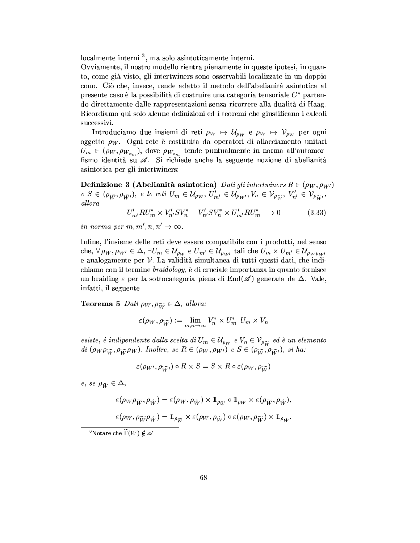$localmente interni<sup>3</sup>$ , ma solo asintoticamente interni.

Ovviamente, il nostro modello rientra pienamente in queste ipotesi, in quanto, come già visto, gli intertwiners sono osservabili localizzate in un doppio cono. Ciò che, invece, rende adatto il metodo dell'abelianità asintotica al presente caso è la possibilità di costruire una categoria tensoriale  $C^*$  partendo direttamente dalle rappresentazioni senza ricorrere alla dualità di Haag. Ricordiamo qui solo alcune definizioni ed i teoremi che giustificano i calcoli successivi.

Introduciamo due insiemi di reti  $\rho_W \mapsto \mathcal{U}_{\rho_W}$  e  $\rho_W \mapsto \mathcal{V}_{\rho_W}$  per ogni oggetto  $\rho_W$ . Ogni rete è costituita da operatori di allacciamento unitari  $U_m \in (\rho_W, \rho_{W_{x_m}}),$  dove  $\rho_{W_{x_m}}$  tende puntualmente in norma all'automorfismo identità su  $\mathscr A$ . Si richiede anche la seguente nozione di abelianità asintotica per gli intertwiners:

**Definizione 3 (Abelianità asintotica)** Dati gli intertwiners  $R \in (\rho_W, \rho_{W'})$  $e S \in (\rho_{\widetilde{W}}, \rho_{\widetilde{W}})$ , e le reti  $U_m \in \mathcal{U}_{\rho_W}, U'_{m'} \in \mathcal{U}_{\rho_{W'}}, V_n \in \mathcal{V}_{\rho_{\widetilde{W}}}, V'_{n'} \in \mathcal{V}_{\rho_{\widetilde{W}'}}$ , allora

$$
U'_{m'}RU^*_{m} \times V'_{n'}SV^*_{n} - V'_{n'}SV^*_{n} \times U'_{m'}RU^*_{m} \longrightarrow 0
$$
 (3.33)

in norma per m, m', n, n'  $\rightarrow \infty$ .

Infine, l'insieme delle reti deve essere compatibile con i prodotti, nel senso che,  $\forall \rho_W, \rho_{W'} \in \Delta$ ,  $\exists U_m \in \mathcal{U}_{\rho_W}$  e  $U_{m'} \in \mathcal{U}_{\rho_{W'}}$  tali che  $U_m \times U_{m'} \in \mathcal{U}_{\rho_W \rho_{W'}}$ e analogamente per  $V$ . La validità simultanea di tutti questi dati, che indichiamo con il termine *braidology*, è di cruciale importanza in quanto fornisce un braiding  $\varepsilon$  per la sottocategoria piena di End $(\mathscr{A})$  generata da  $\Delta$ . Vale, infatti, il seguente

**Teorema 5** Dati  $\rho_W, \rho_{\widetilde{W}} \in \Delta$ , allora:

$$
\varepsilon(\rho_W, \rho_{\widetilde{W}}) := \lim_{m,n \to \infty} V_n^* \times U_m^* \ U_m \times V_n
$$

esiste, è indipendente dalla scelta di  $U_m \in \mathcal{U}_{\rho_W}$  e  $V_n \in \mathcal{V}_{\rho_{\widetilde{W}}}$  ed è un elemento di  $(\rho_W \rho_{\widetilde{W}}, \rho_{\widetilde{W}} \rho_W)$ . Inoltre, se  $R \in (\rho_W, \rho_{W'})$  e  $S \in (\rho_{\widetilde{W}}, \rho_{\widetilde{W'}})$ , si ha:

$$
\varepsilon(\rho_{W'},\rho_{\widetilde{W'}})\circ R\times S=S\times R\circ \varepsilon(\rho_{W},\rho_{\widetilde{W}})
$$

e, se  $\rho_{\hat{W}} \in \Delta$ ,

$$
\varepsilon(\rho_W \rho_{\widetilde{W}}, \rho_{\hat{W}}) = \varepsilon(\rho_W, \rho_{\hat{W}}) \times 1_{\rho_{\widetilde{W}}} \circ 1_{\rho_W} \times \varepsilon(\rho_{\widetilde{W}}, \rho_{\hat{W}}).
$$
  

$$
\varepsilon(\rho_W, \rho_{\widetilde{W}} \rho_{\hat{W}}) = 1_{\rho_{\widetilde{W}}} \times \varepsilon(\rho_W, \rho_{\hat{W}}) \circ \varepsilon(\rho_W, \rho_{\widetilde{W}}) \times 1_{\rho_{\hat{W}}}.
$$

<sup>&</sup>lt;sup>3</sup>Notare che  $\widetilde{\Gamma}(W) \notin \mathscr{A}$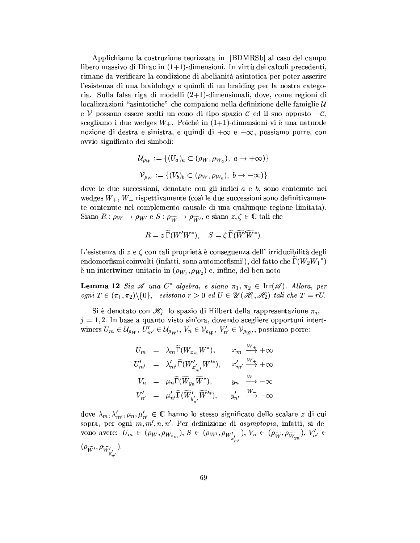Applichiamo la costruzione teorizzata in [BDMRSb] al caso del campo libero massivo di Dirac in  $(1+1)$ -dimensioni. In virtù dei calcoli precedenti, rimane da verificare la condizione di abelianità asintotica per poter asserire l'esistenza di una braidology e quindi di un braiding per la nostra categoria. Sulla falsa riga di modelli  $(2+1)$ -dimensionali, dove, come regioni di localizzazioni "asintotiche" che compaiono nella definizione delle famiglie  $\mathcal U$ e  $\mathcal V$  possono essere scelti un cono di tipo spazio  $\mathcal C$  ed il suo opposto  $-\mathcal C$ , scegliamo i due wedges  $W_{\pm}$ . Poiché in (1+1)-dimensioni vi è una naturale nozione di destra e sinistra, e quindi di  $+\infty$  e  $-\infty$ , possiamo porre, con ovvio significato dei simboli:

$$
\mathcal{U}_{\rho_W} := \{ (U_a)_a \subset (\rho_W, \rho_{W_a}), \ a \to +\infty) \}
$$
  

$$
\mathcal{V}_{\rho_W} := \{ (V_b)_b \subset (\rho_W, \rho_{W_b}), \ b \to -\infty) \}
$$

dove le due successioni, denotate con gli indici  $a \in b$ , sono contenute nei wedges  $W_+$ ,  $W_-$  rispettivamente (così le due successioni sono definitivamente contenute nel complemento causale di una qualunque regione limitata). Siano  $R: \rho_W \to \rho_{W'}$  e  $S: \rho_{\widetilde{W}} \to \rho_{\widetilde{W}'},$  e siano  $z, \zeta \in \mathbb{C}$  tali che

$$
R=z\, \widetilde{\Gamma}(W'W^*),\quad S=\zeta\, \widetilde{\Gamma}(\widetilde{W}'\widetilde{W}^*).
$$

L'esistenza di  $z \in \zeta$  con tali proprietà è conseguenza dell'irriducibilità degli endomorfismi coinvolti (infatti, sono automorfismi!), del fatto che  $\Gamma(W_2W_1^*)$ è un intertwiner unitario in  $(\rho_{W_1}, \rho_{W_2})$  e, infine, del ben noto

**Lemma 12** Sia  $\mathscr A$  una C<sup>\*</sup>-algebra, e siano  $\pi_1, \pi_2 \in \text{Irr}(\mathscr A)$ . Allora, per ogni  $T \in (\pi_1, \pi_2) \setminus \{0\}$ , esistono  $r > 0$  ed  $U \in \mathscr{U}(\mathscr{H}_1, \mathscr{H}_2)$  tali che  $T = rU$ .

Si è denotato con  $\mathcal{H}_j$  lo spazio di Hilbert della rappresentazione  $\pi_j$ ,  $j = 1, 2$ . In base a quanto visto sin'ora, dovendo scegliere opportuni intertwiners  $U_m \in \mathcal{U}_{\rho_W}, U'_{m'} \in \mathcal{U}_{\rho_{W'}}$ ,  $V_n \in \mathcal{V}_{\rho_{\widetilde{W}}}, V'_{n'} \in \mathcal{V}_{\rho_{\widetilde{W'}}},$  possiamo porre:

$$
U_m = \lambda_m \widetilde{\Gamma}(W_{x_m} W^*), \qquad x_m \xrightarrow{W_+} + \infty
$$
  
\n
$$
U'_{m'} = \lambda'_{m'} \widetilde{\Gamma}(W'_{x'_{m'}} W'^{*}), \qquad x'_{m'} \xrightarrow{W_+} + \infty
$$
  
\n
$$
V_n = \mu_n \widetilde{\Gamma}(\widetilde{W}_{y_n} \widetilde{W}^*), \qquad y_n \xrightarrow{W_-} -\infty
$$
  
\n
$$
V'_{n'} = \mu'_{n'} \widetilde{\Gamma}(\widetilde{W}'_{y'_{n'}} \widetilde{W}'^*), \qquad y'_{n'} \xrightarrow{W_-} -\infty
$$

dove  $\lambda_m, \lambda'_{m'}, \mu_n, \mu'_{n'} \in \mathbb{C}$  hanno lo stesso significato dello scalare z di cui sopra, per ogni  $m, m', n, n'$ . Per definizione di asymptopia, infatti, si devono avere:  $U_m \in (\rho_W, \rho_{W_{x_m}}), S \in (\rho_{W'}, \rho_{W'_{x'_{m'}}}), V_n \in (\rho_{\widetilde{W}}, \rho_{\widetilde{W}_{y_n}}), V'_{n'} \in$  $(\rho_{\widetilde{W}'}, \rho_{\widetilde{W}'_{y'_{-'}}}).$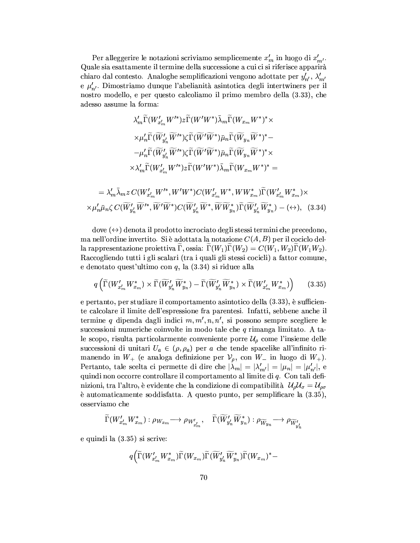Per alleggerire le notazioni scriviamo semplicemente  $x'_m$  in luogo di  $x'_{m'}$ . Quale sia esattamente il termine della successione a cui ci si riferisce apparirà chiaro dal contesto. Analoghe semplificazioni vengono adottate per  $y'_{n'}$ ,  $\lambda'_{m'}$ e  $\mu'_{n'}$ . Dimostriamo dunque l'abelianità asintotica degli intertwiners per il nostro modello, e per questo calcoliamo il primo membro della (3.33), che adesso assume la forma:

$$
\lambda'_{m}\widetilde{\Gamma}(W'_{x'_{m}}W'^{*})z\widetilde{\Gamma}(W'W^{*})\overline{\lambda}_{m}\widetilde{\Gamma}(W_{x_{m}}W^{*})^{*}\times
$$

$$
\times\mu'_{n}\widetilde{\Gamma}(\widetilde{W}'_{y'_{n}}\widetilde{W}'^{*})\zeta\widetilde{\Gamma}(\widetilde{W}'\widetilde{W}^{*})\overline{\mu}_{n}\widetilde{\Gamma}(\widetilde{W}_{y_{n}}\widetilde{W}^{*})^{*}-
$$

$$
-\mu'_{n}\widetilde{\Gamma}(\widetilde{W}'_{y'_{n}}\widetilde{W}'^{*})\zeta\widetilde{\Gamma}(\widetilde{W}'\widetilde{W}^{*})\overline{\mu}_{n}\widetilde{\Gamma}(\widetilde{W}_{y_{n}}\widetilde{W}^{*})^{*}\times
$$

$$
\times\lambda'_{m}\widetilde{\Gamma}(W'_{x'_{m}}W'^{*})z\widetilde{\Gamma}(W'W^{*})\overline{\lambda}_{m}\widetilde{\Gamma}(W_{x_{m}}W^{*})^{*}=
$$

$$
=\lambda'_{m}\overline{\lambda}_{m}z\ C(W'_{x'_{m}}W'^{*},W'W^{*})C(W'_{x'_{m}}W^{*},WW^{*}_{x_{m}})\widetilde{\Gamma}(W'_{x'_{m}}W^{*}_{x_{m}})\times
$$

$$
\times\mu'_{n}\overline{\mu}_{n}\zeta\ C(\widetilde{W}'_{y'_{n}}\widetilde{W}^{*},\widetilde{W}'\widetilde{W}^{*})C(\widetilde{W}'_{y'_{n}}\widetilde{W}^{*},\widetilde{W}\widetilde{W}^{*}_{y_{n}})\widetilde{\Gamma}(\widetilde{W}'_{y'_{n}}\widetilde{W}^{*}_{y_{n}})-\langle\leftrightarrow\rangle, \quad (3.34)
$$

dove  $(\leftrightarrow)$  denota il prodotto incrociato degli stessi termini che precedono, ma nell'ordine invertito. Si è adottata la notazione  $C(A, B)$  per il cociclo della rappresentazione proiettiva  $\Gamma$ , ossia:  $\Gamma(W_1)\Gamma(W_2) = C(W_1, W_2)\Gamma(W_1W_2)$ . Raccogliendo tutti i gli scalari (tra i quali gli stessi cocicli) a fattor comune. e denotato quest'ultimo con  $q$ , la  $(3.34)$  si riduce alla

$$
q\left(\widetilde{\Gamma}(W'_{x'_m}W^*_{x_m})\times \widetilde{\Gamma}(\widetilde{W}'_{y'_n}\widetilde{W}^*_{y_n}) - \widetilde{\Gamma}(\widetilde{W}'_{y'_n}\widetilde{W}^*_{y_n})\times \widetilde{\Gamma}(W'_{x'_m}W^*_{x_m})\right) \tag{3.35}
$$

e pertanto, per studiare il comportamento asintotico della  $(3.33)$ , è sufficiente calcolare il limite dell'espressione fra parentesi. Infatti, sebbene anche il termine q dipenda dagli indici  $m, m', n, n'$ , si possono sempre scegliere le successioni numeriche coinvolte in modo tale che  $q$  rimanga limitato. A tale scopo, risulta particolarmente conveniente porre  $\mathcal{U}_{\rho}$  come l'insieme delle successioni di unitari  $U_a \in (\rho, \rho_a)$  per a che tende spacelike all'infinito rimanendo in  $W_+$  (e analoga definizione per  $\mathcal{V}_\rho$ , con  $W_-$  in luogo di  $W_+$ ). Pertanto, tale scelta ci permette di dire che  $|\lambda_m| = |\lambda'_{m'}| = |\mu_n| = |\mu'_{n'}|$ , e quindi non occorre controllare il comportamento al limite di q. Con tali definizioni, tra l'altro, è evidente che la condizione di compatibilità  $\mathcal{U}_{\rho}\mathcal{U}_{\sigma} = \mathcal{U}_{\rho\sigma}$ è automaticamente soddisfatta. A questo punto, per semplificare la  $(3.35)$ , osserviamo che

$$
\widetilde{\Gamma}(W'_{x'_m}W^*_{x_m}) : \rho_{W_{x_m}} \longrightarrow \rho_{W'_{x'_m}}, \quad \widetilde{\Gamma}(\widetilde{W}'_{y'_n}\widetilde{W}_{y_n}^*) : \rho_{\widetilde{W}_{y_n}} \longrightarrow \rho_{\widetilde{W}'_{y'_n}}
$$

e quindi la  $(3.35)$  si scrive:

$$
q \Big(\widetilde{\Gamma}(W'_{x'_m}W_{x_m}^*)\widetilde{\Gamma}(W_{x_m})\widetilde{\Gamma}(\widetilde{W}'_{y'_n}\widetilde{W}_{y_n}^*)\widetilde{\Gamma}(W_{x_m})^* -
$$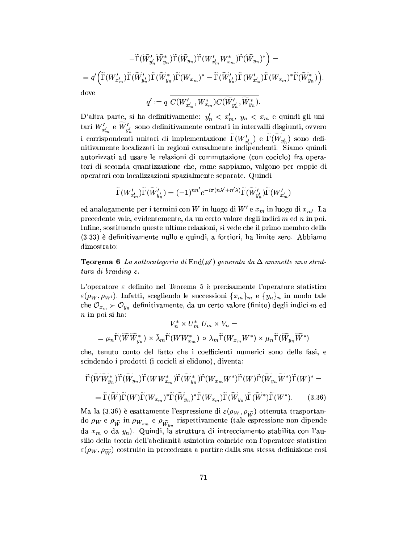$$
-\widetilde{\Gamma}(\widetilde{W}_{y'_n}' \widetilde{W}_{y_n}^*)\widetilde{\Gamma}(\widetilde{W}_{y_n})\widetilde{\Gamma}(W'_{x'_m}W_{x_m}^*)\widetilde{\Gamma}(\widetilde{W}_{y_n})^*\Big) = \\ = q'\Big(\widetilde{\Gamma}(W'_{x'_m})\widetilde{\Gamma}(\widetilde{W}_{y'_n}')\widetilde{\Gamma}(W_{x_m})^*\Big)\widetilde{\Gamma}(W_{x_m})^* - \widetilde{\Gamma}(\widetilde{W}_{y'_n}')\widetilde{\Gamma}(W'_{x'_m})\widetilde{\Gamma}(W_{x_m})^*\widetilde{\Gamma}(\widetilde{W}_{y_n}^*)\Big) \\ \\ \text{dove}
$$

$$
q' := q \overline{C(W'_{x'_m}, W^*_{x_m})} C(\widetilde{W}'_{y'_n}, \widetilde{W}^*_{y_n}).
$$

D'altra parte, si ha definitivamente:  $y_n' < x_m', y_n < x_m$ e quindi gli unitari  $W'_{x'_{m}}$  e  $\widetilde{W}'_{y'_{m}}$  sono definitivamente centrati in intervalli disgiunti, ovvero i corrispondenti unitari di implementazione  $\widetilde{\Gamma}(W'_{x_m'})$  e  $\widetilde{\Gamma}(\widetilde{W}_{y_n'})$  sono definitivamente localizzati in regioni causalmente indipendenti. Siamo quindi autorizzati ad usare le relazioni di commutazione (con cociclo) fra operatori di seconda quantizzazione che, come sappiamo, valgono per coppie di operatori con localizzazioni spazialmente separate. Quindi

$$
\widetilde{\Gamma}(W'_{x'_m})\widetilde{\Gamma}(\widetilde{W}'_{y'_n})=(-1)^{nn'}e^{-i\pi(n\lambda'+n'\lambda)}\widetilde{\Gamma}(\widetilde{W}'_{y'_n})\widetilde{\Gamma}(W'_{x'_m})
$$

ed analogamente per i termini con W in luogo di  $W'$  e  $x_m$  in luogo di  $x_{m'}$ . La precedente vale, evidentemente, da un certo valore degli indici  $m$  ed  $n$  in poi. Infine, sostituendo queste ultime relazioni, si vede che il primo membro della (3.33) è definitivamente nullo e quindi, a fortiori, ha limite zero. Abbiamo dimostrato:

**Teorema 6** La sottocategoria di End $(\mathscr{A})$  generata da  $\Delta$  ammette una struttura di braiding  $\varepsilon$ .

L'operatore  $\varepsilon$  definito nel Teorema 5 è precisamente l'operatore statistico  $\varepsilon(\rho_W, \rho_{W'})$ . Infatti, scegliendo le successioni  $\{x_m\}_m$  e  $\{y_n\}_n$  in modo tale che  $\mathcal{O}_{x_m} \succ \mathcal{O}_{y_n}$  definitivamente, da un certo valore (finito) degli indici $m$ ed  $n$  in poi si ha:

$$
V_n^* \times U_m^* U_m \times V_n =
$$
  
=  $\bar{\mu}_n \widetilde{\Gamma}(\widetilde{W}\widetilde{W}_{y_n}^*) \times \bar{\lambda}_m \widetilde{\Gamma}(W W_{x_m}^*) \circ \lambda_m \widetilde{\Gamma}(W_{x_m} W^*) \times \mu_n \widetilde{\Gamma}(\widetilde{W}_{y_n} \widetilde{W}^*)$ 

che, tenuto conto del fatto che i coefficienti numerici sono delle fasi, e scindendo i prodotti (i cocicli si elidono), diventa:

$$
\widetilde{\Gamma}(\widetilde{W}\widetilde{W}_{y_n}^*)\widetilde{\Gamma}(\widetilde{W}_{y_n})\widetilde{\Gamma}(W\widetilde{W}_{x_m}^*)\widetilde{\Gamma}(\widetilde{W}_{y_n}^*)\widetilde{\Gamma}(W_{x_m}W^*)\widetilde{\Gamma}(W)\widetilde{\Gamma}(\widetilde{W}_{y_n}\widetilde{W}^*)\widetilde{\Gamma}(W)^* =
$$
\n
$$
= \widetilde{\Gamma}(\widetilde{W})\widetilde{\Gamma}(W)\widetilde{\Gamma}(W_{x_m})^*\widetilde{\Gamma}(\widetilde{W}_{y_n})^*\widetilde{\Gamma}(W_{x_m})\widetilde{\Gamma}(\widetilde{W}_{y_n})\widetilde{\Gamma}(\widetilde{W}^*)\widetilde{\Gamma}(W^*).
$$
\n(3.36)

Ma la (3.36) è esattamente l'espressione di  $\varepsilon(\rho_W, \rho_{\widetilde{W}})$  ottenuta trasportando  $\rho_W$  e  $\rho_{\widetilde{W}}$  in  $\rho_{W_{x_m}}$  e  $\rho_{\widetilde{W}_{y_n}}$  rispettivamente (tale espressione non dipende da  $x_m$  o da  $y_n$ ). Quindi, la struttura di intrecciamento stabilita con l'ausilio della teoria dell'abelianità asintotica coincide con l'operatore statistico  $\varepsilon(\rho_W, \rho_{\widetilde{W}})$  costruito in precedenza a partire dalla sua stessa definizione così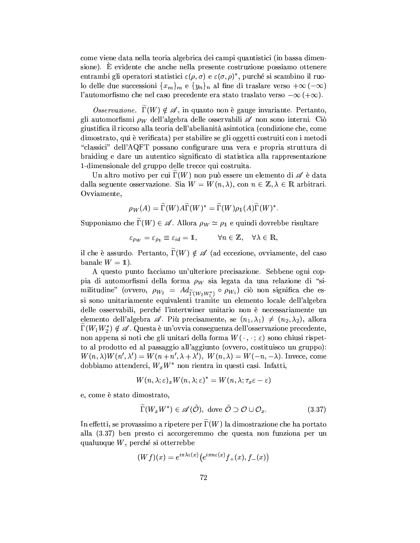come viene data nella teoria algebrica dei campi quantistici (in bassa dimensione). È evidente che anche nella presente costruzione possiamo ottenere entrambi gli operatori statistici  $\varepsilon(\rho, \sigma)$  e  $\varepsilon(\sigma, \rho)^*$ , purché si scambino il ruolo delle due successioni  $\{x_m\}_m$  e  $\{y_n\}_n$  al fine di traslare verso  $+\infty$  ( $-\infty$ ) l'automorfismo che nel caso precedente era stato traslato verso  $-\infty$  ( $+\infty$ ).

*Osservazione.*  $\Gamma(W) \notin \mathscr{A}$ , in quanto non è gauge invariante. Pertanto, gli automorfismi  $\rho_W$  dell'algebra delle osservabili  $\mathscr A$  non sono interni. Ciò giustifica il ricorso alla teoria dell'abelianità asintotica (condizione che, come dimostrato, qui è verificata) per stabilire se gli oggetti costruiti con i metodi "classici" dell'AQFT possano configurare una vera e propria struttura di braiding e dare un autentico significato di statistica alla rappresentazione 1-dimensionale del gruppo delle trecce qui costruita.

Un altro motivo per cui  $\Gamma(W)$  non può essere un elemento di  $\mathscr A$  è data dalla seguente osservazione. Sia  $W = W(n, \lambda)$ , con  $n \in \mathbb{Z}, \lambda \in \mathbb{R}$  arbitrari. Ovviamente.

$$
\rho_W(A)=\Gamma(W) A \Gamma(W)^*=\Gamma(W) \rho_1(A) \Gamma(W)^*.
$$

Supponiamo che  $\widetilde{\Gamma}(W) \in \mathscr{A}$ . Allora  $\rho_W \simeq \rho_1$  e quindi dovrebbe risultare

$$
\varepsilon_{\rho_W} = \varepsilon_{\rho_1} \equiv \varepsilon_{id} = 1, \qquad \forall n \in \mathbb{Z}, \quad \forall \lambda \in \mathbb{R},
$$

il che è assurdo. Pertanto,  $\widetilde{\Gamma}(W) \notin \mathscr{A}$  (ad eccezione, ovviamente, del caso banale  $W = 1$ ).

A questo punto facciamo un'ulteriore precisazione. Sebbene ogni coppia di automorfismi della forma  $\rho_W$  sia legata da una relazione di "similitudine" (ovvero,  $\rho_{W_2} = Ad_{\widetilde{\Gamma}(W_2 W_1^*)} \circ \rho_{W_1}$ ) ciò non significa che essi sono unitariamente equivalenti tramite un elemento locale dell'algebra delle osservabili, perché l'intertwiner unitario non è necessariamente un elemento dell'algebra  $\mathscr A$ . Più precisamente, se  $(n_1, \lambda_1) \neq (n_2, \lambda_2)$ , allora  $\Gamma(W_1W_2^*) \notin \mathscr{A}$ . Questa è un'ovvia conseguenza dell'osservazione precedente, non appena si noti che gli unitari della forma  $W(\cdot, \cdot; \varepsilon)$  sono chiusi rispetto al prodotto ed al passaggio all'aggiunto (ovvero, costituisco un gruppo):  $W(n, \lambda)W(n', \lambda') = W(n+n', \lambda+\lambda'),\; W(n, \lambda) = W(-n, -\lambda).$  Invece, come dobbiamo attenderci,  $W_x W^*$  non rientra in questi casi. Infatti,

$$
W(n,\lambda;\varepsilon)_x W(n,\lambda;\varepsilon)^*=W(n,\lambda;\tau_x\varepsilon-\varepsilon)
$$

e, come è stato dimostrato,

$$
\widetilde{\Gamma}(W_x W^*) \in \mathscr{A}(\tilde{\mathcal{O}}), \text{ dove } \tilde{\mathcal{O}} \supset \mathcal{O} \cup \mathcal{O}_x. \tag{3.37}
$$

In effetti, se provassimo a ripetere per  $\tilde{\Gamma}(W)$  la dimostrazione che ha portato alla (3.37) ben presto ci accorgeremmo che questa non funziona per un qualunque  $W$ , perché si otterrebbe

$$
(Wf)(x)=e^{i\pi\lambda\varepsilon(x)}\big(e^{i\pi n\varepsilon(x)}f_+(x),f_-(x)\big)
$$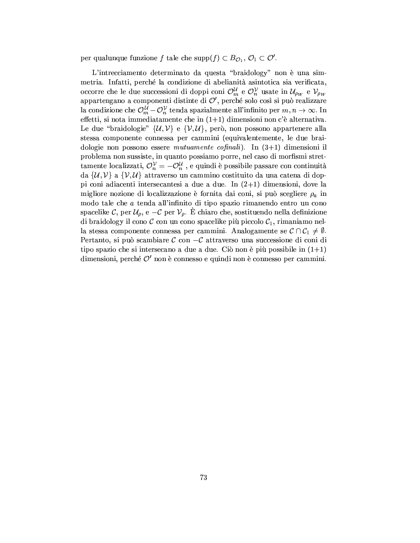per qualunque funzione f tale che supp $(f) \subset B_{\mathcal{O}_1}, \mathcal{O}_1 \subset \mathcal{O}'$ .

L'intrecciamento determinato da questa "braidology" non è una simmetria. Infatti, perché la condizione di abelianità asintotica sia verificata, occorre che le due successioni di doppi coni $\mathcal{O}_m^{\mathcal{U}}$ e  $\mathcal{O}_n^{\mathcal{V}}$  usate in  $\mathcal{U}_{\rho_W}$  e  $\mathcal{V}_{\rho_W}$ appartengano a componenti distinte di  $\mathcal{O}',$ perché solo così si può realizzare la condizione che  $\mathcal{O}_m^{\mathcal{U}} - \mathcal{O}_n^{\mathcal{V}}$  tenda spazialmente all'infinito per  $m, n \to \infty$ . In effetti, si nota immediatamente che in  $(1+1)$  dimensioni non c'è alternativa. Le due "braidologie"  $\{\mathcal{U}, \mathcal{V}\}\$ e  $\{\mathcal{V}, \mathcal{U}\}\$ , però, non possono appartenere alla stessa componente connessa per cammini (equivalentemente, le due braidologie non possono essere mutuamente cofinali). In  $(3+1)$  dimensioni il problema non sussiste, in quanto possiamo porre, nel caso di morfismi strettamente localizzati,  $\mathcal{O}_n^{\mathcal{V}} = -\mathcal{O}_n^{\mathcal{U}}$ , e quindi è possibile passare con continuità da  $\{\mathcal{U}, \mathcal{V}\}\$ a  $\{\mathcal{V}, \mathcal{U}\}\$ attraverso un cammino costituito da una catena di doppi coni adiacenti intersecantesi a due a due. In  $(2+1)$  dimensioni, dove la migliore nozione di localizzazione è fornita dai coni, si può scegliere  $\rho_a$  in modo tale che a tenda all'infinito di tipo spazio rimanendo entro un cono spacelike C, per  $\mathcal{U}_{\rho}$ , e  $-\mathcal{C}$  per  $\mathcal{V}_{\rho}$ . È chiaro che, sostituendo nella definizione di braidology il cono  $C$  con un cono spacelike più piccolo  $C_1$ , rimaniamo nella stessa componente connessa per cammini. Analogamente se  $\mathcal{C} \cap \mathcal{C}_1 \neq \emptyset$ . Pertanto, si può scambiare  $\mathcal C$  con  $-\mathcal C$  attraverso una successione di coni di tipo spazio che si intersecano a due a due. Ciò non è più possibile in  $(1+1)$ dimensioni, perché  $\mathcal{O}'$  non è connesso e quindi non è connesso per cammini.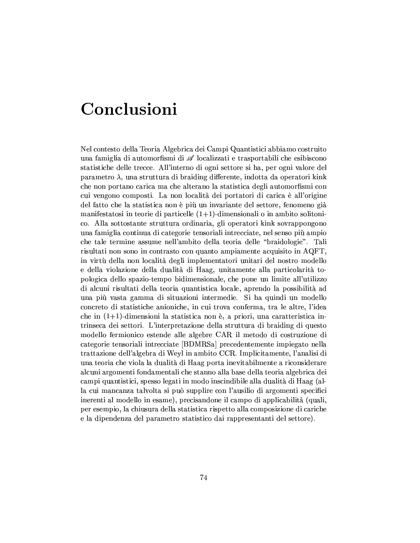## Conclusioni

Nel contesto della Teoria Algebrica dei Campi Quantistici abbiamo costruito una famiglia di automorfismi di  $\mathscr A$  localizzati e trasportabili che esibiscono statistiche delle trecce. All'interno di ogni settore si ha, per ogni valore del parametro  $\lambda$ , una struttura di braiding differente, indotta da operatori kink che non portano carica ma che alterano la statistica degli automorfismi con cui vengono composti. La non località dei portatori di carica è all'origine del fatto che la statistica non è più un invariante del settore, fenomeno già manifestatosi in teorie di particelle  $(1+1)$ -dimensionali o in ambito solitonico. Alla sottostante struttura ordinaria, gli operatori kink sovrappongono una famiglia continua di categorie tensoriali intrecciate, nel senso più ampio che tale termine assume nell'ambito della teoria delle "braidologie". Tali risultati non sono in contrasto con quanto ampiamente acquisito in AQFT. in virtù della non località degli implementatori unitari del nostro modello e della violazione della dualità di Haag, unitamente alla particolarità topologica dello spazio-tempo bidimensionale, che pone un limite all'utilizzo di alcuni risultati della teoria quantistica locale, aprendo la possibilità ad una più vasta gamma di situazioni intermedie. Si ha quindi un modello concreto di statistiche anioniche, in cui trova conferma, tra le altre, l'idea che in  $(1+1)$ -dimensioni la statistica non è, a priori, una caratteristica intrinseca dei settori. L'interpretazione della struttura di braiding di questo modello fermionico estende alle algebre CAR il metodo di costruzione di categorie tensoriali intrecciate [BDMRSa] precedentemente impiegato nella trattazione dell'algebra di Weyl in ambito CCR. Implicitamente, l'analisi di una teoria che viola la dualità di Haag porta inevitabilmente a riconsiderare alcuni argomenti fondamentali che stanno alla base della teoria algebrica dei campi quantistici, spesso legati in modo inscindibile alla dualità di Haag (alla cui mancanza talvolta si può supplire con l'ausilio di argomenti specifici inerenti al modello in esame), precisandone il campo di applicabilità (quali, per esempio, la chiusura della statistica rispetto alla composizione di cariche e la dipendenza del parametro statistico dai rappresentanti del settore).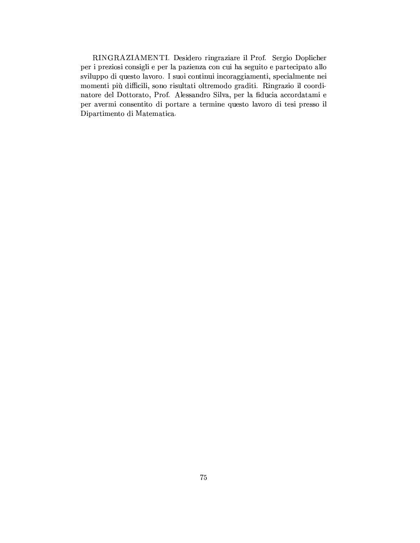RINGRAZIAMENTI. Desidero ringraziare il Prof. Sergio Doplicher per i preziosi consigli e per la pazienza con cui ha seguito e partecipato allo sviluppo di questo lavoro. I suoi continui incoraggiamenti, specialmente nei momenti più difficili, sono risultati oltremodo graditi. Ringrazio il coordinatore del Dottorato, Prof. Alessandro Silva, per la fiducia accordatami e per avermi consentito di portare a termine questo lavoro di tesi presso il Dipartimento di Matematica.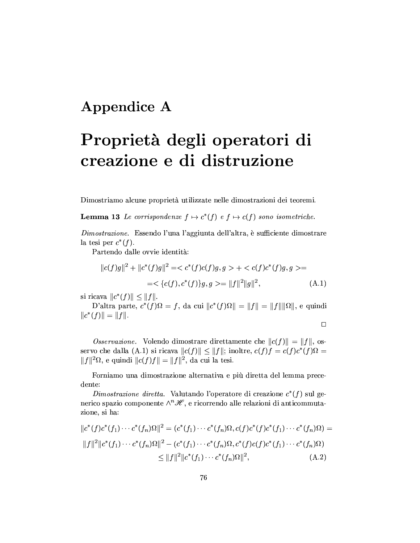### Appendice A

# Proprietà degli operatori di creazione e di distruzione

Dimostriamo alcune proprietà utilizzate nelle dimostrazioni dei teoremi.

**Lemma 13** Le corrispondenze  $f \mapsto c^*(f)$  e  $f \mapsto c(f)$  sono isometriche.

Dimostrazione. Essendo l'una l'aggiunta dell'altra, è sufficiente dimostrare la tesi per  $c^*(f)$ .

Partendo dalle ovvie identità:

$$
||c(f)g||2 + ||c*(f)g||2 = < c*(f)c(f)g, g > +  =
$$
  
= 
$$
<{c(f), c*(f)}g, g> = ||f||2||g||2,
$$
 (A.1)

si ricava  $||c^*(f)|| \le ||f||.$ 

D'altra parte,  $c^*(f)\Omega = f$ , da cui  $||c^*(f)\Omega|| = ||f|| = ||f|| ||\Omega||$ , e quindi  $||c^*(f)|| = ||f||.$ 

$$
\square
$$

*Osservazione.* Volendo dimostrare direttamente che  $||c(f)|| = ||f||$ , osservo che dalla (A.1) si ricava  $||c(f)|| \le ||f||$ ; inoltre,  $c(f)f = c(f)c^*(f)\Omega =$  $||f||^2\Omega$ , e quindi  $||c(f)f|| = ||f||^2$ , da cui la tesi.

Forniamo una dimostrazione alternativa e più diretta del lemma precedente:

Dimostrazione diretta. Valutando l'operatore di creazione  $c^*(f)$  sul generico spazio componente  $\wedge^n\mathscr{H}$ , e ricorrendo alle relazioni di anticommutazione, si ha:

$$
||c^*(f)c^*(f_1)\cdots c^*(f_n)\Omega||^2 = (c^*(f_1)\cdots c^*(f_n)\Omega, c(f)c^*(f)c^*(f_1)\cdots c^*(f_n)\Omega) =
$$
  
\n
$$
||f||^2||c^*(f_1)\cdots c^*(f_n)\Omega||^2 - (c^*(f_1)\cdots c^*(f_n)\Omega, c^*(f)c(f)c^*(f_1)\cdots c^*(f_n)\Omega) \le ||f||^2||c^*(f_1)\cdots c^*(f_n)\Omega||^2,
$$
 (A.2)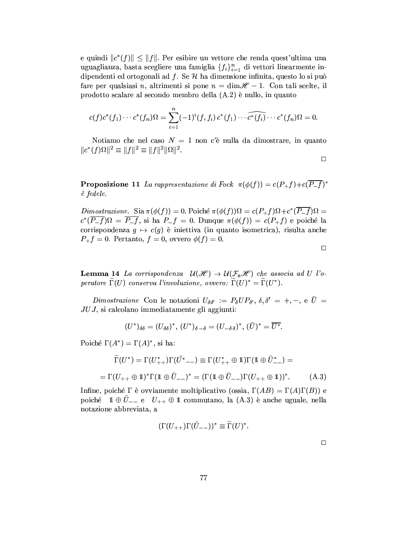e quindi  $||c^*(f)|| \le ||f||$ . Per esibire un vettore che renda quest'ultima una uguaglianza, basta scegliere una famiglia  $\{f_i\}_{i=1}^n$  di vettori linearmente indipendenti ed ortogonali ad  $f$ . Se  $H$  ha dimensione infinita, questo lo si può fare per qualsiasi n, altrimenti si pone  $n = \dim \mathcal{H} - 1$ . Con tali scelte, il prodotto scalare al secondo membro della (A.2) è nullo, in quanto

$$
c(f)c^*(f_1)\cdots c^*(f_n)\Omega = \sum_{i=1}^n (-1)^i (f, f_i) c^*(f_1) \cdots \widehat{c^*(f_i)} \cdots c^*(f_n)\Omega = 0.
$$

Notiamo che nel caso  $N = 1$  non c'è nulla da dimostrare, in quanto  $||c^*(f)\Omega||^2 \equiv ||f||^2 \equiv ||f||^2 ||\Omega||^2.$ 

 $\Box$ 

**Proposizione 11** La rappresentazione di Fock  $\pi(\phi(f)) = c(P+f) + c(\overline{P-f})^*$ è fedele.

Dimostrazione. Sia  $\pi(\phi(f)) = 0$ . Poiché  $\pi(\phi(f))\Omega = c(P_{+}f)\Omega + c^{*}(\overline{P_{-}f})\Omega =$  $c^*(\overline{P-f})\Omega = \overline{P-f}$ , si ha  $P-f = 0$ . Dunque  $\pi(\phi(f)) = c(P+f)$  e poiché la corrispondenza  $g \mapsto c(g)$  è iniettiva (in quanto isometrica), risulta anche  $P_{+}f = 0$ . Pertanto,  $f = 0$ , ovvero  $\phi(f) = 0$ .

 $\Box$ 

**Lemma 14** La corrispondenza  $\mathcal{U}(\mathcal{H}) \to \mathcal{U}(\mathcal{F}_a\mathcal{H})$  che associa ad U l'operatore  $\Gamma(U)$  conserva l'involuzione, ovvero:  $\Gamma(U)^* = \Gamma(U^*)$ .

Dimostrazione Con le notazioni  $U_{\delta\delta'} := P_{\delta}UP_{\delta'}, \delta, \delta' = +, -, e \bar{U} =$  $JUJ$ , si calcolano immediatamente gli aggiunti:

$$
(U^*)_{\delta\delta}=(U_{\delta\delta})^*,\ (U^*)_{\delta-\delta}=(U_{-\delta\delta})^*,\ (\bar{U})^*=\overline{U^*}.
$$

Poiché  $\Gamma(A^*) = \Gamma(A)^*$ , si ha:

$$
\widetilde{\Gamma}(U^*) = \Gamma(U_{++}^*) \Gamma(\bar{U^*}_{--}) \equiv \Gamma(U_{++}^* \oplus 1) \Gamma(1 \oplus \bar{U}_{--}^*) =
$$
\n
$$
= \Gamma(U_{++} \oplus 1)^* \Gamma(1 \oplus \bar{U}_{--})^* = (\Gamma(1 \oplus \bar{U}_{--}) \Gamma(U_{++} \oplus 1))^*.
$$
\n(A.3)

Infine, poiché  $\Gamma$  è ovviamente moltiplicativo (ossia,  $\Gamma(AB) = \Gamma(A)\Gamma(B)$ ) e poiché  $1 \oplus \overline{U}_{--}$  e  $U_{++} \oplus 1$  commutano, la (A.3) è anche uguale, nella notazione abbreviata, a

$$
(\Gamma(U_{++})\Gamma(\bar{U}_{--}))^* \equiv \Gamma(U)^*.
$$

 $\Box$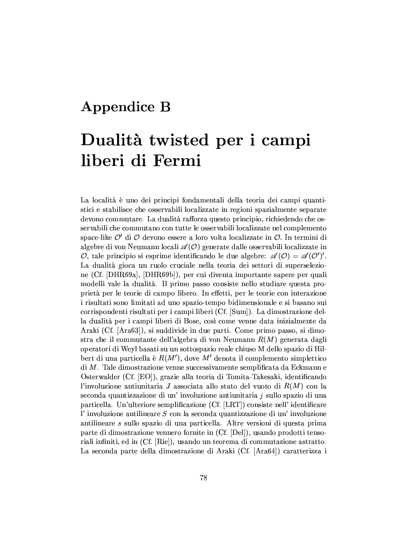### **Appendice B**

## Dualità twisted per i campi liberi di Fermi

La località è uno dei principi fondamentali della teoria dei campi quantistici e stabilisce che osservabili localizzate in regioni spazialmente separate devono commutare. La dualità rafforza questo principio, richiedendo che osservabili che commutano con tutte le osservabili localizzate nel complemento space-like  $\mathcal{O}'$  di  $\mathcal O$  devono essere a loro volta localizzate in  $\mathcal O$ . In termini di algebre di von Neumann locali  $\mathscr{A}(\mathcal{O})$  generate dalle osservabili localizzate in O, tale principio si esprime identificando le due algebre:  $\mathscr{A}(0) = \mathscr{A}(0')'.$ La dualità gioca un ruolo cruciale nella teoria dei settori di superselezione (Cf. [DHR69a], [DHR69b]), per cui diventa importante sapere per quali modelli vale la dualità. Il primo passo consiste nello studiare questa proprietà per le teorie di campo libero. In effetti, per le teorie con interazione i risultati sono limitati ad uno spazio-tempo bidimensionale e si basano sui corrispondenti risultati per i campi liberi (Cf. [Sum]). La dimostrazione della dualità per i campi liberi di Bose, così come venne data inizialmente da Araki (Cf. [Ara63]), si suddivide in due parti. Come primo passo, si dimostra che il commutante dell'algebra di von Neumann  $R(M)$  generata dagli operatori di Weyl basati su un sottospazio reale chiuso M dello spazio di Hilbert di una particella è  $R(M')$ , dove M' denota il complemento simplettico  $\overline{di}$  M. Tale dimostrazione venne successivamente semplificata da Eckmann e Osterwalder (Cf. [EO]), grazie alla teoria di Tomita-Takesaki, identificando l'involuzione antiunitaria J associata allo stato del vuoto di  $R(M)$  con la seconda quantizzazione di un'involuzione antiunitaria j sullo spazio di una particella. Un'ulteriore semplificazione (Cf. [LRT]) consiste nell' identificare l'involuzione antilineare  $S$  con la seconda quantizzazione di un'involuzione antilineare s sullo spazio di una particella. Altre versioni di questa prima parte di dimostrazione vennero fornite in (Cf. [Del]), usando prodotti tensoriali infiniti, ed in (Cf. [Rie]), usando un teorema di commutazione astratto. La seconda parte della dimostrazione di Araki (Cf. [Ara64]) caratterizza i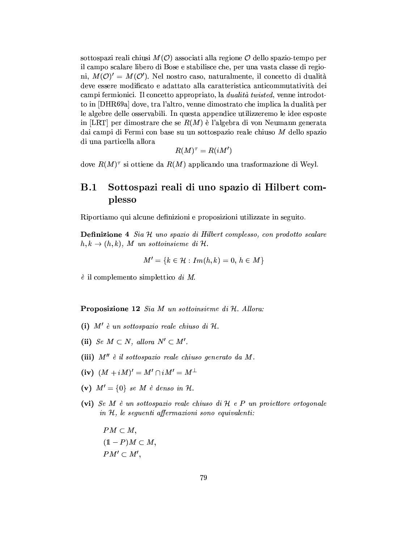sottospazi reali chiusi  $M(\mathcal{O})$  associati alla regione  $\mathcal O$  dello spazio-tempo per il campo scalare libero di Bose e stabilisce che, per una vasta classe di regioni,  $M(\mathcal{O})' = M(\mathcal{O}')$ . Nel nostro caso, naturalmente, il concetto di dualità deve essere modificato e adattato alla caratteristica anticommutatività dei campi fermionici. Il concetto appropriato, la *dualità twisted*, venne introdotto in [DHR69a] dove, tra l'altro, venne dimostrato che implica la dualità per le algebre delle osservabili. In questa appendice utilizzeremo le idee esposte in [LRT] per dimostrare che se  $R(M)$  è l'algebra di von Neumann generata dai campi di Fermi con base su un sottospazio reale chiuso M dello spazio di una particella allora

$$
R(M)^{\tau}=R(iM')
$$

dove  $R(M)^{\tau}$  si ottiene da  $R(M)$  applicando una trasformazione di Weyl.

#### $B.1$ Sottospazi reali di uno spazio di Hilbert complesso

Riportiamo qui alcune definizioni e proposizioni utilizzate in seguito.

**Definizione 4** Sia H uno spazio di Hilbert complesso, con prodotto scalare  $h, k \rightarrow (h, k), M$  un sottoinsieme di H.

$$
M'=\{k\in\mathcal{H}: Im(h,k)=0,\,h\in M\}
$$

 $\dot{e}$  il complemento simplettico di M.

Proposizione 12 Sia M un sottoinsieme di H. Allora:

- (i)  $M'$  è un sottospazio reale chiuso di  $H$ .
- (ii) Se  $M \subset N$ , allora  $N' \subset M'$ .
- (iii)  $M'' \nightharpoonup il$  sottospazio reale chiuso generato da M.
- (iv)  $(M + iM)' = M' \cap iM' = M^{\perp}$
- (v)  $M' = \{0\}$  se M è denso in H.
- (vi) Se M è un sottospazio reale chiuso di  $H$  e P un proiettore ortogonale in  $H$ , le seguenti affermazioni sono equivalenti:

 $PM \subset M$ ,  $(1 - P)M \subset M$ ,  $PM' \subset M',$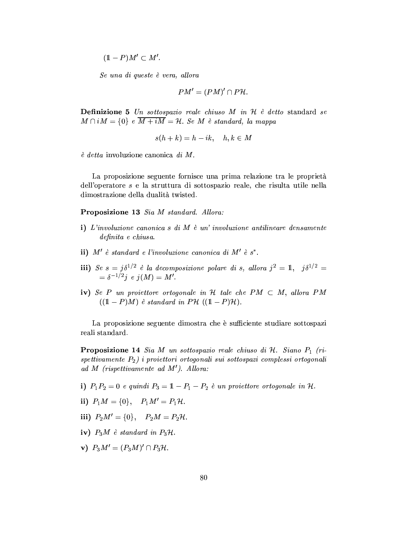$(1 - P)M' \subset M'.$ 

Se una di queste è vera, allora

$$
PM' = (PM)' \cap P\mathcal{H}.
$$

**Definizione 5** Un sottospazio reale chiuso M in  $H$  è detto standard se  $M \cap iM = \{0\}$  e  $\overline{M + iM} = \mathcal{H}$ . Se M è standard, la mappa

$$
s(h + k) = h - ik, \quad h, k \in M
$$

 $\dot{e}$  detta involuzione canonica di M.

La proposizione seguente fornisce una prima relazione tra le proprietà dell'operatore s e la struttura di sottospazio reale, che risulta utile nella dimostrazione della dualità twisted.

Proposizione 13 Sia M standard. Allora:

- i) L'involuzione canonica s di M è un' involuzione antilineare densamente definita e chiusa.
- ii)  $M'$  è standard e l'involuzione canonica di  $M'$  è s\*.
- iii) Se  $s = j\delta^{1/2}$  è la decomposizione polare di s, allora  $j^2 = 1$ ,  $j\delta^{1/2} =$ <br> $= \delta^{-1/2}j$  e  $j(M) = M'$ .
- iv) Se P un proiettore ortogonale in H tale che PM  $\subset M$ , allora PM  $((1 - P)M)$  è standard in PH  $((1 - P)H)$ .

La proposizione seguente dimostra che è sufficiente studiare sottospazione il reali standard.

**Proposizione 14** Sia M un sottospazio reale chiuso di  $H$ . Siano  $P_1$  (rispettivamente  $P_2$ ) i proiettori ortogonali sui sottospazi complessi ortogonali ad M (rispettivamente ad  $M'$ ). Allora:

- i)  $P_1P_2 = 0$  e quindi  $P_3 = 1 P_1 P_2$  è un proiettore ortogonale in H.
- ii)  $P_1M = \{0\}, P_1M' = P_1H$ .
- iii)  $P_2M' = \{0\}, \quad P_2M = P_2\mathcal{H}.$
- iv)  $P_3M$  è standard in  $P_3H$ .
- **v**)  $P_3M' = (P_3M)' \cap P_3H$ .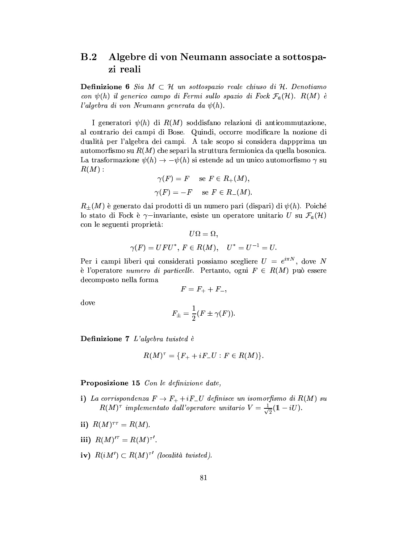#### $\bf B.2$ Algebre di von Neumann associate a sottospazi reali

**Definizione 6** Sia  $M \subset \mathcal{H}$  un sottospazio reale chiuso di  $\mathcal{H}$ . Denotiamo con  $\psi(h)$  il generico campo di Fermi sullo spazio di Fock  $\mathcal{F}_a(\mathcal{H})$ . R(M) è l'algebra di von Neumann generata da  $\psi(h)$ .

I generatori  $\psi(h)$  di  $R(M)$  soddisfano relazioni di anticommutazione, al contrario dei campi di Bose. Quindi, occorre modificare la nozione di dualità per l'algebra dei campi. A tale scopo si considera dappprima un automorfismo su  $R(M)$  che separi la struttura fermionica da quella bosonica. La trasformazione  $\psi(h) \to -\psi(h)$  si estende ad un unico automorfismo  $\gamma$  su  $R(M):$ 

$$
\gamma(F) = F \quad \text{se } F \in R_+(M),
$$
  

$$
\gamma(F) = -F \quad \text{se } F \in R_-(M).
$$

 $R_{\pm}(M)$  è generato dai prodotti di un numero pari (dispari) di  $\psi(h)$ . Poiché lo stato di Fock è  $\gamma$ -invariante, esiste un operatore unitario U su  $\mathcal{F}_a(\mathcal{H})$ con le seguenti proprietà:

$$
U\Omega=\Omega,
$$
  

$$
\gamma(F)=UFU^*,\ F\in R(M),\quad U^*=U^{-1}=U.
$$

Per i campi liberi qui considerati possiamo scegliere  $U = e^{i\pi N}$ , dove N è l'operatore numero di particelle. Pertanto, ogni  $F \in R(M)$  può essere decomposto nella forma

$$
F=F_++F_-,
$$

dove

$$
F_{\pm} = \frac{1}{2}(F \pm \gamma(F)).
$$

Definizione 7 L'algebra twisted è

$$
R(M)^{\tau}=\{F_++iF_-U:F\in R(M)\}.
$$

**Proposizione 15** Con le definizione date,

- i) La corrispondenza  $F \to F_+ + iF_-U$  definisce un isomorfismo di  $R(M)$  su  $R(M)^{\tau}$  implementato dall'operatore unitario  $V = \frac{1}{\sqrt{2}}(1 - iU)$ .
- ii)  $R(M)^{\tau\tau} = R(M)$ .
- iii)  $R(M)^{t^{\tau}} = R(M)^{\tau'}$ .
- iv)  $R(iM') \subset R(M)^{\tau'}$  (località twisted).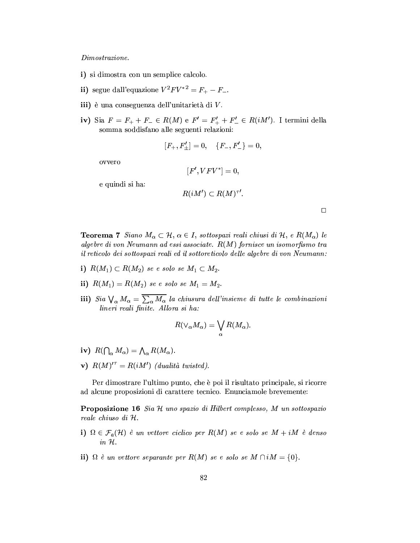#### $\it Dimostrazione.$

- i) si dimostra con un semplice calcolo.
- ii) segue dall'equazione  $V^2 F V^{*2} = F_+ F_-$ .
- iii) è una conseguenza dell'unitarietà di V.
- iv) Sia  $F = F_+ + F_- \in R(M)$  e  $F' = F'_+ + F'_- \in R(iM')$ . I termini della somma soddisfano alle seguenti relazioni:

$$
[F_+,F'_\pm]=0,\quad \{F_-,F'_-\}=0,
$$

ovvero

$$
[F',VFV^*]=0,\\
$$

e quindi si ha:

$$
R(iM') \subset R(M)^{\tau'}.
$$

**Teorema 7** Siano  $M_{\alpha} \subset \mathcal{H}$ ,  $\alpha \in I$ , sottospazi reali chiusi di  $\mathcal{H}$ , e  $R(M_{\alpha})$  le algebre di von Neumann ad essi associate.  $R(M)$  fornisce un isomorfismo tra il reticolo dei sottospazi reali ed il sottoreticolo delle algebre di von Neumann:

- i)  $R(M_1) \subset R(M_2)$  se e solo se  $M_1 \subset M_2$ .
- ii)  $R(M_1) = R(M_2)$  se e solo se  $M_1 = M_2$ .
- iii) Sia  $\bigvee_{\alpha} M_{\alpha} = \overline{\sum_{\alpha} M_{\alpha}}$  la chiusura dell'insieme di tutte le combinazioni lineri reali finite. Allora si ha:

$$
R(\vee_{\alpha}M_{\alpha})=\bigvee_{\alpha}R(M_{\alpha})
$$

- iv)  $R(\bigcap_{\alpha} M_{\alpha}) = \bigwedge_{\alpha} R(M_{\alpha}).$
- v)  $R(M)$ <sup>''</sup> =  $R(iM')$  (dualità twisted).

Per dimostrare l'ultimo punto, che è poi il risultato principale, si ricorre ad alcune proposizioni di carattere tecnico. Enunciamole brevemente:

**Proposizione 16** Sia H uno spazio di Hilbert complesso, M un sottospazio reale chiuso di H.

- i)  $\Omega \in \mathcal{F}_a(\mathcal{H})$  è un vettore ciclico per  $R(M)$  se e solo se  $M + iM$  è denso  $in \mathcal{H}.$
- ii)  $\Omega$  è un vettore separante per  $R(M)$  se e solo se  $M \cap iM = \{0\}.$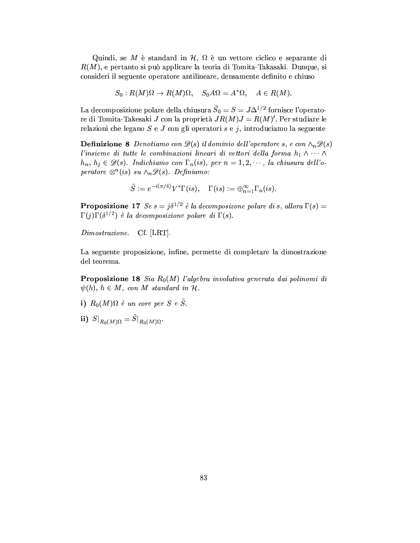Quindi, se M è standard in  $\mathcal{H}, \Omega$  è un vettore ciclico e separante di  $R(M)$ , e pertanto si può applicare la teoria di Tomita-Takasaki. Dunque, si consideri il seguente operatore antilineare, densamente definito e chiuso

$$
S_0: R(M)\Omega \to R(M)\Omega, \quad S_0 A \Omega = A^* \Omega, \quad A \in R(M).
$$

La decomposizione polare della chiusura  $\bar{S}_0 = S = J\Delta^{1/2}$  fornisce l'operatore di Tomita-Takesaki J con la proprietà  $JR(M)J = R(M)'$ . Per studiare le relazioni che legano  $S$  e  $J$  con gli operatori  $s$  e  $j$ , introduciamo la seguente

**Definizione 8** Denotiamo con  $\mathscr{D}(s)$  il dominio dell'operatore s, e con  $\wedge_n \mathscr{D}(s)$ l'insieme di tutte le combinazioni lineari di vettori della forma  $h_1 \wedge \cdots \wedge$  $h_n, h_j \in \mathscr{D}(s)$ . Indichiamo con  $\Gamma_n(is)$ , per  $n = 1, 2, \dots$ , la chiusura dell'operatore  $\otimes^n(is)$  su  $\wedge_n \mathscr{D}(s)$ . Definiamo:

$$
\tilde S:=e^{-i(\pi/4)}V^*\Gamma(is),\quad \Gamma(is):=\oplus_{n=1}^\infty \Gamma_n(is).
$$

**Proposizione 17** Se  $s = j\delta^{1/2}$  è la decomposizone polare di s, allora  $\Gamma(s) =$  $\Gamma(i)\Gamma(\delta^{1/2})$  è la decomposizione polare di  $\Gamma(s)$ .

 $Dimostrazione.$  $Cf.$  [LRT].

La seguente proposizione, infine, permette di completare la dimostrazione del teorema.

**Proposizione 18** Sia  $R_0(M)$  l'algebra involutiva generata dai polinomi di  $\psi(h), h \in M$ , con M standard in H.

- i)  $R_0(M) \Omega$  è un core per S e  $\tilde{S}$ .
- ii)  $S|_{R_0(M)\Omega} = \tilde{S}|_{R_0(M)\Omega}.$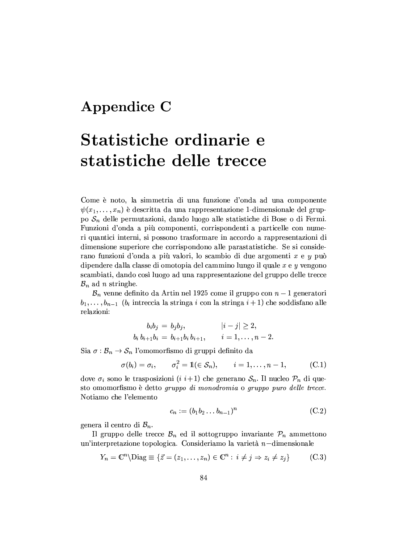### Appendice C

# Statistiche ordinarie e statistiche delle trecce

Come è noto, la simmetria di una funzione d'onda ad una componente  $\psi(x_1,\ldots,x_n)$  è descritta da una rappresentazione 1-dimensionale del gruppo  $S_n$  delle permutazioni, dando luogo alle statistiche di Bose o di Fermi. Funzioni d'onda a più componenti, corrispondenti a particelle con numeri quantici interni, si possono trasformare in accordo a rappresentazioni di dimensione superiore che corrispondono alle parastatistiche. Se si considerano funzioni d'onda a più valori, lo scambio di due argomenti x e y può dipendere dalla classe di omotopia del cammino lungo il quale  $x e y$  vengono scambiati, dando così luogo ad una rappresentazione del gruppo delle trecce  $\mathcal{B}_n$  ad *n* stringhe.

 $\mathcal{B}_n$  venne definito da Artin nel 1925 come il gruppo con  $n-1$  generatori  $b_1, \ldots, b_{n-1}$  ( $b_i$  intreccia la stringa i con la stringa  $i+1$ ) che soddisfano alle relazioni:

$$
b_i b_j = b_j b_j, \t |i - j| \ge 2,
$$
  

$$
b_i b_{i+1} b_i = b_{i+1} b_i b_{i+1}, \t i = 1, ..., n-2
$$

Sia  $\sigma : \mathcal{B}_n \to \mathcal{S}_n$  l'omomorfismo di gruppi definito da

$$
\sigma(b_i) = \sigma_i, \qquad \sigma_i^2 = \mathbb{1}(\in \mathcal{S}_n), \qquad i = 1, \ldots, n-1,
$$
 (C.1)

dove  $\sigma_i$  sono le trasposizioni (*i i*+1) che generano  $S_n$ . Il nucleo  $\mathcal{P}_n$  di questo omomorfismo è detto gruppo di monodromia o gruppo puro delle trecce. Notiamo che l'elemento

$$
c_n := (b_1 b_2 \dots b_{n-1})^n \tag{C.2}
$$

genera il centro di  $B_n$ .

Il gruppo delle trecce  $\mathcal{B}_n$  ed il sottogruppo invariante  $\mathcal{P}_n$  ammettono un'interpretazione topologica. Consideriamo la varietà  $n$ -dimensionale

$$
Y_n = \mathbb{C}^n \setminus \text{Diag} \equiv \{ \vec{z} = (z_1, \dots, z_n) \in \mathbb{C}^n : i \neq j \Rightarrow z_i \neq z_j \} \tag{C.3}
$$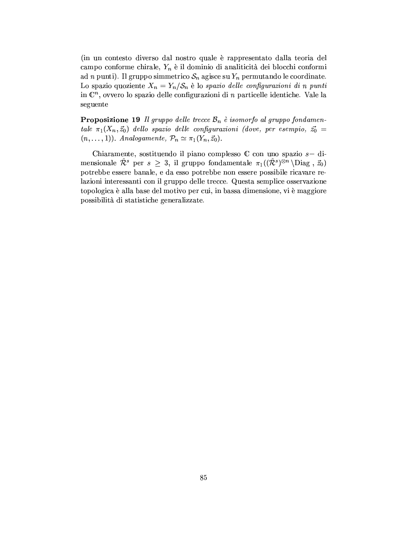(in un contesto diverso dal nostro quale è rappresentato dalla teoria del campo conforme chirale,  $Y_n$  è il dominio di analiticità dei blocchi conformi ad n punti). Il gruppo simmetrico  $S_n$  agisce su  $Y_n$  permutando le coordinate. Lo spazio quoziente  $X_n = Y_n / S_n$  è lo spazio delle configurazioni di n punti in  $\mathbb{C}^n$ , ovvero lo spazio delle configurazioni di *n* particelle identiche. Vale la seguente

**Proposizione 19** Il gruppo delle trecce  $\mathcal{B}_n$  è isomorfo al gruppo fondamentale  $\pi_1(X_n, \vec{z}_0)$  dello spazio delle configurazioni (dove, per esempio,  $\vec{z_0}$  =  $(n, \ldots, 1)).$  Analogamente,  $\mathcal{P}_n \simeq \pi_1(Y_n, \vec{z}_0).$ 

Chiaramente, sostituendo il piano complesso  $\mathbb C$  con uno spazio  $s-$  dimensionale  $\hat{\mathcal{R}}^s$  per  $s \geq 3$ , il gruppo fondamentale  $\pi_1((\hat{\mathcal{R}}^s)^{\otimes n} \backslash \text{Diag}, \vec{z}_0)$ potrebbe essere banale, e da esso potrebbe non essere possibile ricavare relazioni interessanti con il gruppo delle trecce. Questa semplice osservazione topologica è alla base del motivo per cui, in bassa dimensione, vi è maggiore possibilità di statistiche generalizzate.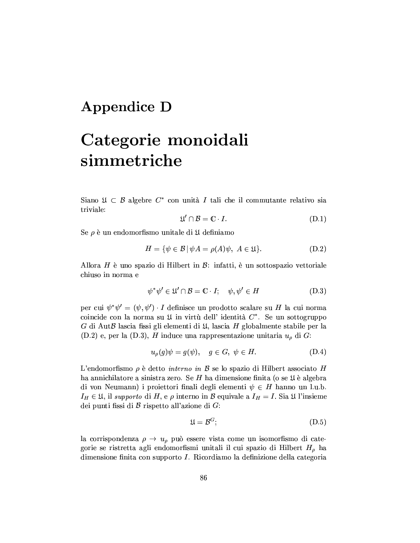### **Appendice D**

## Categorie monoidali simmetriche

Siano  $\mathfrak{U} \subset \mathcal{B}$  algebre  $C^*$  con unità I tali che il commutante relativo sia triviale:

$$
\mathfrak{U}' \cap \mathcal{B} = \mathbb{C} \cdot I. \tag{D.1}
$$

Se  $\rho$  è un endomorfismo unitale di  $\mathfrak U$  definiamo

$$
H = \{ \psi \in \mathcal{B} \mid \psi A = \rho(A)\psi, \ A \in \mathfrak{U} \}.
$$
 (D.2)

Allora H è uno spazio di Hilbert in  $\mathcal{B}$ : infatti, è un sottospazio vettoriale chiuso in norma e

$$
\psi^* \psi' \in \mathfrak{U}' \cap \mathcal{B} = \mathbb{C} \cdot I; \quad \psi, \psi' \in H \tag{D.3}
$$

per cui  $\psi^* \psi' = (\psi, \psi') \cdot I$  definisce un prodotto scalare su H la cui norma coincide con la norma su  $\mathfrak U$  in virtù dell' identità  $C^*$ . Se un sottogruppo G di AutB lascia fissi gli elementi di  $\mathfrak{U}$ , lascia H globalmente stabile per la  $(D.2)$  e, per la  $(D.3)$ , H induce una rappresentazione unitaria  $u<sub>o</sub>$  di G:

$$
u_{\rho}(g)\psi = g(\psi), \quad g \in G, \ \psi \in H. \tag{D.4}
$$

L'endomorfismo  $\rho$  è detto *interno in*  $\beta$  se lo spazio di Hilbert associato H ha annichilatore a sinistra zero. Se H ha dimensione finita (o se  $\mathfrak U$  è algebra di von Neumann) i proiettori finali degli elementi $\psi \, \in \, H$ hanno un l.u.b.  $I_H \in \mathfrak{U}$ , il supporto di H, e  $\rho$  interno in B equivale a  $I_H = I$ . Sia  $\mathfrak{U}$  l'insieme dei punti fissi di  $\beta$  rispetto all'azione di  $G$ :

$$
\mathfrak{U} = \mathcal{B}^G; \tag{D.5}
$$

la corrispondenza  $\rho \rightarrow u_{\rho}$  può essere vista come un isomorfismo di categorie se ristretta agli endomorfismi unitali il cui spazio di Hilbert  $H_{\rho}$  ha dimensione finita con supporto I. Ricordiamo la definizione della categoria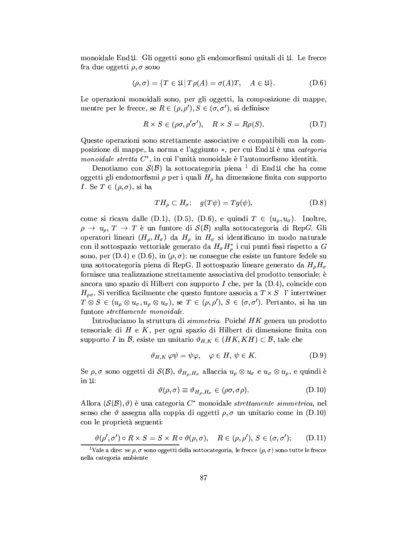monoidale End 4. Gli oggetti sono gli endomorfismi unitali di 4. Le frecce fra due oggetti  $\rho, \sigma$  sono

$$
(\rho, \sigma) = \{ T \in \mathfrak{U} | T\rho(A) = \sigma(A)T, \quad A \in \mathfrak{U} \}. \tag{D.6}
$$

Le operazioni monoidali sono, per gli oggetti, la composizione di mappe, mentre per le frecce, se  $R \in (\rho, \rho'), S \in (\sigma, \sigma'),$  si definisce

$$
R \times S \in (\rho \sigma, \rho' \sigma'), \quad R \times S = R\rho(S). \tag{D.7}
$$

Queste operazioni sono strettamente associative e compatibili con la composizione di mappe, la norma e l'aggiunto \*, per cui End II è una categoria monoidale stretta  $C^*$ , in cui l'unità monoidale è l'automorfismo identità.

Denotiamo con  $\mathcal{S}(\mathcal{B})$  la sottocategoria piena <sup>1</sup> di End $\mathfrak{U}$  che ha come oggetti gli endomorfismi  $\rho$  per i quali  $H_{\rho}$  ha dimensione finita con supporto *I*. Se  $T \in (\rho, \sigma)$ , si ha

$$
TH_{\rho} \subset H_{\sigma}; \quad g(T\psi) = Tg(\psi), \tag{D.8}
$$

come si ricava dalle (D.1), (D.5), (D.6), e quindi  $T \in (u_{\rho}, u_{\sigma})$ . Inoltre,  $\rho \rightarrow u_{\rho}, T \rightarrow T$  è un funtore di  $\mathcal{S}(\mathcal{B})$  sulla sottocategoria di RepG. Gli operatori lineari  $(H_{\rho}, H_{\sigma})$  da  $H_{\rho}$  in  $H_{\sigma}$  si identificano in modo naturale con il sottospazio vettoriale generato da  $H_{\sigma} H_{\rho}^*$  i cui punti fissi rispetto a G sono, per (D.4) e (D.6), in  $(\rho, \sigma)$ ; ne consegue che esiste un funtore fedele su una sottocategoria piena di RepG. Il sottospazio lineare generato da  $H_o H_o$ fornisce una realizzazione strettamente associativa del prodotto tensoriale; è ancora uno spazio di Hilbert con supporto I che, per la  $(D.4)$ , coincide con  $H_{\rho\sigma}$ . Si verifica facilmente che questo funtore associa a  $T \times S$  l'intertwiner  $T \otimes S \in (u_{\rho} \otimes u_{\sigma}, u_{\rho} \otimes u_{\sigma}), \text{ se } T \in (\rho, \rho'), S \in (\sigma, \sigma'). \text{ Pertanto, si ha un }$ funtore *strettamente monoidale*.

Introduciamo la struttura di *simmetria*. Poiché HK genera un prodotto tensoriale di  $H \text{ e } K$ , per ogni spazio di Hilbert di dimensione finita con supporto I in B, esiste un unitario  $\vartheta_{H,K} \in (HK, KH) \subset \mathcal{B}$ , tale che

$$
\vartheta_{H,K}\,\varphi\psi = \psi\varphi, \quad \varphi \in H, \,\psi \in K. \tag{D.9}
$$

Se  $\rho, \sigma$  sono oggetti di  $\mathcal{S}(\mathcal{B}), \vartheta_{H_{\rho},H_{\sigma}}$  allaccia  $u_{\rho} \otimes u_{\sigma}$  e  $u_{\sigma} \otimes u_{\rho}$ , e quindi è in  $\mathfrak{U}$ :

$$
\vartheta(\rho,\sigma) \equiv \vartheta_{H_{\rho},H_{\sigma}} \in (\rho\sigma,\sigma\rho). \tag{D.10}
$$

Allora  $(S(\mathcal{B}), \vartheta)$  è una categoria  $C^*$  monoidale *strettamente simmetrica*, nel senso che  $\vartheta$  assegna alla coppia di oggetti  $\rho, \sigma$  un unitario come in (D.10) con le proprietà seguenti:

$$
\vartheta(\rho', \sigma') \circ R \times S = S \times R \circ \vartheta(\rho, \sigma), \quad R \in (\rho, \rho'), S \in (\sigma, \sigma');
$$
 (D.11)

<sup>&</sup>lt;sup>1</sup>Vale a dire: se  $\rho$ ,  $\sigma$  sono oggetti della sottocategoria, le frecce  $(\rho, \sigma)$  sono tutte le frecce nella categoria ambiente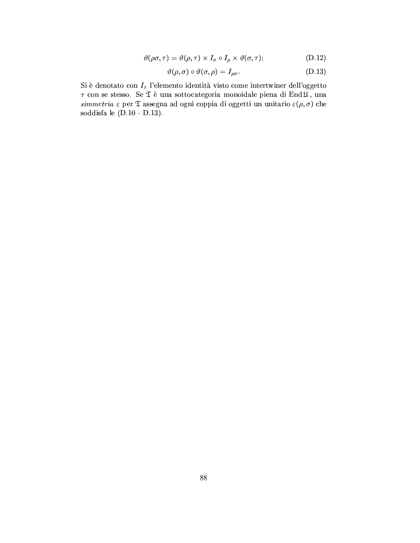$$
\vartheta(\rho\sigma,\tau) = \vartheta(\rho,\tau) \times I_{\sigma} \circ I_{\rho} \times \vartheta(\sigma,\tau); \tag{D.12}
$$

$$
\vartheta(\rho,\sigma) \circ \vartheta(\sigma,\rho) = I_{\rho\sigma}.\tag{D.13}
$$

Si è denotato con $I_{\tau}$  l'elemento identità visto come intertwiner dell'oggetto  $\tau$  con se stesso. Se ${\mathfrak{T}}$ è una sottocategoria monoidale piena di End ${\mathfrak{U}},$ una  $\emph{simmetria}$ <br/> $\varepsilon$ per $\mathfrak T$ assegna ad ogni coppia di oggetti un unitario<br/>  $\varepsilon(\rho,\sigma)$ che soddisfa le  $(D.10 - D.13)$ .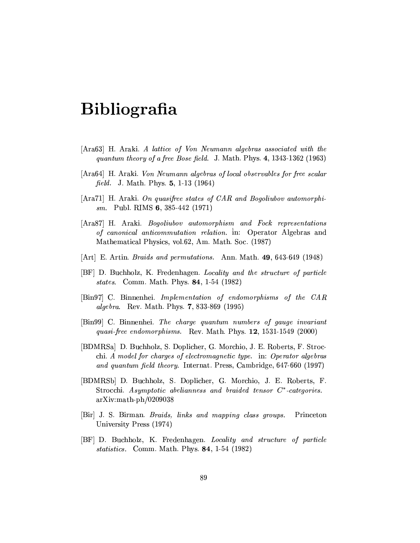## **Bibliografia**

- [Ara63] H. Araki. A lattice of Von Neumann algebras associated with the quantum theory of a free Bose field. J. Math. Phys. 4, 1343-1362 (1963)
- [Ara64] H. Araki. Von Neumann algebras of local observables for free scalar *field.* J. Math. Phys.  $5, 1-13$  (1964)
- $[{\text{Ara71}}]$  H. Araki. On quasifree states of CAR and Bogoliubov automorphism. Publ. RIMS 6, 385-442  $(1971)$
- [Ara87] H. Araki. Bogoliubov automorphism and Fock representations of canonical anticommutation relation. in: Operator Algebras and Mathematical Physics, vol.62, Am. Math. Soc. (1987)
- [Art] E. Artin. *Braids and permutations.* Ann. Math. 49, 643-649 (1948)
- [BF] D. Buchholz, K. Fredenhagen. Locality and the structure of particle states. Comm. Math. Phys. 84, 1-54 (1982)
- [Bin97] C. Binnenhei. Implementation of endomorphisms of the CAR *algebra.* Rev. Math. Phys. 7, 833-869 (1995)
- [Bin99] C. Binnenhei. The charge quantum numbers of gauge invariant quasi-free endomorphisms. Rev. Math. Phys. 12, 1531-1549 (2000)
- [BDMRSa] D. Buchholz, S. Doplicher, G. Morchio, J. E. Roberts, F. Strocchi. A model for charges of electromagnetic type. in: Operator algebras and quantum field theory. Internat. Press, Cambridge, 647-660 (1997)
- [BDMRSb] D. Buchholz, S. Doplicher, G. Morchio, J. E. Roberts, F. Strocchi. Asymptotic abelianness and braided tensor  $C^*$ -categories.  $arXiv:math-ph/0209038$
- [Bir] J. S. Birman. Braids, links and mapping class groups. Princeton University Press (1974)
- [BF] D. Buchholz, K. Fredenhagen. Locality and structure of particle statistics. Comm. Math. Phys. 84, 1-54 (1982)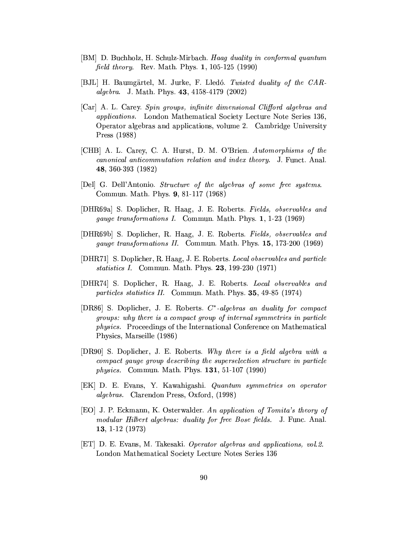- [BM] D. Buchholz, H. Schulz-Mirbach. Haag duality in conformal quantum *field theory.* Rev. Math. Phys. 1, 105-125 (1990)
- [BJL] H. Baumgärtel, M. Jurke, F. Lledó. Twisted duality of the CAR*algebra.* J. Math. Phys. 43, 4158-4179 (2002)
- [Car] A. L. Carey. Spin groups, infinite dimensional Clifford algebras and applications. London Mathematical Society Lecture Note Series 136. Operator algebras and applications, volume 2. Cambridge University Press (1988)
- [CHB] A. L. Carey, C. A. Hurst, D. M. O'Brien. Automorphisms of the *canonical anticommutation relation and index theory.* J. Funct. Anal. 48, 360-393 (1982)
- [Del] G. Dell'Antonio. Structure of the algebras of some free systems. Commun. Math. Phys. 9, 81-117 (1968)
- [DHR69a] S. Doplicher, R. Haag, J. E. Roberts. Fields, observables and gauge transformations I. Commun. Math. Phys. 1, 1-23 (1969)
- [DHR69b] S. Doplicher, R. Haag, J. E. Roberts. Fields, observables and gauge transformations II. Commun. Math. Phys. 15, 173-200 (1969)
- [DHR71] S. Doplicher, R. Haag, J. E. Roberts. Local observables and particle *statistics I.* Commun. Math. Phys. 23, 199-230 (1971)
- [DHR74] S. Doplicher, R. Haag, J. E. Roberts. Local observables and *particles statistics II.* Commun. Math. Phys. **35**, 49-85 (1974)
- [DR86] S. Doplicher, J. E. Roberts.  $C^*$ -algebras an duality for compact groups: why there is a compact group of internal symmetries in particle *physics.* Proceedings of the International Conference on Mathematical Physics, Marseille (1986)
- [DR90] S. Doplicher, J. E. Roberts. Why there is a field algebra with a compact gauge group describing the superselection structure in particle *physics.* Commun. Math. Phys. **131**, 51-107 (1990)
- [EK] D. E. Evans, Y. Kawahigashi. Quantum symmetries on operator *algebras.* Clarendon Press, Oxford, (1998)
- [EO] J. P. Eckmann, K. Osterwalder. An application of Tomita's theory of modular Hilbert algebras: duality for free Bose fields. J. Func. Anal. 13, 1-12 (1973)
- [ET] D. E. Evans, M. Takesaki. Operator algebras and applications, vol. 2. London Mathematical Society Lecture Notes Series 136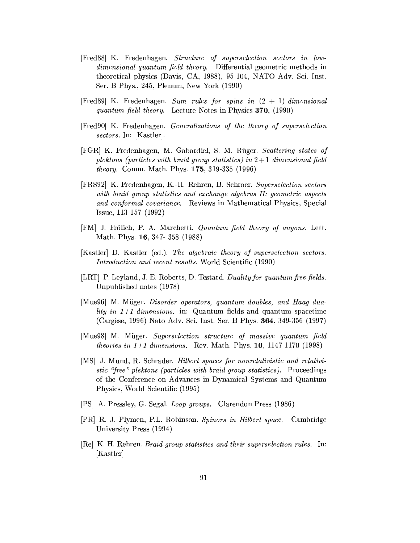- [Fred88] K. Fredenhagen. Structure of superselection sectors in lowdimensional quantum field theory. Differential geometric methods in theoretical physics (Davis, CA, 1988), 95-104, NATO Adv. Sci. Inst. Ser. B Phys., 245, Plenum, New York (1990)
- [Fred89] K. Fredenhagen. Sum rules for spins in  $(2 + 1)$ -dimensional *quantum field theory.* Lecture Notes in Physics 370, (1990)
- [Fred90] K. Fredenhagen. *Generalizations of the theory of superselection* sectors. In: [Kastler].
- [FGR] K. Fredenhagen, M. Gabardiel, S. M. Rüger. Scattering states of plektons (particles with braid group statistics) in  $2+1$  dimensional field *theory.* Comm. Math. Phys. 175, 319-335 (1996)
- [FRS92] K. Fredenhagen, K.-H. Rehren, B. Schroer. Superselection sectors with braid group statistics and exchange algebras II: geometric aspects and conformal covariance. Reviews in Mathematical Physics, Special Issue, 113-157 (1992)
- [FM] J. Frölich, P. A. Marchetti. *Quantum field theory of anyons.* Lett. Math. Phys. 16, 347-358 (1988)
- [Kastler] D. Kastler (ed.). The algebraic theory of superselection sectors. *Introduction and recent results.* World Scientific (1990)
- [LRT] P. Leyland, J. E. Roberts, D. Testard. Duality for quantum free fields. Unpublished notes (1978)
- [Mue96] M. Müger. Disorder operators, quantum doubles, and Haag dua*lity* in  $1+1$  dimensions. in: Quantum fields and quantum spacetime (Cargèse, 1996) Nato Adv. Sci. Inst. Ser. B Phys. 364, 349-356 (1997)
- [Mue98] M. Müger. Superselection structure of massive quantum field *theories in*  $1+1$  *dimensions.* Rev. Math. Phys. 10, 1147-1170 (1998)
- [MS] J. Mund, R. Schrader. Hilbert spaces for nonrelativistic and relativistic "free" plektons (particles with braid group statistics). Proceedings of the Conference on Advances in Dynamical Systems and Quantum Physics, World Scientific (1995)
- [PS] A. Pressley, G. Segal. Loop groups. Clarendon Press (1986)
- [PR] R. J. Plymen, P.L. Robinson. Spinors in Hilbert space. Cambridge University Press (1994)
- [Re] K. H. Rehren. *Braid group statistics and their superselection rules.* In: [Kastler]